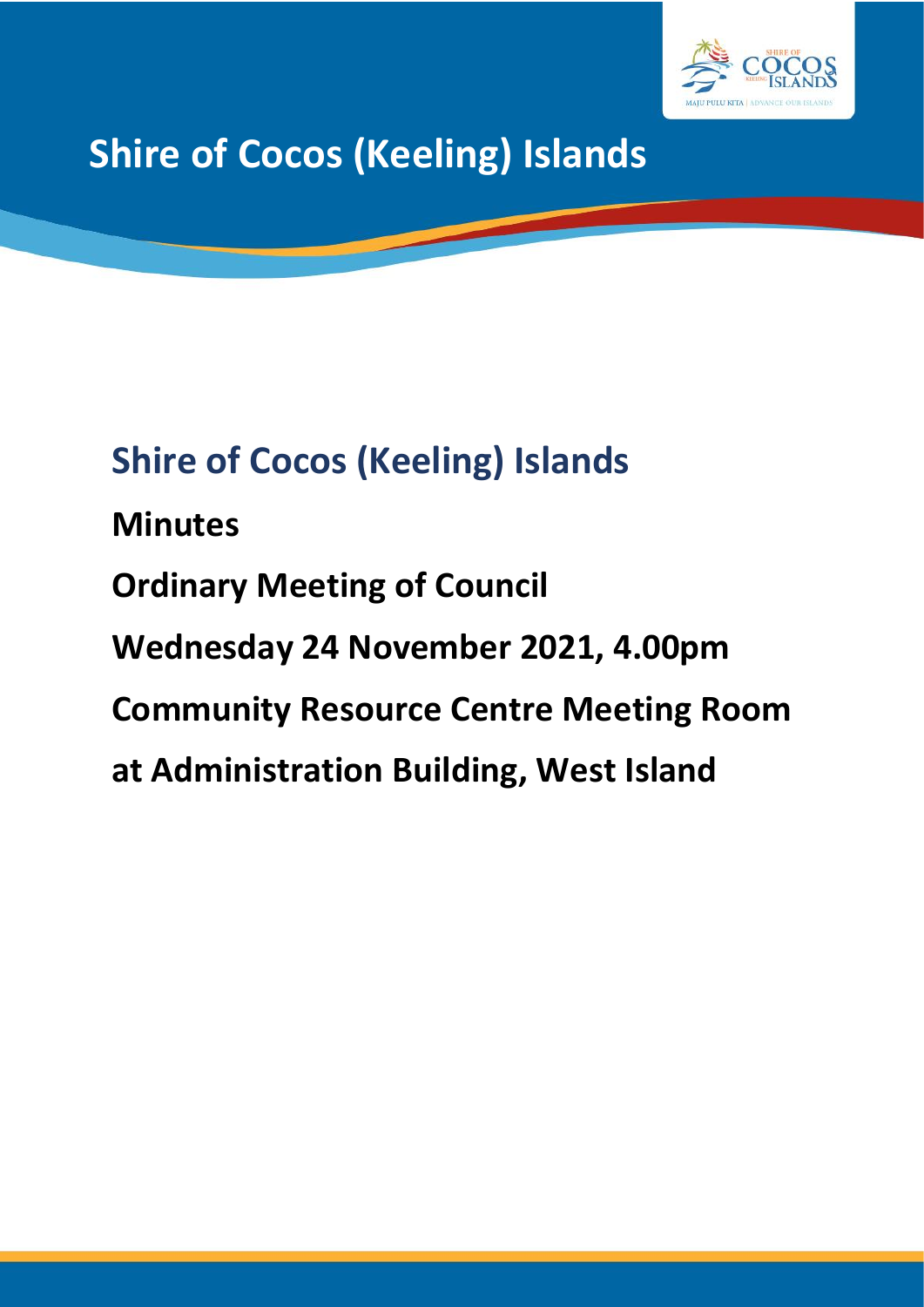

# **Shire of Cocos (Keeling) Islands**

# **Shire of Cocos (Keeling) Islands**

**Minutes Ordinary Meeting of Council Wednesday 24 November 2021, 4.00pm Community Resource Centre Meeting Room at Administration Building, West Island**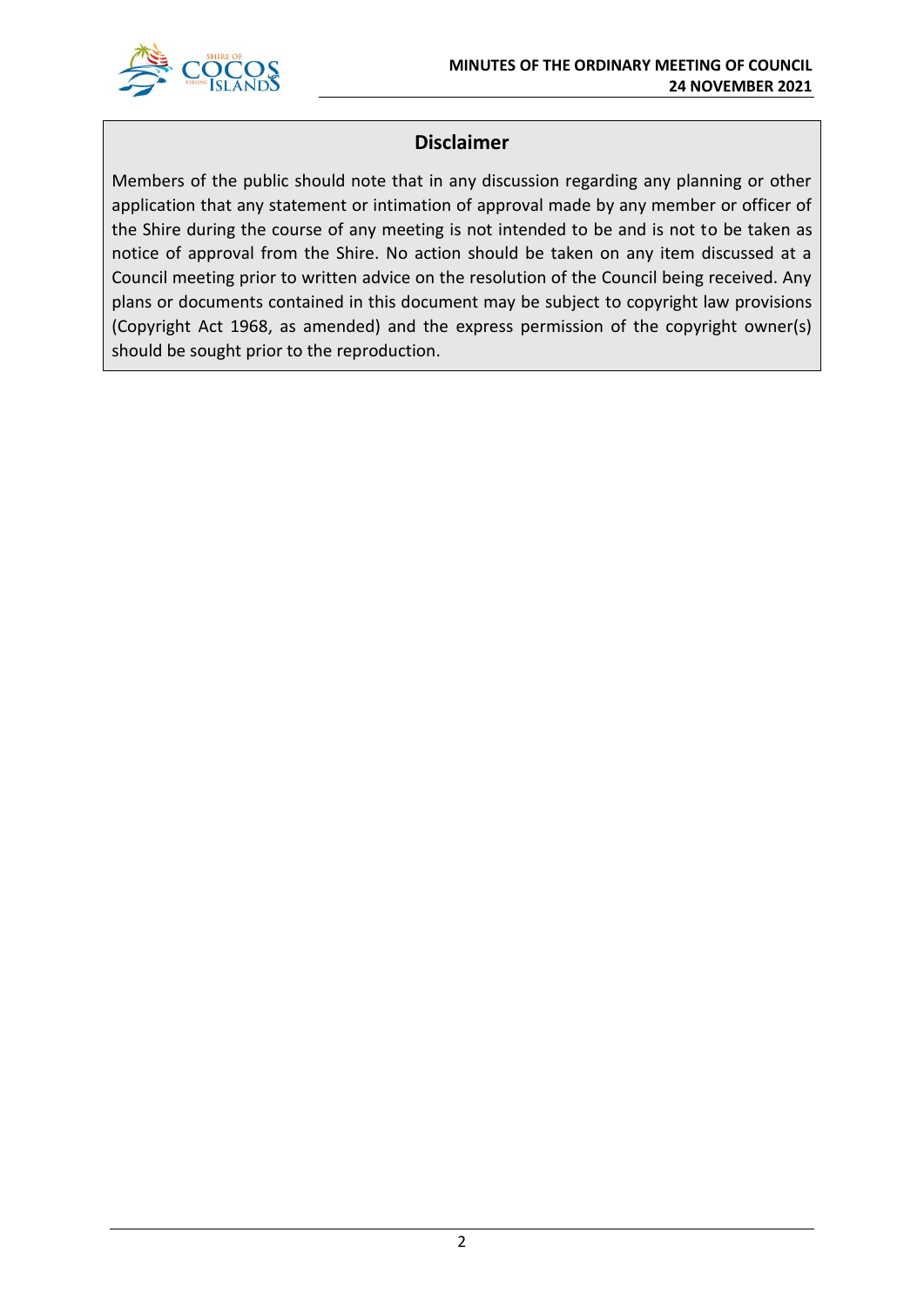

# **Disclaimer**

Members of the public should note that in any discussion regarding any planning or other application that any statement or intimation of approval made by any member or officer of the Shire during the course of any meeting is not intended to be and is not to be taken as notice of approval from the Shire. No action should be taken on any item discussed at a Council meeting prior to written advice on the resolution of the Council being received. Any plans or documents contained in this document may be subject to copyright law provisions (Copyright Act 1968, as amended) and the express permission of the copyright owner(s) should be sought prior to the reproduction.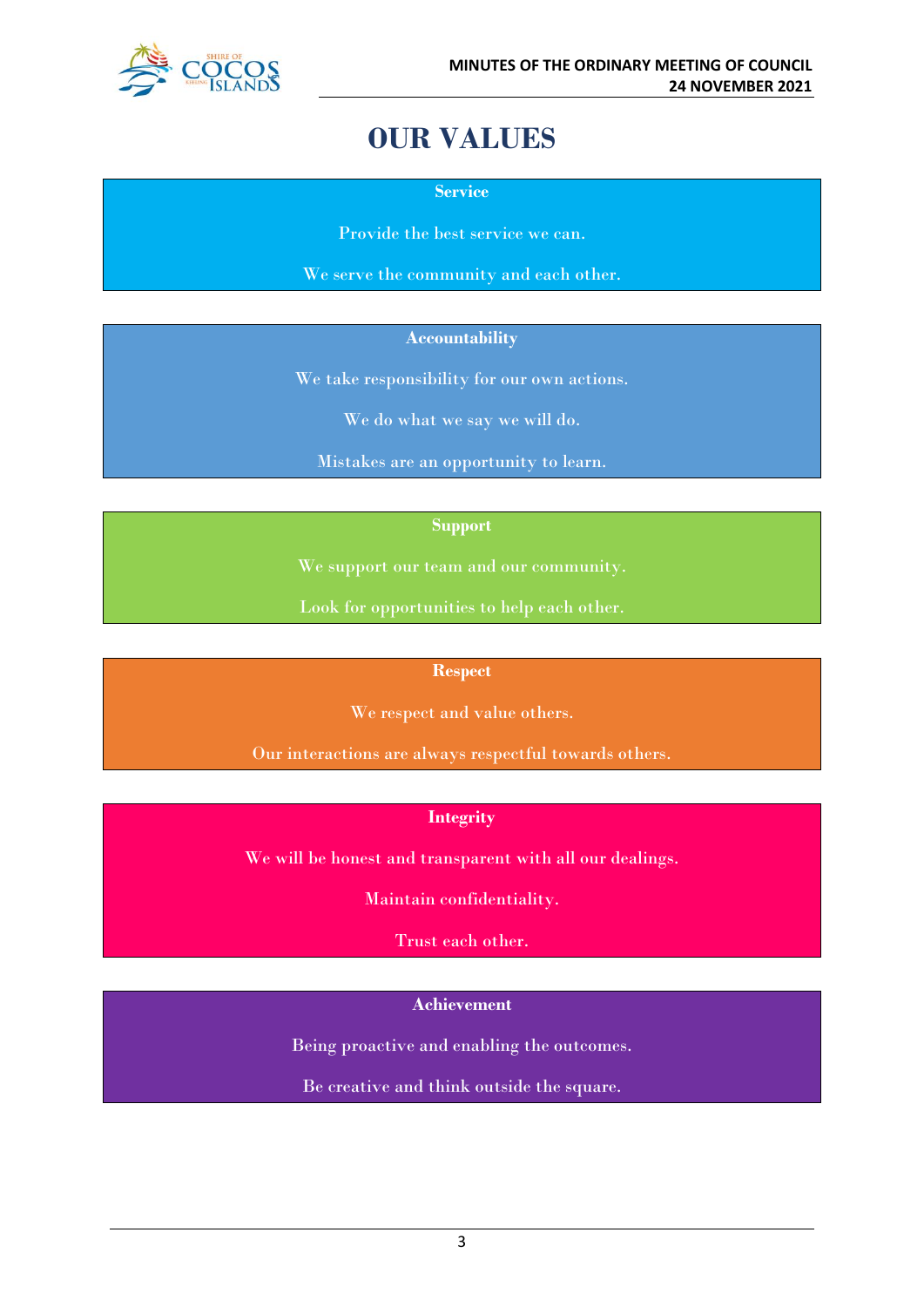

# **OUR VALUES**

**Service**

Provide the best service we can.

We serve the community and each other.

#### **Accountability**

We take responsibility for our own actions.

We do what we say we will do.

Mistakes are an opportunity to learn.

#### **Support**

We support our team and our community.

Look for opportunities to help each other.

#### **Respect**

We respect and value others.

Our interactions are always respectful towards others.

### **Integrity**

We will be honest and transparent with all our dealings.

Maintain confidentiality.

Trust each other.

#### **Achievement**

Being proactive and enabling the outcomes.

Be creative and think outside the square.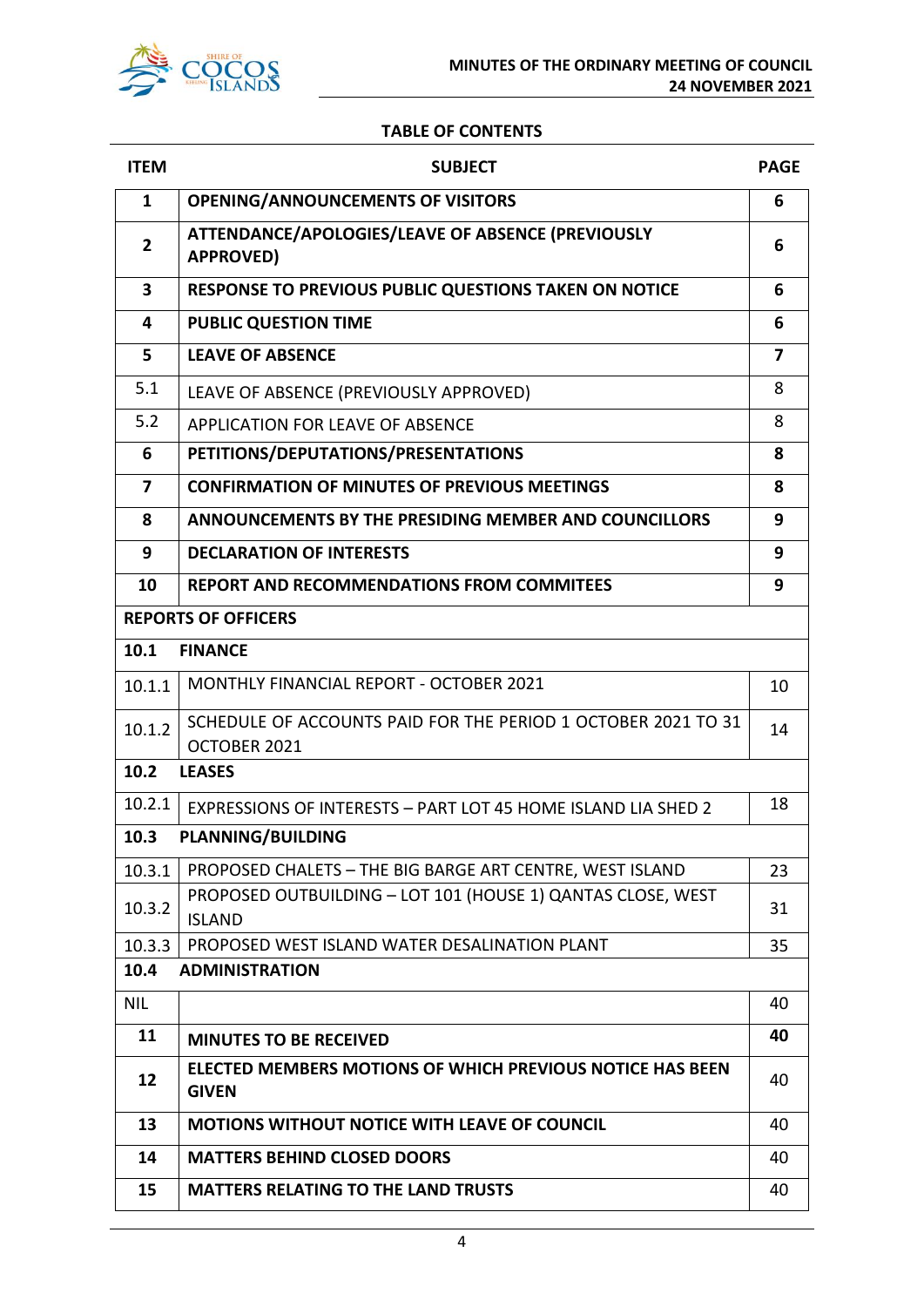

#### **TABLE OF CONTENTS**

| <b>ITEM</b>                   | <b>SUBJECT</b>                                                                   |    |
|-------------------------------|----------------------------------------------------------------------------------|----|
| $\mathbf{1}$                  | <b>OPENING/ANNOUNCEMENTS OF VISITORS</b>                                         |    |
| $\overline{2}$                | ATTENDANCE/APOLOGIES/LEAVE OF ABSENCE (PREVIOUSLY<br><b>APPROVED)</b>            |    |
| $\overline{\mathbf{3}}$       | RESPONSE TO PREVIOUS PUBLIC QUESTIONS TAKEN ON NOTICE                            | 6  |
| 4                             | <b>PUBLIC QUESTION TIME</b>                                                      | 6  |
| 5                             | <b>LEAVE OF ABSENCE</b>                                                          | 7  |
| 5.1                           | LEAVE OF ABSENCE (PREVIOUSLY APPROVED)                                           | 8  |
| 5.2                           | <b>APPLICATION FOR LEAVE OF ABSENCE</b>                                          | 8  |
| 6                             | PETITIONS/DEPUTATIONS/PRESENTATIONS                                              | 8  |
| 7                             | <b>CONFIRMATION OF MINUTES OF PREVIOUS MEETINGS</b>                              | 8  |
| 8                             | ANNOUNCEMENTS BY THE PRESIDING MEMBER AND COUNCILLORS                            | 9  |
| 9                             | <b>DECLARATION OF INTERESTS</b>                                                  | 9  |
| 10                            | <b>REPORT AND RECOMMENDATIONS FROM COMMITEES</b>                                 | 9  |
|                               | <b>REPORTS OF OFFICERS</b>                                                       |    |
| 10.1                          | <b>FINANCE</b>                                                                   |    |
| 10.1.1                        | <b>MONTHLY FINANCIAL REPORT - OCTOBER 2021</b>                                   | 10 |
| 10.1.2                        | SCHEDULE OF ACCOUNTS PAID FOR THE PERIOD 1 OCTOBER 2021 TO 31                    |    |
| 10.2                          | OCTOBER 2021                                                                     |    |
|                               | <b>LEASES</b>                                                                    |    |
| 10.2.1                        | EXPRESSIONS OF INTERESTS - PART LOT 45 HOME ISLAND LIA SHED 2                    | 18 |
| 10.3                          | <b>PLANNING/BUILDING</b>                                                         |    |
| 10.3.1                        | PROPOSED CHALETS - THE BIG BARGE ART CENTRE, WEST ISLAND                         | 23 |
| 10.3.2                        | PROPOSED OUTBUILDING - LOT 101 (HOUSE 1) QANTAS CLOSE, WEST<br><b>ISLAND</b>     | 31 |
| 10.3.3                        | PROPOSED WEST ISLAND WATER DESALINATION PLANT                                    | 35 |
| 10.4<br><b>ADMINISTRATION</b> |                                                                                  |    |
| <b>NIL</b>                    |                                                                                  | 40 |
| 11                            | <b>MINUTES TO BE RECEIVED</b>                                                    | 40 |
| 12                            | <b>ELECTED MEMBERS MOTIONS OF WHICH PREVIOUS NOTICE HAS BEEN</b><br><b>GIVEN</b> | 40 |
| 13                            | <b>MOTIONS WITHOUT NOTICE WITH LEAVE OF COUNCIL</b>                              | 40 |
| 14                            | <b>MATTERS BEHIND CLOSED DOORS</b>                                               | 40 |
| 15                            | <b>MATTERS RELATING TO THE LAND TRUSTS</b>                                       | 40 |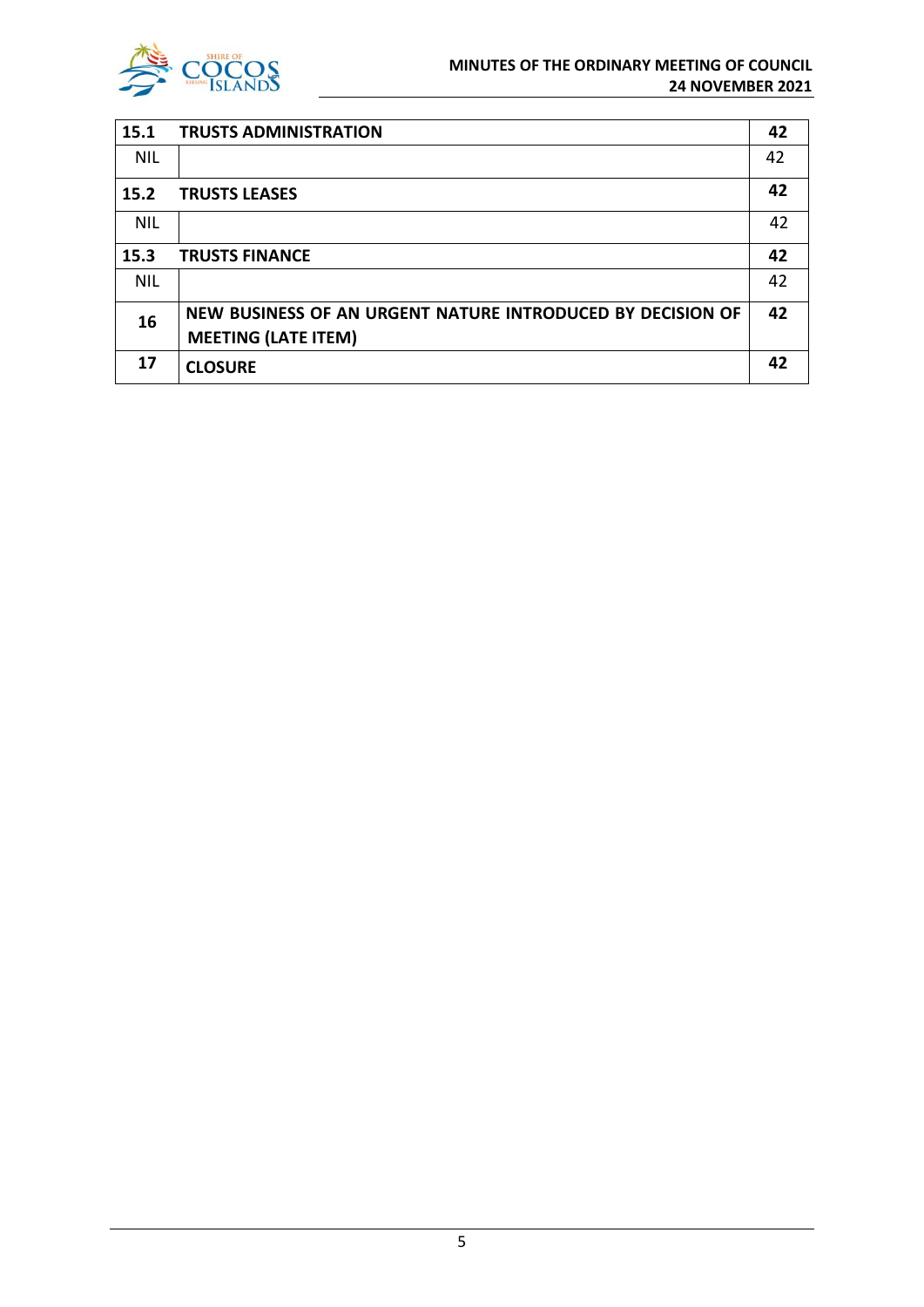

| 15.1       | <b>TRUSTS ADMINISTRATION</b>                               | 42 |
|------------|------------------------------------------------------------|----|
| <b>NIL</b> |                                                            | 42 |
| 15.2       | <b>TRUSTS LEASES</b>                                       | 42 |
| <b>NIL</b> |                                                            | 42 |
| 15.3       | <b>TRUSTS FINANCE</b>                                      | 42 |
| <b>NIL</b> |                                                            | 42 |
| 16         | NEW BUSINESS OF AN URGENT NATURE INTRODUCED BY DECISION OF | 42 |
|            | <b>MEETING (LATE ITEM)</b>                                 |    |
| 17         | <b>CLOSURE</b>                                             | 42 |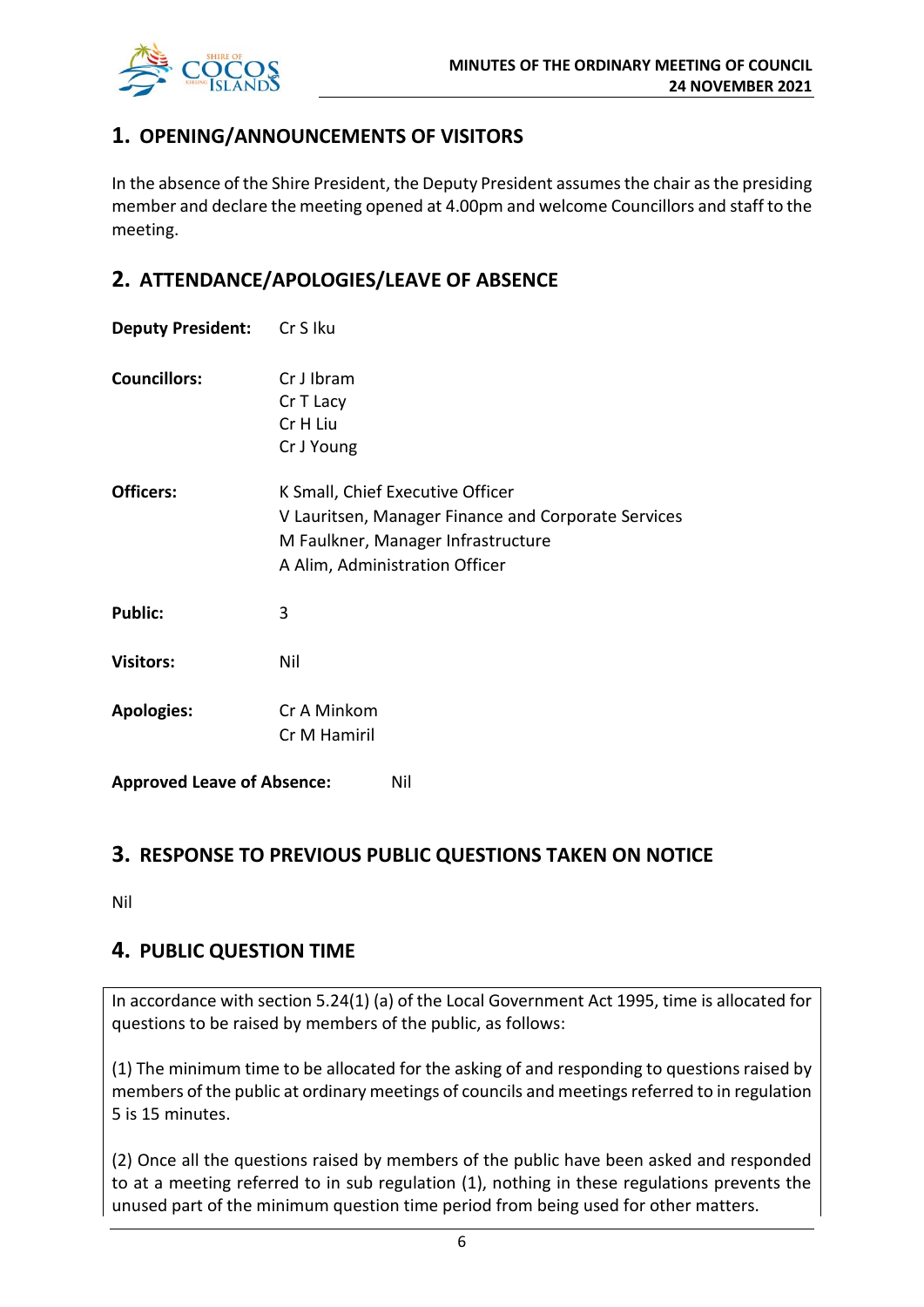

# **1. OPENING/ANNOUNCEMENTS OF VISITORS**

In the absence of the Shire President, the Deputy President assumes the chair as the presiding member and declare the meeting opened at 4.00pm and welcome Councillors and staff to the meeting.

# **2. ATTENDANCE/APOLOGIES/LEAVE OF ABSENCE**

| <b>Deputy President:</b> Cr S Iku |                                                                                                                                                                 |  |
|-----------------------------------|-----------------------------------------------------------------------------------------------------------------------------------------------------------------|--|
| <b>Councillors:</b>               | Cr J Ibram<br>Cr T Lacy<br>Cr H Liu<br>Cr J Young                                                                                                               |  |
| <b>Officers:</b>                  | K Small, Chief Executive Officer<br>V Lauritsen, Manager Finance and Corporate Services<br>M Faulkner, Manager Infrastructure<br>A Alim, Administration Officer |  |
| <b>Public:</b>                    | 3                                                                                                                                                               |  |
| <b>Visitors:</b>                  | Nil                                                                                                                                                             |  |
| <b>Apologies:</b>                 | Cr A Minkom<br>Cr M Hamiril                                                                                                                                     |  |
| <b>Approved Leave of Absence:</b> | Nil                                                                                                                                                             |  |

# **3. RESPONSE TO PREVIOUS PUBLIC QUESTIONS TAKEN ON NOTICE**

Nil

# **4. PUBLIC QUESTION TIME**

In accordance with section 5.24(1) (a) of the Local Government Act 1995, time is allocated for questions to be raised by members of the public, as follows:

(1) The minimum time to be allocated for the asking of and responding to questions raised by members of the public at ordinary meetings of councils and meetings referred to in regulation 5 is 15 minutes.

(2) Once all the questions raised by members of the public have been asked and responded to at a meeting referred to in sub regulation (1), nothing in these regulations prevents the unused part of the minimum question time period from being used for other matters.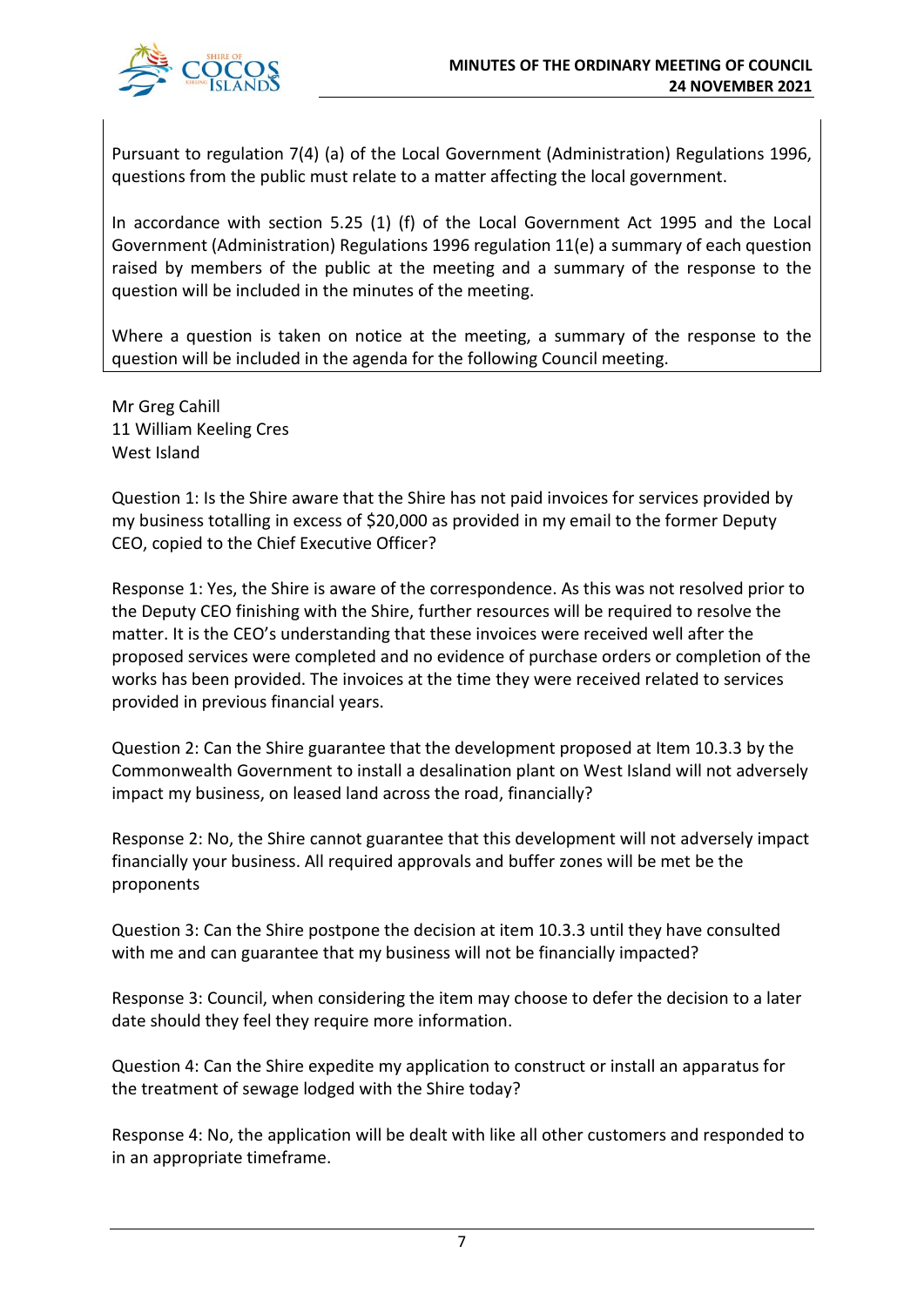

Pursuant to regulation 7(4) (a) of the Local Government (Administration) Regulations 1996, questions from the public must relate to a matter affecting the local government.

In accordance with section 5.25 (1) (f) of the Local Government Act 1995 and the Local Government (Administration) Regulations 1996 regulation 11(e) a summary of each question raised by members of the public at the meeting and a summary of the response to the question will be included in the minutes of the meeting.

Where a question is taken on notice at the meeting, a summary of the response to the question will be included in the agenda for the following Council meeting.

Mr Greg Cahill 11 William Keeling Cres West Island

Question 1: Is the Shire aware that the Shire has not paid invoices for services provided by my business totalling in excess of \$20,000 as provided in my email to the former Deputy CEO, copied to the Chief Executive Officer?

Response 1: Yes, the Shire is aware of the correspondence. As this was not resolved prior to the Deputy CEO finishing with the Shire, further resources will be required to resolve the matter. It is the CEO's understanding that these invoices were received well after the proposed services were completed and no evidence of purchase orders or completion of the works has been provided. The invoices at the time they were received related to services provided in previous financial years.

Question 2: Can the Shire guarantee that the development proposed at Item 10.3.3 by the Commonwealth Government to install a desalination plant on West Island will not adversely impact my business, on leased land across the road, financially?

Response 2: No, the Shire cannot guarantee that this development will not adversely impact financially your business. All required approvals and buffer zones will be met be the proponents

Question 3: Can the Shire postpone the decision at item 10.3.3 until they have consulted with me and can guarantee that my business will not be financially impacted?

Response 3: Council, when considering the item may choose to defer the decision to a later date should they feel they require more information.

Question 4: Can the Shire expedite my application to construct or install an apparatus for the treatment of sewage lodged with the Shire today?

Response 4: No, the application will be dealt with like all other customers and responded to in an appropriate timeframe.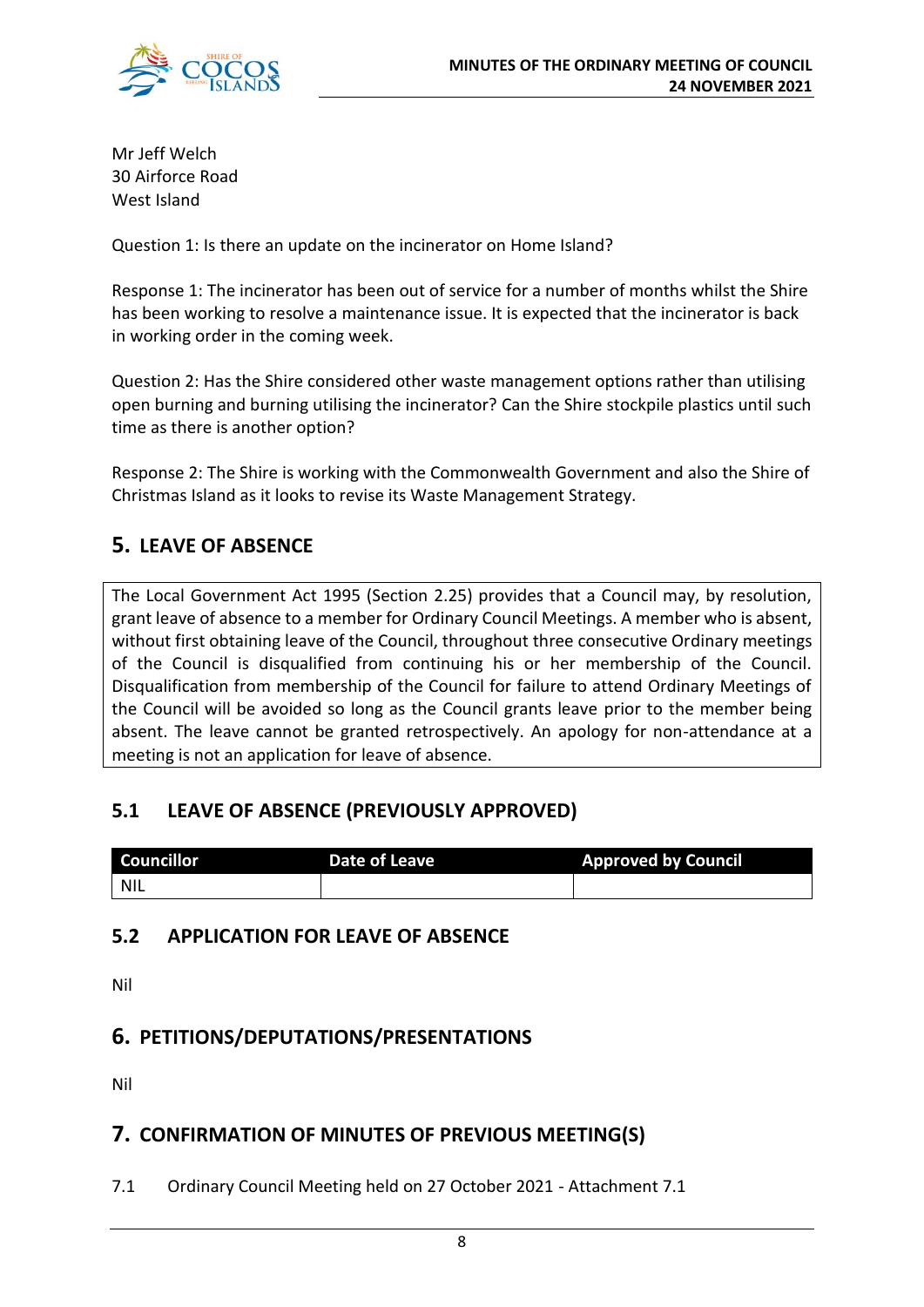

Mr Jeff Welch 30 Airforce Road West Island

Question 1: Is there an update on the incinerator on Home Island?

Response 1: The incinerator has been out of service for a number of months whilst the Shire has been working to resolve a maintenance issue. It is expected that the incinerator is back in working order in the coming week.

Question 2: Has the Shire considered other waste management options rather than utilising open burning and burning utilising the incinerator? Can the Shire stockpile plastics until such time as there is another option?

Response 2: The Shire is working with the Commonwealth Government and also the Shire of Christmas Island as it looks to revise its Waste Management Strategy.

# **5. LEAVE OF ABSENCE**

The Local Government Act 1995 (Section 2.25) provides that a Council may, by resolution, grant leave of absence to a member for Ordinary Council Meetings. A member who is absent, without first obtaining leave of the Council, throughout three consecutive Ordinary meetings of the Council is disqualified from continuing his or her membership of the Council. Disqualification from membership of the Council for failure to attend Ordinary Meetings of the Council will be avoided so long as the Council grants leave prior to the member being absent. The leave cannot be granted retrospectively. An apology for non-attendance at a meeting is not an application for leave of absence.

# **5.1 LEAVE OF ABSENCE (PREVIOUSLY APPROVED)**

| <b>Councillor</b> | Date of Leave | <b>Approved by Council</b> |
|-------------------|---------------|----------------------------|
| NIL               |               |                            |

# **5.2 APPLICATION FOR LEAVE OF ABSENCE**

Nil

# **6. PETITIONS/DEPUTATIONS/PRESENTATIONS**

Nil

# **7. CONFIRMATION OF MINUTES OF PREVIOUS MEETING(S)**

7.1 Ordinary Council Meeting held on 27 October 2021 - Attachment 7.1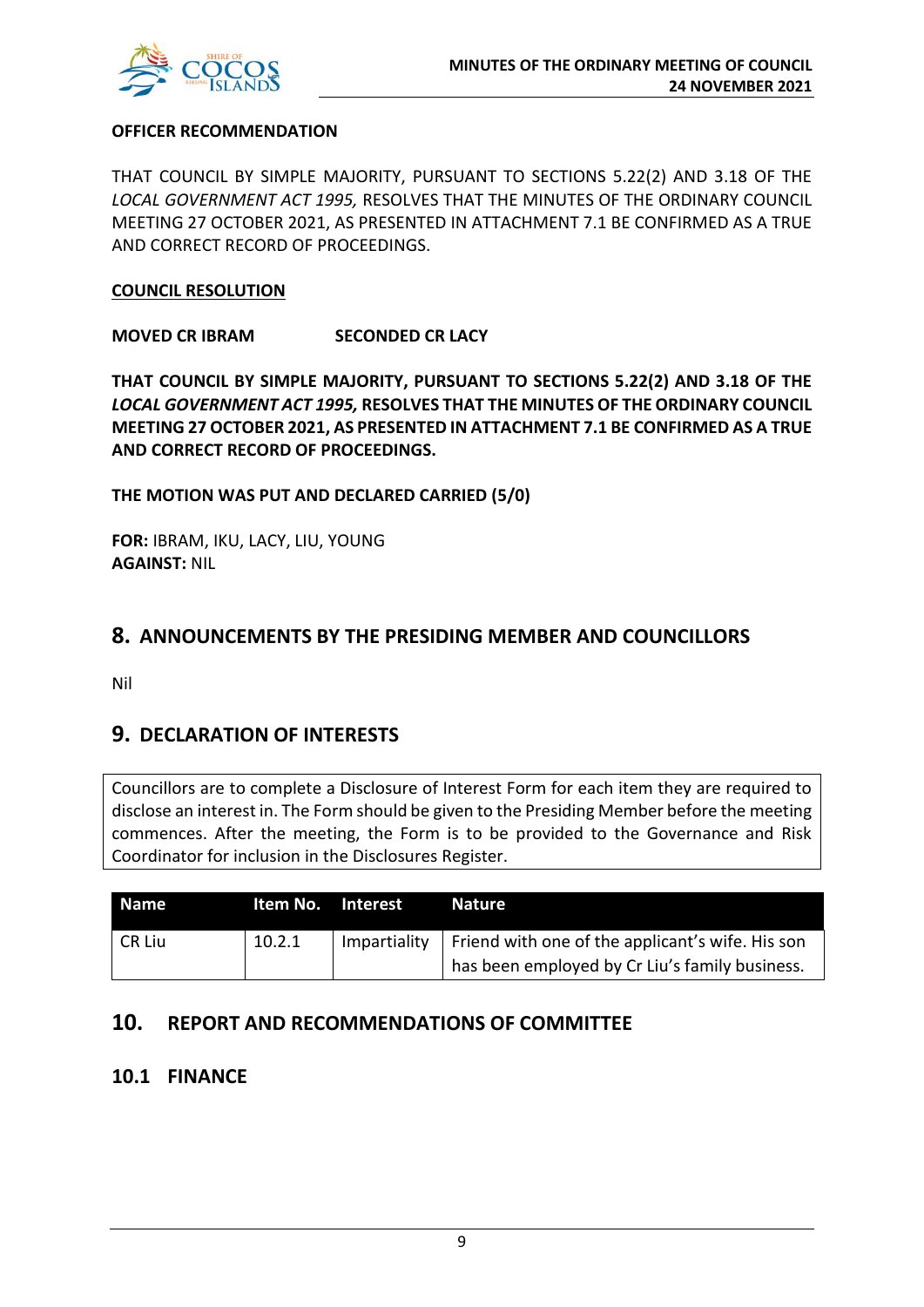

#### **OFFICER RECOMMENDATION**

THAT COUNCIL BY SIMPLE MAJORITY, PURSUANT TO SECTIONS 5.22(2) AND 3.18 OF THE *LOCAL GOVERNMENT ACT 1995,* RESOLVES THAT THE MINUTES OF THE ORDINARY COUNCIL MEETING 27 OCTOBER 2021, AS PRESENTED IN ATTACHMENT 7.1 BE CONFIRMED AS A TRUE AND CORRECT RECORD OF PROCEEDINGS.

#### **COUNCIL RESOLUTION**

**MOVED CR IBRAM SECONDED CR LACY**

**THAT COUNCIL BY SIMPLE MAJORITY, PURSUANT TO SECTIONS 5.22(2) AND 3.18 OF THE**  *LOCAL GOVERNMENT ACT 1995,* **RESOLVES THAT THE MINUTES OF THE ORDINARY COUNCIL MEETING 27 OCTOBER 2021, AS PRESENTED IN ATTACHMENT 7.1 BE CONFIRMED AS A TRUE AND CORRECT RECORD OF PROCEEDINGS.**

**THE MOTION WAS PUT AND DECLARED CARRIED (5/0)**

**FOR:** IBRAM, IKU, LACY, LIU, YOUNG **AGAINST:** NIL

# **8. ANNOUNCEMENTS BY THE PRESIDING MEMBER AND COUNCILLORS**

Nil

# **9. DECLARATION OF INTERESTS**

Councillors are to complete a Disclosure of Interest Form for each item they are required to disclose an interest in. The Form should be given to the Presiding Member before the meeting commences. After the meeting, the Form is to be provided to the Governance and Risk Coordinator for inclusion in the Disclosures Register.

| <b>Name</b> | Item No. Interest |              | <b>Nature</b>                                    |
|-------------|-------------------|--------------|--------------------------------------------------|
| l CR Liu    | 10.2.1            | Impartiality | Friend with one of the applicant's wife. His son |
|             |                   |              | has been employed by Cr Liu's family business.   |

# **10. REPORT AND RECOMMENDATIONS OF COMMITTEE**

### **10.1 FINANCE**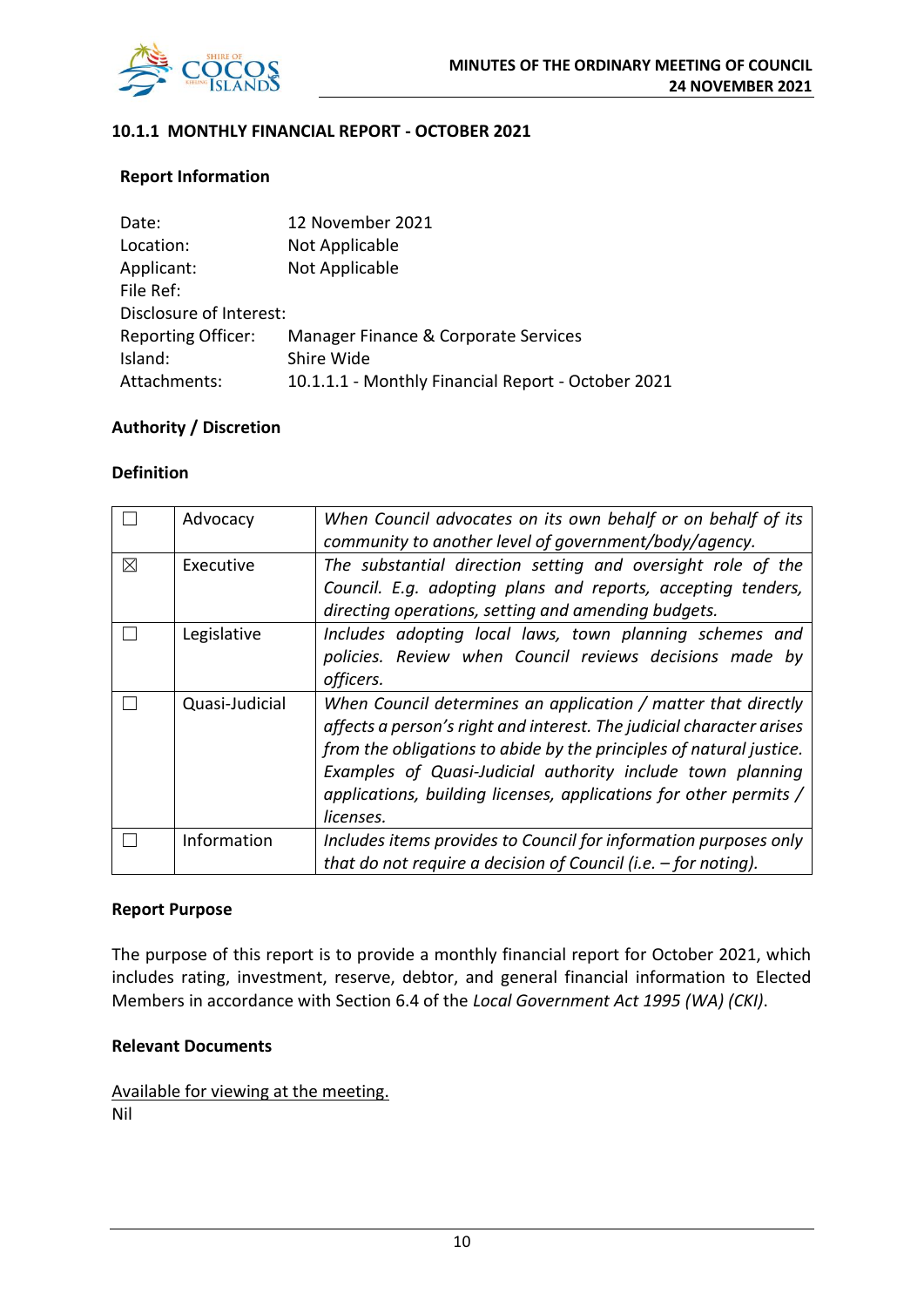

#### **10.1.1 MONTHLY FINANCIAL REPORT - OCTOBER 2021**

#### **Report Information**

| Date:                     | 12 November 2021                                   |
|---------------------------|----------------------------------------------------|
| Location:                 | Not Applicable                                     |
| Applicant:                | Not Applicable                                     |
| File Ref:                 |                                                    |
| Disclosure of Interest:   |                                                    |
| <b>Reporting Officer:</b> | Manager Finance & Corporate Services               |
| Island:                   | Shire Wide                                         |
| Attachments:              | 10.1.1.1 - Monthly Financial Report - October 2021 |

#### **Authority / Discretion**

#### **Definition**

|             | Advocacy       | When Council advocates on its own behalf or on behalf of its<br>community to another level of government/body/agency. |
|-------------|----------------|-----------------------------------------------------------------------------------------------------------------------|
|             |                |                                                                                                                       |
| $\boxtimes$ | Executive      | The substantial direction setting and oversight role of the                                                           |
|             |                | Council. E.g. adopting plans and reports, accepting tenders,                                                          |
|             |                | directing operations, setting and amending budgets.                                                                   |
|             | Legislative    | Includes adopting local laws, town planning schemes and                                                               |
|             |                | policies. Review when Council reviews decisions made by                                                               |
|             |                | officers.                                                                                                             |
|             | Quasi-Judicial | When Council determines an application / matter that directly                                                         |
|             |                | affects a person's right and interest. The judicial character arises                                                  |
|             |                | from the obligations to abide by the principles of natural justice.                                                   |
|             |                | Examples of Quasi-Judicial authority include town planning                                                            |
|             |                | applications, building licenses, applications for other permits /                                                     |
|             |                | licenses.                                                                                                             |
|             | Information    | Includes items provides to Council for information purposes only                                                      |
|             |                | that do not require a decision of Council (i.e. $-$ for noting).                                                      |

#### **Report Purpose**

The purpose of this report is to provide a monthly financial report for October 2021, which includes rating, investment, reserve, debtor, and general financial information to Elected Members in accordance with Section 6.4 of the *Local Government Act 1995 (WA) (CKI)*.

#### **Relevant Documents**

Available for viewing at the meeting. Nil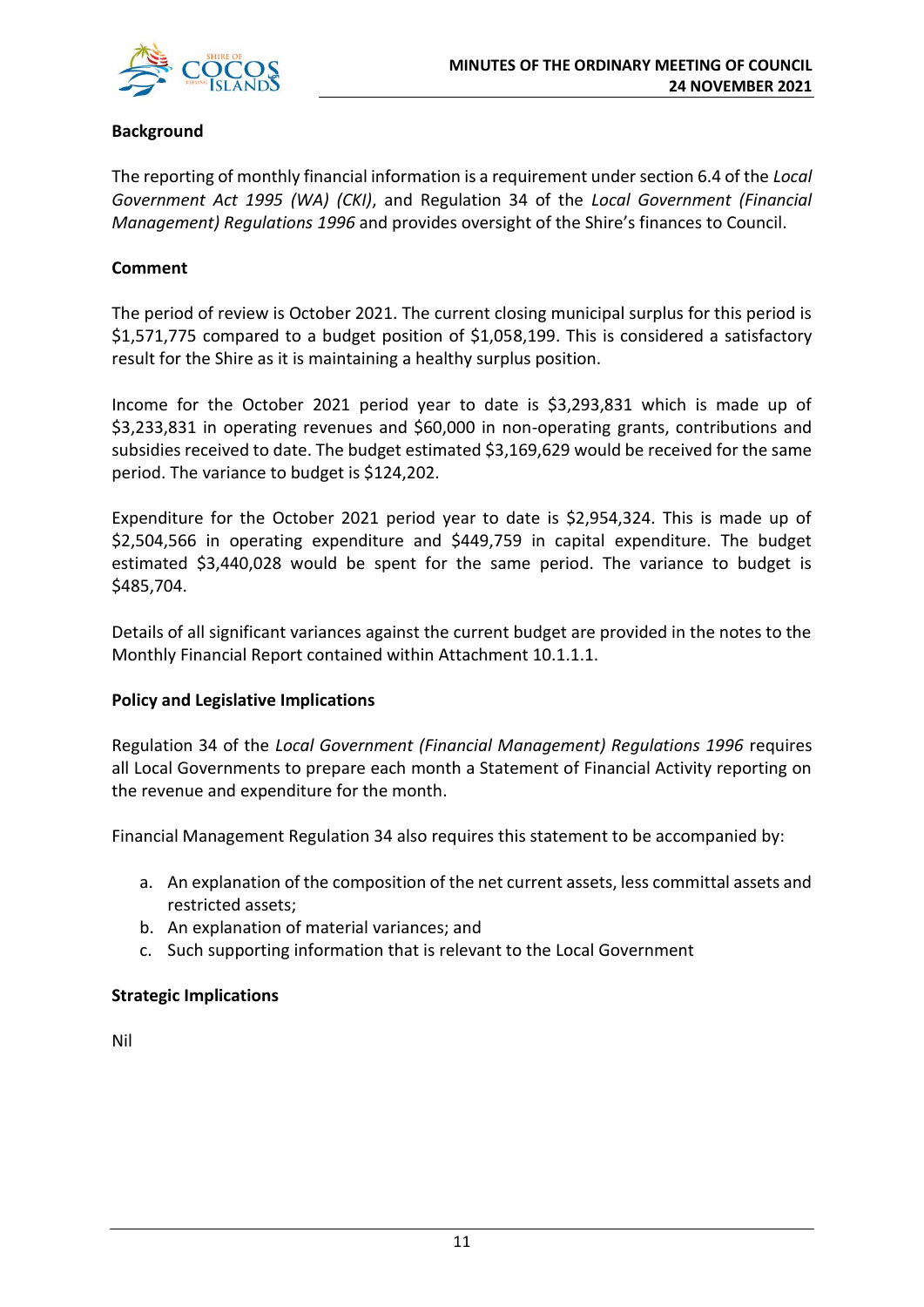

#### **Background**

The reporting of monthly financial information is a requirement under section 6.4 of the *Local Government Act 1995 (WA) (CKI)*, and Regulation 34 of the *Local Government (Financial Management) Regulations 1996* and provides oversight of the Shire's finances to Council.

#### **Comment**

The period of review is October 2021. The current closing municipal surplus for this period is \$1,571,775 compared to a budget position of \$1,058,199. This is considered a satisfactory result for the Shire as it is maintaining a healthy surplus position.

Income for the October 2021 period year to date is \$3,293,831 which is made up of \$3,233,831 in operating revenues and \$60,000 in non-operating grants, contributions and subsidies received to date. The budget estimated \$3,169,629 would be received for the same period. The variance to budget is \$124,202.

Expenditure for the October 2021 period year to date is \$2,954,324. This is made up of \$2,504,566 in operating expenditure and \$449,759 in capital expenditure. The budget estimated \$3,440,028 would be spent for the same period. The variance to budget is \$485,704.

Details of all significant variances against the current budget are provided in the notes to the Monthly Financial Report contained within Attachment 10.1.1.1.

#### **Policy and Legislative Implications**

Regulation 34 of the *Local Government (Financial Management) Regulations 1996* requires all Local Governments to prepare each month a Statement of Financial Activity reporting on the revenue and expenditure for the month.

Financial Management Regulation 34 also requires this statement to be accompanied by:

- a. An explanation of the composition of the net current assets, less committal assets and restricted assets;
- b. An explanation of material variances; and
- c. Such supporting information that is relevant to the Local Government

#### **Strategic Implications**

Nil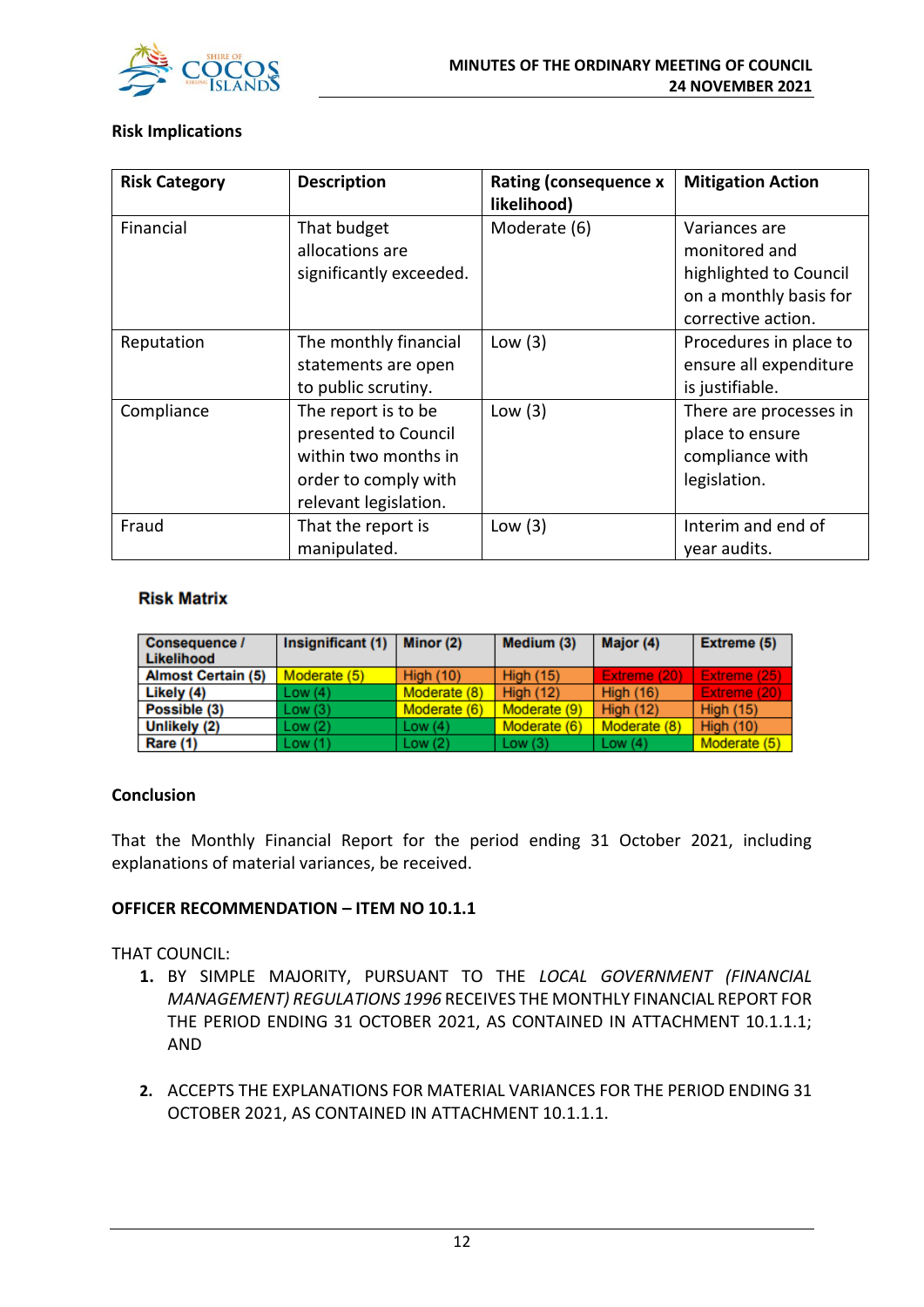

#### **Risk Implications**

| <b>Risk Category</b> | <b>Description</b>      | <b>Rating (consequence x</b><br>likelihood) | <b>Mitigation Action</b> |
|----------------------|-------------------------|---------------------------------------------|--------------------------|
| Financial            | That budget             | Moderate (6)                                | Variances are            |
|                      | allocations are         |                                             | monitored and            |
|                      | significantly exceeded. |                                             | highlighted to Council   |
|                      |                         |                                             | on a monthly basis for   |
|                      |                         |                                             | corrective action.       |
| Reputation           | The monthly financial   | Low $(3)$                                   | Procedures in place to   |
|                      | statements are open     |                                             | ensure all expenditure   |
|                      | to public scrutiny.     |                                             | is justifiable.          |
| Compliance           | The report is to be     | Low $(3)$                                   | There are processes in   |
|                      | presented to Council    |                                             | place to ensure          |
|                      | within two months in    |                                             | compliance with          |
|                      | order to comply with    |                                             | legislation.             |
|                      | relevant legislation.   |                                             |                          |
| Fraud                | That the report is      | Low $(3)$                                   | Interim and end of       |
|                      | manipulated.            |                                             | year audits.             |

#### **Risk Matrix**

| Consequence /<br>Likelihood | Insignificant (1) | Minor (2)        | Medium (3)       | Major (4)        | Extreme (5)      |
|-----------------------------|-------------------|------------------|------------------|------------------|------------------|
| <b>Almost Certain (5)</b>   | Moderate (5)      | <b>High (10)</b> | <b>High (15)</b> | Extreme (20)     | Extreme (25)     |
| Likely (4)                  | Low(4)            | Moderate (8)     | <b>High (12)</b> | <b>High (16)</b> | Extreme (20)     |
| Possible (3)                | Low(3)            | Moderate (6)     | Moderate (9)     | <b>High (12)</b> | <b>High (15)</b> |
| Unlikely (2)                | Low(2)            | Low $(4)$        | Moderate (6)     | Moderate (8)     | <b>High (10)</b> |
| Rare (1)                    | Low(1)            | Low $(2)$        | Low $(3)$        | Low $(4)$        | Moderate (5)     |

#### **Conclusion**

That the Monthly Financial Report for the period ending 31 October 2021, including explanations of material variances, be received.

#### **OFFICER RECOMMENDATION – ITEM NO 10.1.1**

THAT COUNCIL:

- **1.** BY SIMPLE MAJORITY, PURSUANT TO THE *LOCAL GOVERNMENT (FINANCIAL MANAGEMENT) REGULATIONS 1996* RECEIVES THE MONTHLY FINANCIAL REPORT FOR THE PERIOD ENDING 31 OCTOBER 2021, AS CONTAINED IN ATTACHMENT 10.1.1.1; AND
- **2.** ACCEPTS THE EXPLANATIONS FOR MATERIAL VARIANCES FOR THE PERIOD ENDING 31 OCTOBER 2021, AS CONTAINED IN ATTACHMENT 10.1.1.1.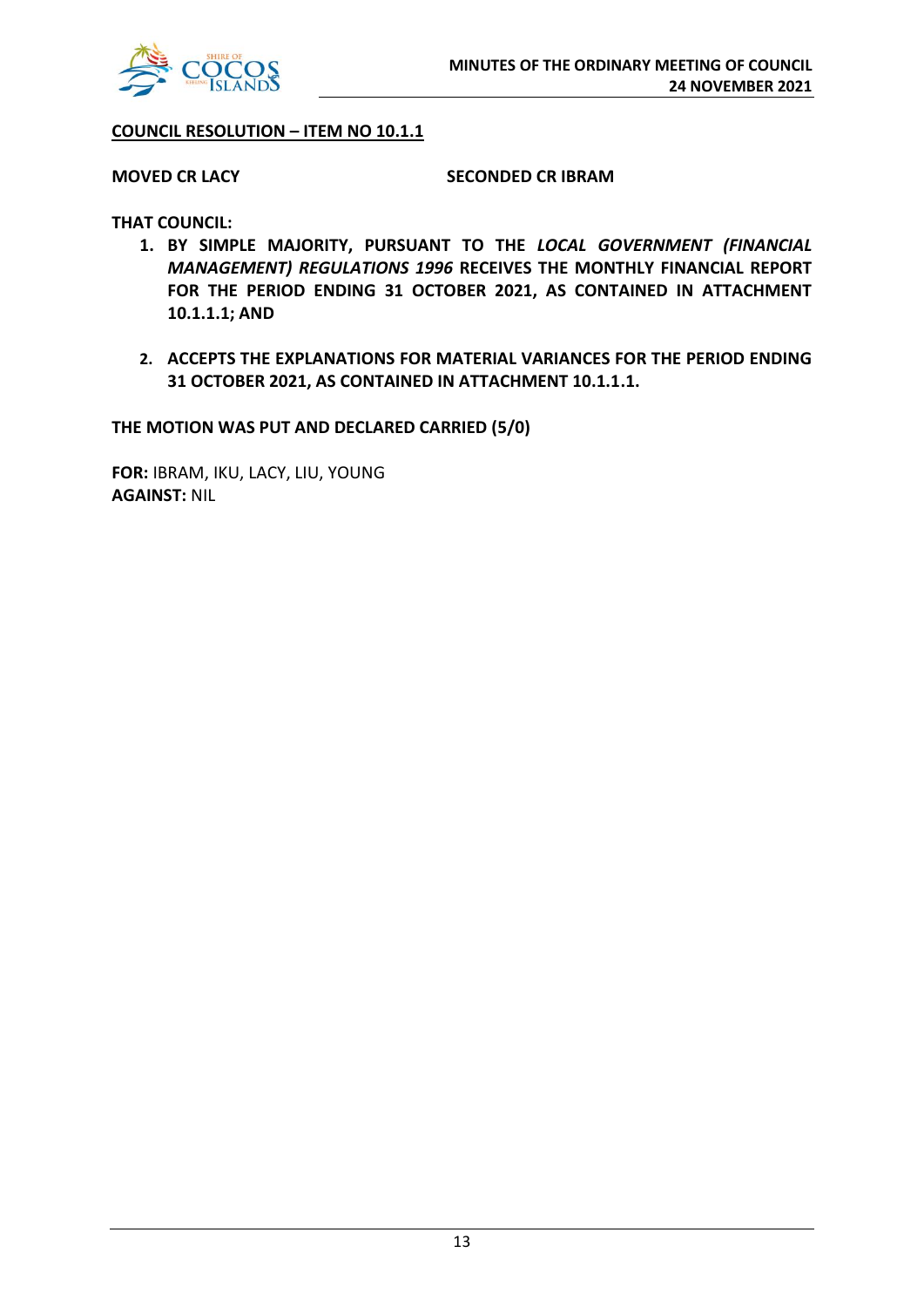

#### **COUNCIL RESOLUTION – ITEM NO 10.1.1**

#### **MOVED CR LACY SECONDED CR IBRAM**

**THAT COUNCIL:**

- **1. BY SIMPLE MAJORITY, PURSUANT TO THE** *LOCAL GOVERNMENT (FINANCIAL MANAGEMENT) REGULATIONS 1996* **RECEIVES THE MONTHLY FINANCIAL REPORT FOR THE PERIOD ENDING 31 OCTOBER 2021, AS CONTAINED IN ATTACHMENT 10.1.1.1; AND**
- **2. ACCEPTS THE EXPLANATIONS FOR MATERIAL VARIANCES FOR THE PERIOD ENDING 31 OCTOBER 2021, AS CONTAINED IN ATTACHMENT 10.1.1.1.**

**THE MOTION WAS PUT AND DECLARED CARRIED (5/0)**

**FOR:** IBRAM, IKU, LACY, LIU, YOUNG **AGAINST:** NIL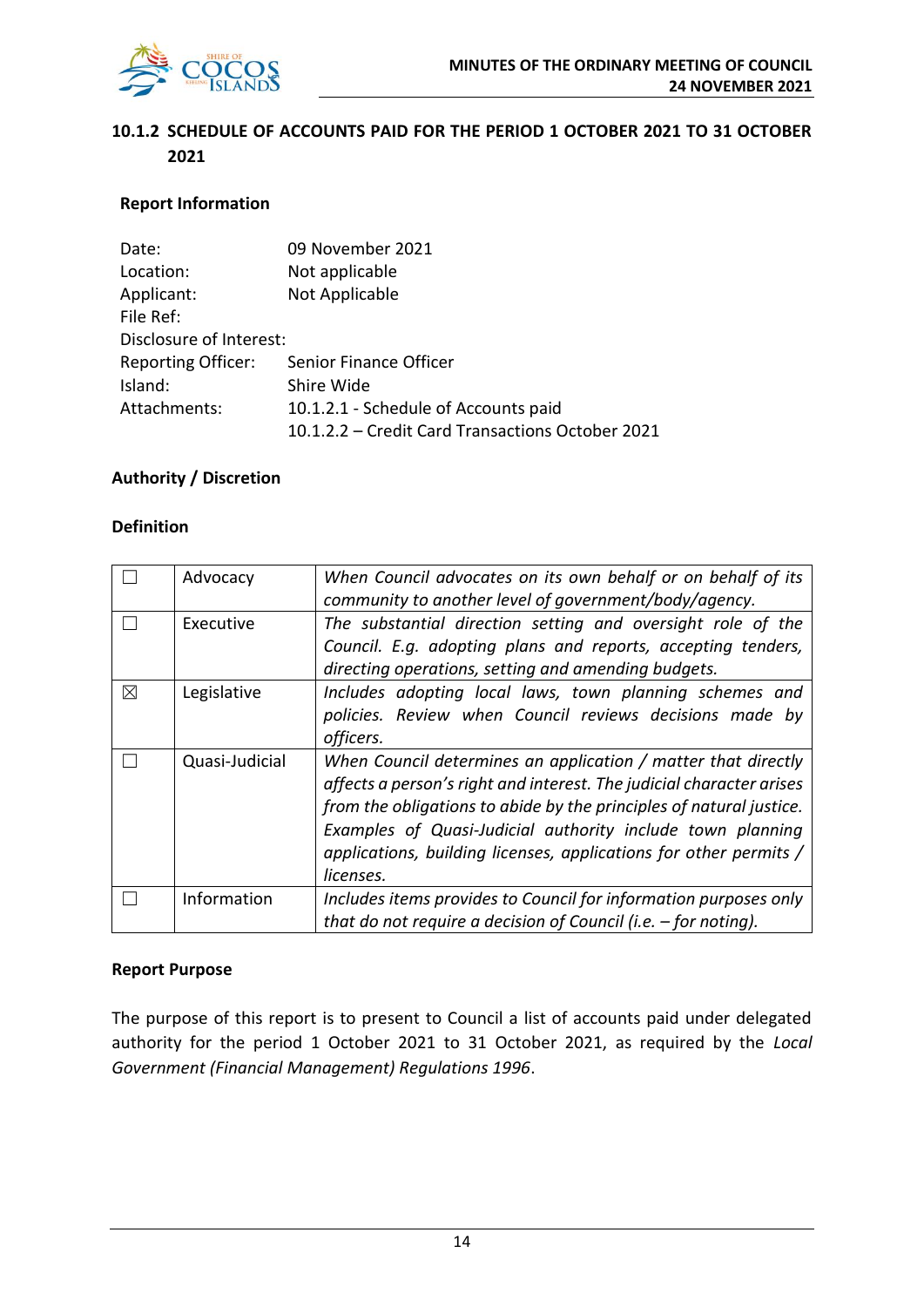

### **10.1.2 SCHEDULE OF ACCOUNTS PAID FOR THE PERIOD 1 OCTOBER 2021 TO 31 OCTOBER 2021**

#### **Report Information**

| Date:                     | 09 November 2021                                 |
|---------------------------|--------------------------------------------------|
| Location:                 | Not applicable                                   |
| Applicant:                | Not Applicable                                   |
| File Ref:                 |                                                  |
| Disclosure of Interest:   |                                                  |
| <b>Reporting Officer:</b> | Senior Finance Officer                           |
| Island:                   | Shire Wide                                       |
| Attachments:              | 10.1.2.1 - Schedule of Accounts paid             |
|                           | 10.1.2.2 - Credit Card Transactions October 2021 |

#### **Authority / Discretion**

#### **Definition**

|   | Advocacy       | When Council advocates on its own behalf or on behalf of its         |
|---|----------------|----------------------------------------------------------------------|
|   |                | community to another level of government/body/agency.                |
|   | Executive      | The substantial direction setting and oversight role of the          |
|   |                | Council. E.g. adopting plans and reports, accepting tenders,         |
|   |                | directing operations, setting and amending budgets.                  |
| ⊠ | Legislative    | Includes adopting local laws, town planning schemes and              |
|   |                | policies. Review when Council reviews decisions made by              |
|   |                | officers.                                                            |
|   | Quasi-Judicial | When Council determines an application / matter that directly        |
|   |                | affects a person's right and interest. The judicial character arises |
|   |                | from the obligations to abide by the principles of natural justice.  |
|   |                | Examples of Quasi-Judicial authority include town planning           |
|   |                | applications, building licenses, applications for other permits /    |
|   |                | licenses.                                                            |
|   | Information    | Includes items provides to Council for information purposes only     |
|   |                | that do not require a decision of Council (i.e. $-$ for noting).     |

#### **Report Purpose**

The purpose of this report is to present to Council a list of accounts paid under delegated authority for the period 1 October 2021 to 31 October 2021, as required by the *Local Government (Financial Management) Regulations 1996*.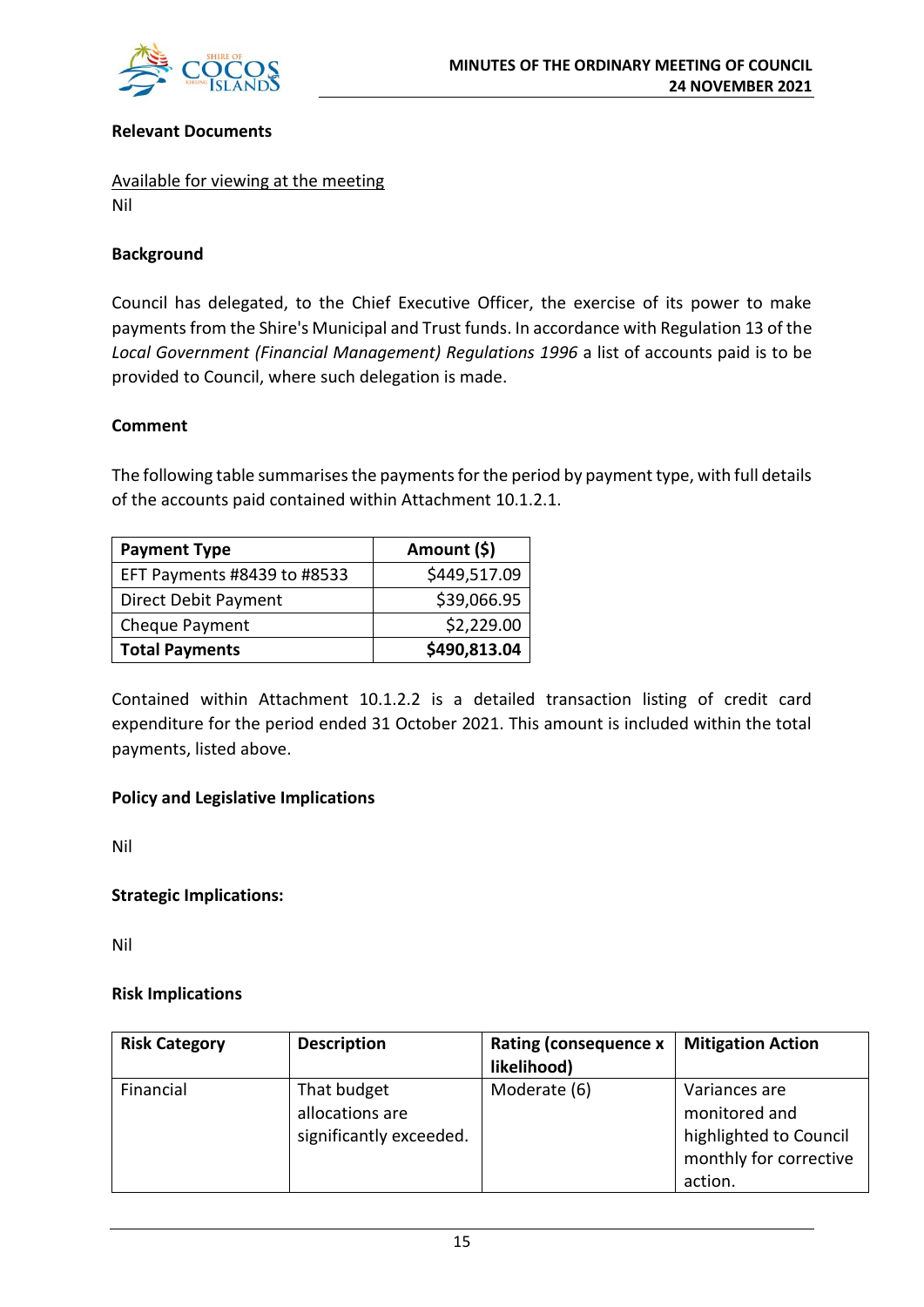

#### **Relevant Documents**

Available for viewing at the meeting Nil

#### **Background**

Council has delegated, to the Chief Executive Officer, the exercise of its power to make payments from the Shire's Municipal and Trust funds. In accordance with Regulation 13 of the *Local Government (Financial Management) Regulations 1996* a list of accounts paid is to be provided to Council, where such delegation is made.

#### **Comment**

The following table summarises the payments for the period by payment type, with full details of the accounts paid contained within Attachment 10.1.2.1.

| <b>Payment Type</b>         | Amount (\$)  |
|-----------------------------|--------------|
| EFT Payments #8439 to #8533 | \$449,517.09 |
| Direct Debit Payment        | \$39,066.95  |
| Cheque Payment              | \$2,229.00   |
| <b>Total Payments</b>       | \$490,813.04 |

Contained within Attachment 10.1.2.2 is a detailed transaction listing of credit card expenditure for the period ended 31 October 2021. This amount is included within the total payments, listed above.

#### **Policy and Legislative Implications**

Nil

#### **Strategic Implications:**

Nil

#### **Risk Implications**

| <b>Risk Category</b> | <b>Description</b>                                        | Rating (consequence x<br>likelihood) | <b>Mitigation Action</b>                                                                      |
|----------------------|-----------------------------------------------------------|--------------------------------------|-----------------------------------------------------------------------------------------------|
| Financial            | That budget<br>allocations are<br>significantly exceeded. | Moderate (6)                         | Variances are<br>monitored and<br>highlighted to Council<br>monthly for corrective<br>action. |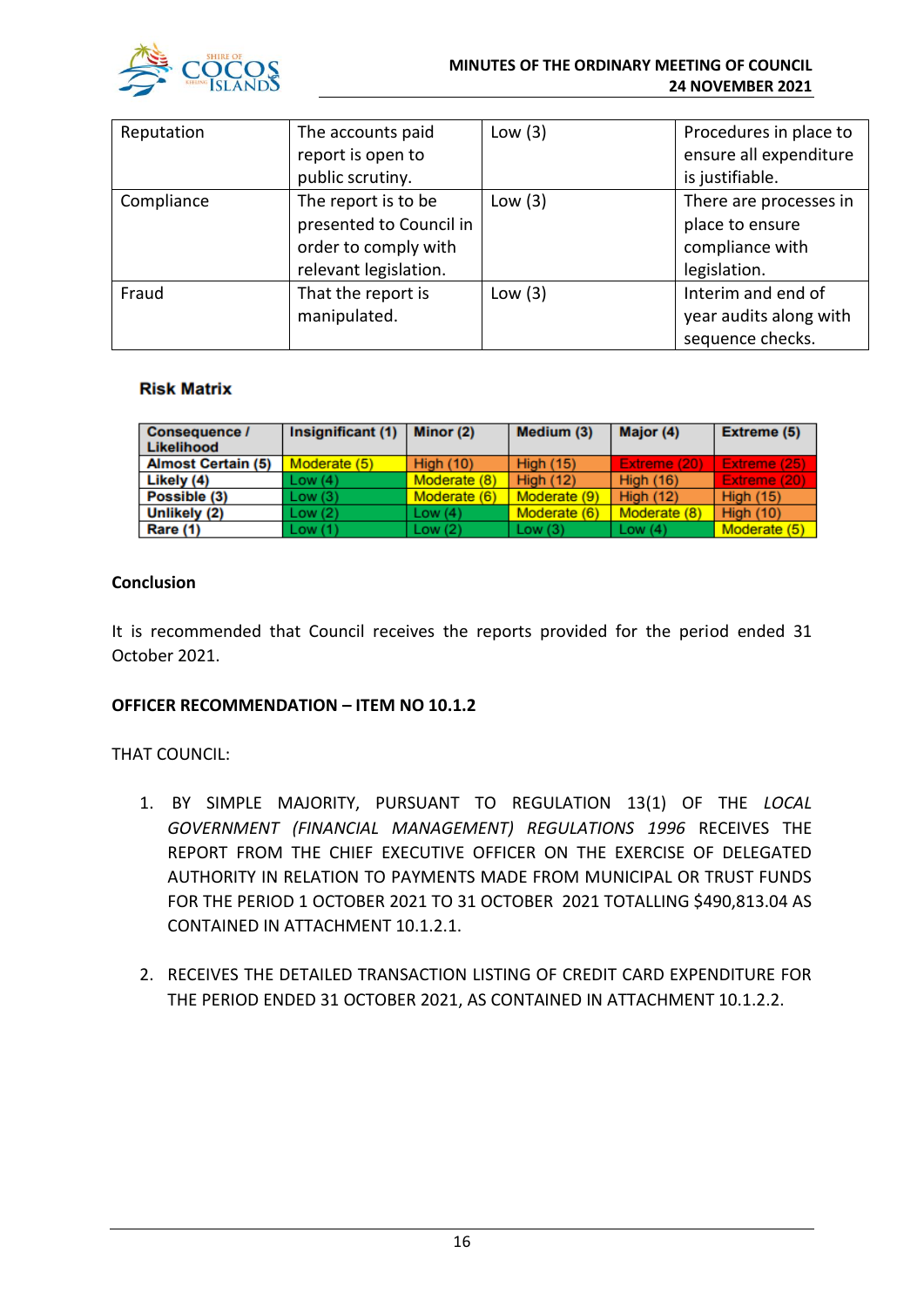

#### **MINUTES OF THE ORDINARY MEETING OF COUNCIL 24 NOVEMBER 2021**

| Reputation | The accounts paid<br>report is open to | Low $(3)$ | Procedures in place to<br>ensure all expenditure |
|------------|----------------------------------------|-----------|--------------------------------------------------|
|            | public scrutiny.                       |           | is justifiable.                                  |
| Compliance | The report is to be                    | Low $(3)$ | There are processes in                           |
|            | presented to Council in                |           | place to ensure                                  |
|            | order to comply with                   |           | compliance with                                  |
|            | relevant legislation.                  |           | legislation.                                     |
| Fraud      | That the report is                     | Low $(3)$ | Interim and end of                               |
|            | manipulated.                           |           | year audits along with                           |
|            |                                        |           | sequence checks.                                 |

#### **Risk Matrix**

| <b>Consequence /</b><br>Likelihood | Insignificant (1) | Minor (2)        | Medium (3)       | Major (4)        | Extreme (5)      |
|------------------------------------|-------------------|------------------|------------------|------------------|------------------|
| <b>Almost Certain (5)</b>          | Moderate (5)      | <b>High (10)</b> | <b>High (15)</b> | Extreme (20)     | Extreme (25)     |
| Likely (4)                         | Low(4)            | Moderate (8)     | <b>High (12)</b> | <b>High (16)</b> | Extreme (20)     |
| Possible (3)                       | Low(3)            | Moderate (6)     | Moderate (9)     | <b>High (12)</b> | <b>High (15)</b> |
| Unlikely (2)                       | Low(2)            | Low $(4)$        | Moderate (6)     | Moderate (8)     | <b>High (10)</b> |
| Rare (1)                           | Low(1)            | Low(2)           | Low(3)           | Low $(4)$        | Moderate (5)     |

### **Conclusion**

It is recommended that Council receives the reports provided for the period ended 31 October 2021.

#### **OFFICER RECOMMENDATION – ITEM NO 10.1.2**

### THAT COUNCIL:

- 1. BY SIMPLE MAJORITY, PURSUANT TO REGULATION 13(1) OF THE *LOCAL GOVERNMENT (FINANCIAL MANAGEMENT) REGULATIONS 1996* RECEIVES THE REPORT FROM THE CHIEF EXECUTIVE OFFICER ON THE EXERCISE OF DELEGATED AUTHORITY IN RELATION TO PAYMENTS MADE FROM MUNICIPAL OR TRUST FUNDS FOR THE PERIOD 1 OCTOBER 2021 TO 31 OCTOBER 2021 TOTALLING \$490,813.04 AS CONTAINED IN ATTACHMENT 10.1.2.1.
- 2. RECEIVES THE DETAILED TRANSACTION LISTING OF CREDIT CARD EXPENDITURE FOR THE PERIOD ENDED 31 OCTOBER 2021, AS CONTAINED IN ATTACHMENT 10.1.2.2.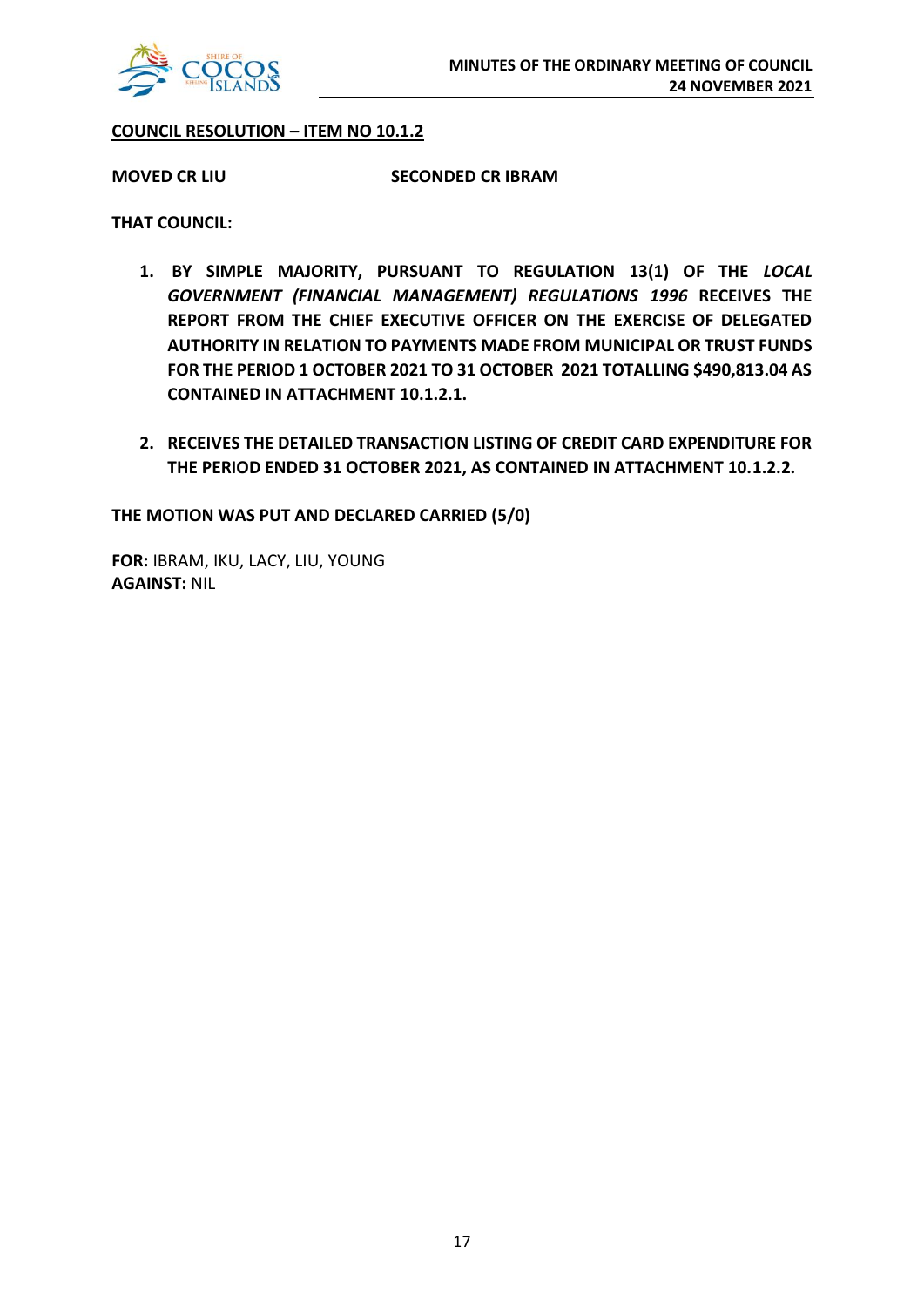

#### **COUNCIL RESOLUTION – ITEM NO 10.1.2**

**MOVED CR LIU SECONDED CR IBRAM**

**THAT COUNCIL:**

- **1. BY SIMPLE MAJORITY, PURSUANT TO REGULATION 13(1) OF THE** *LOCAL GOVERNMENT (FINANCIAL MANAGEMENT) REGULATIONS 1996* **RECEIVES THE REPORT FROM THE CHIEF EXECUTIVE OFFICER ON THE EXERCISE OF DELEGATED AUTHORITY IN RELATION TO PAYMENTS MADE FROM MUNICIPAL OR TRUST FUNDS FOR THE PERIOD 1 OCTOBER 2021 TO 31 OCTOBER 2021 TOTALLING \$490,813.04 AS CONTAINED IN ATTACHMENT 10.1.2.1.**
- **2. RECEIVES THE DETAILED TRANSACTION LISTING OF CREDIT CARD EXPENDITURE FOR THE PERIOD ENDED 31 OCTOBER 2021, AS CONTAINED IN ATTACHMENT 10.1.2.2.**

**THE MOTION WAS PUT AND DECLARED CARRIED (5/0)**

**FOR:** IBRAM, IKU, LACY, LIU, YOUNG **AGAINST:** NIL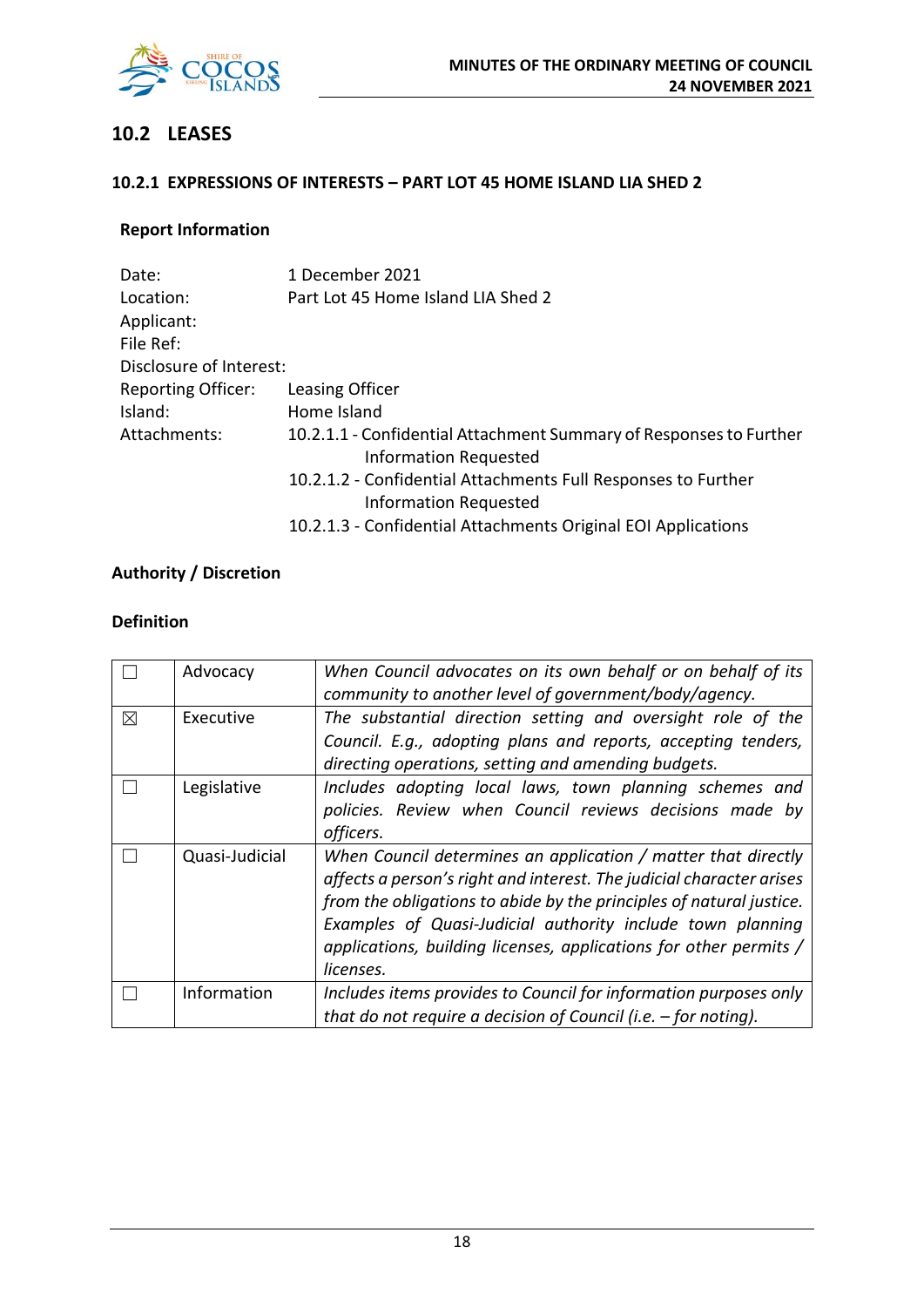

# **10.2 LEASES**

### **10.2.1 EXPRESSIONS OF INTERESTS – PART LOT 45 HOME ISLAND LIA SHED 2**

## **Report Information**

| Date:                     | 1 December 2021                                                                                    |
|---------------------------|----------------------------------------------------------------------------------------------------|
| Location:                 | Part Lot 45 Home Island LIA Shed 2                                                                 |
| Applicant:                |                                                                                                    |
| File Ref:                 |                                                                                                    |
| Disclosure of Interest:   |                                                                                                    |
| <b>Reporting Officer:</b> | Leasing Officer                                                                                    |
| Island:                   | Home Island                                                                                        |
| Attachments:              | 10.2.1.1 - Confidential Attachment Summary of Responses to Further<br><b>Information Requested</b> |
|                           | 10.2.1.2 - Confidential Attachments Full Responses to Further<br><b>Information Requested</b>      |
|                           | 10.2.1.3 - Confidential Attachments Original EOI Applications                                      |

# **Authority / Discretion**

#### **Definition**

|          | Advocacy       | When Council advocates on its own behalf or on behalf of its<br>community to another level of government/body/agency.                                                                                                                                                                                                                                        |
|----------|----------------|--------------------------------------------------------------------------------------------------------------------------------------------------------------------------------------------------------------------------------------------------------------------------------------------------------------------------------------------------------------|
| $\times$ | Executive      | The substantial direction setting and oversight role of the<br>Council. E.g., adopting plans and reports, accepting tenders,<br>directing operations, setting and amending budgets.                                                                                                                                                                          |
|          | Legislative    | Includes adopting local laws, town planning schemes and<br>policies. Review when Council reviews decisions made by<br>officers.                                                                                                                                                                                                                              |
|          | Quasi-Judicial | When Council determines an application / matter that directly<br>affects a person's right and interest. The judicial character arises<br>from the obligations to abide by the principles of natural justice.<br>Examples of Quasi-Judicial authority include town planning<br>applications, building licenses, applications for other permits /<br>licenses. |
|          | Information    | Includes items provides to Council for information purposes only<br>that do not require a decision of Council (i.e. $-$ for noting).                                                                                                                                                                                                                         |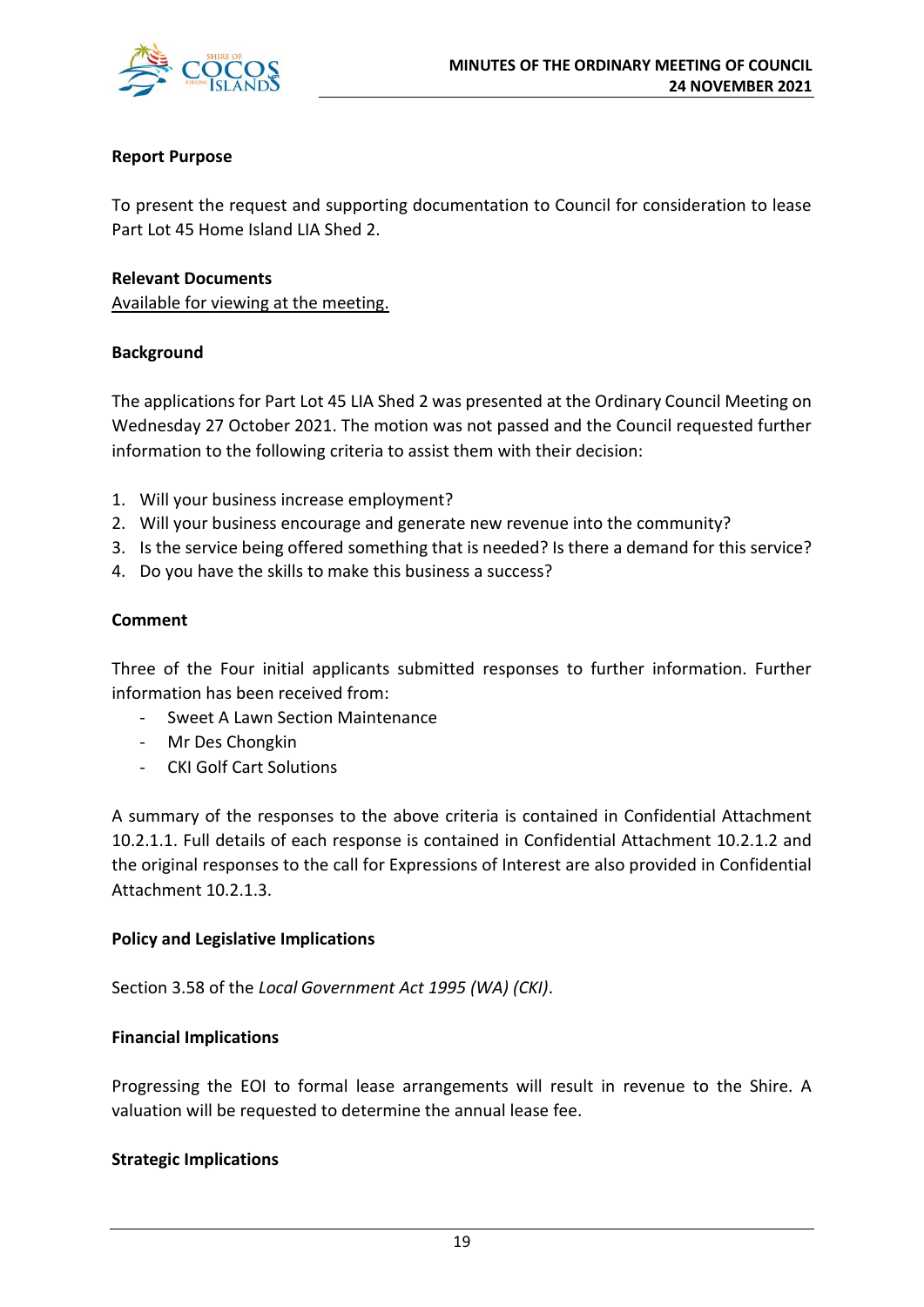

#### **Report Purpose**

To present the request and supporting documentation to Council for consideration to lease Part Lot 45 Home Island LIA Shed 2.

#### **Relevant Documents**

Available for viewing at the meeting.

#### **Background**

The applications for Part Lot 45 LIA Shed 2 was presented at the Ordinary Council Meeting on Wednesday 27 October 2021. The motion was not passed and the Council requested further information to the following criteria to assist them with their decision:

- 1. Will your business increase employment?
- 2. Will your business encourage and generate new revenue into the community?
- 3. Is the service being offered something that is needed? Is there a demand for this service?
- 4. Do you have the skills to make this business a success?

#### **Comment**

Three of the Four initial applicants submitted responses to further information. Further information has been received from:

- Sweet A Lawn Section Maintenance
- Mr Des Chongkin
- CKI Golf Cart Solutions

A summary of the responses to the above criteria is contained in Confidential Attachment 10.2.1.1. Full details of each response is contained in Confidential Attachment 10.2.1.2 and the original responses to the call for Expressions of Interest are also provided in Confidential Attachment 10.2.1.3.

#### **Policy and Legislative Implications**

Section 3.58 of the *Local Government Act 1995 (WA) (CKI)*.

#### **Financial Implications**

Progressing the EOI to formal lease arrangements will result in revenue to the Shire. A valuation will be requested to determine the annual lease fee.

#### **Strategic Implications**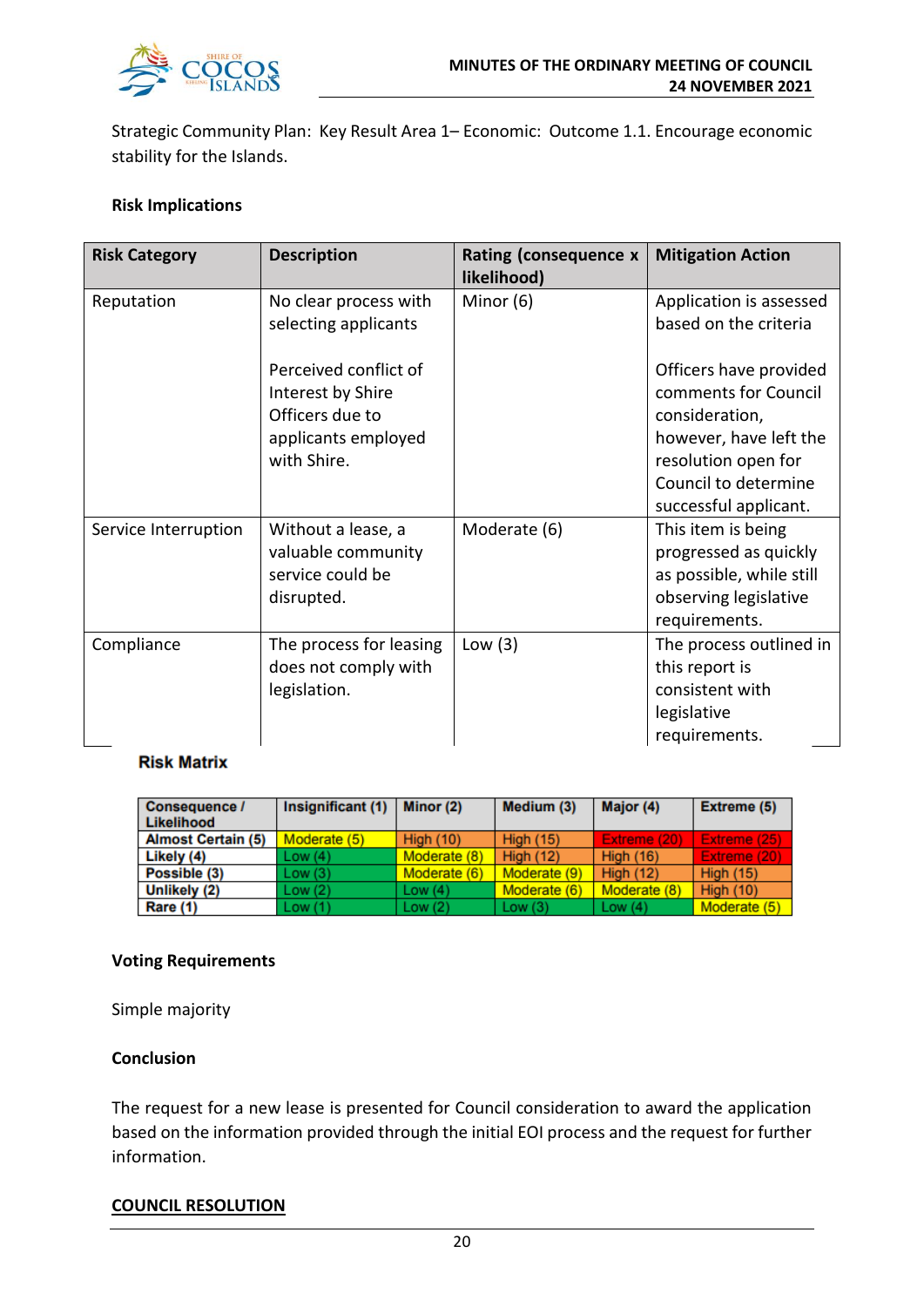

Strategic Community Plan: Key Result Area 1– Economic: Outcome 1.1. Encourage economic stability for the Islands.

#### **Risk Implications**

| <b>Risk Category</b> | <b>Description</b>                                                                                  | Rating (consequence x<br>likelihood) | <b>Mitigation Action</b>                                                                                                                                           |
|----------------------|-----------------------------------------------------------------------------------------------------|--------------------------------------|--------------------------------------------------------------------------------------------------------------------------------------------------------------------|
| Reputation           | No clear process with<br>selecting applicants                                                       | Minor (6)                            | Application is assessed<br>based on the criteria                                                                                                                   |
|                      | Perceived conflict of<br>Interest by Shire<br>Officers due to<br>applicants employed<br>with Shire. |                                      | Officers have provided<br>comments for Council<br>consideration,<br>however, have left the<br>resolution open for<br>Council to determine<br>successful applicant. |
| Service Interruption | Without a lease, a<br>valuable community<br>service could be<br>disrupted.                          | Moderate (6)                         | This item is being<br>progressed as quickly<br>as possible, while still<br>observing legislative<br>requirements.                                                  |
| Compliance           | The process for leasing<br>does not comply with<br>legislation.                                     | Low $(3)$                            | The process outlined in<br>this report is<br>consistent with<br>legislative<br>requirements.                                                                       |

#### **Risk Matrix**

| Consequence /<br>Likelihood | Insignificant (1) | Minor (2)        | Medium (3)       | Major (4)        | <b>Extreme (5)</b> |
|-----------------------------|-------------------|------------------|------------------|------------------|--------------------|
| <b>Almost Certain (5)</b>   | Moderate (5)      | <b>High (10)</b> | <b>High (15)</b> | Extreme (20)     | Extreme (25).      |
| Likely (4)                  | Low(4)            | Moderate (8)     | <b>High (12)</b> | <b>High (16)</b> | Extreme (20)       |
| Possible (3)                | Low(3)            | Moderate (6)     | Moderate (9)     | High $(12)$      | <b>High (15)</b>   |
| Unlikely (2)                | Low(2)            | Low $(4)$        | Moderate (6)     | Moderate (8)     | <b>High (10)</b>   |
| Rare (1)                    | Low(1)            | Low $(2)$        | Low(3)           | Low $(4)$        | Moderate (5)       |

#### **Voting Requirements**

Simple majority

#### **Conclusion**

The request for a new lease is presented for Council consideration to award the application based on the information provided through the initial EOI process and the request for further information.

#### **COUNCIL RESOLUTION**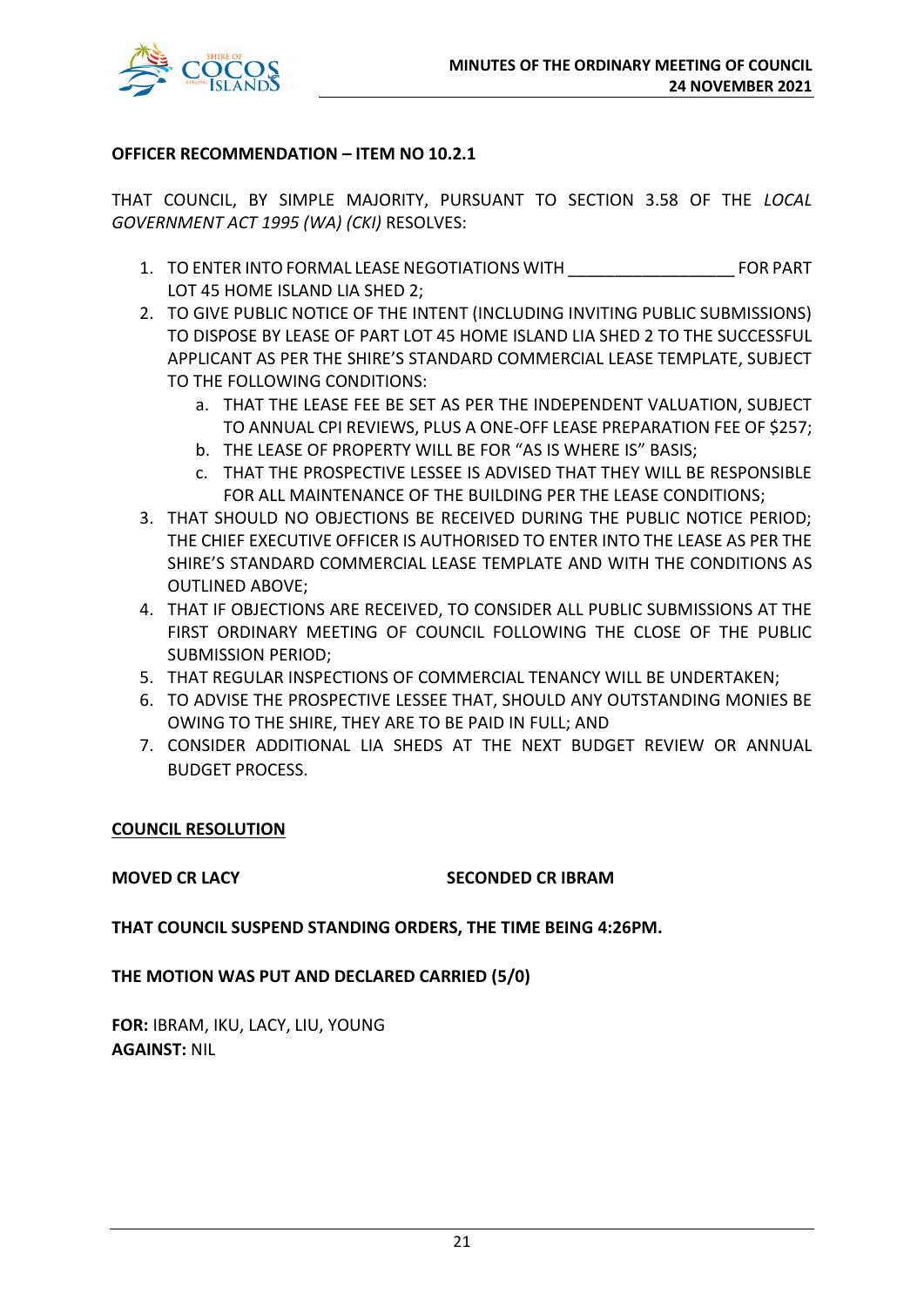

#### **OFFICER RECOMMENDATION – ITEM NO 10.2.1**

THAT COUNCIL, BY SIMPLE MAJORITY, PURSUANT TO SECTION 3.58 OF THE *LOCAL GOVERNMENT ACT 1995 (WA) (CKI)* RESOLVES:

- 1. TO ENTER INTO FORMAL LEASE NEGOTIATIONS WITH THE REPORT OF PART LOT 45 HOME ISLAND LIA SHED 2;
- 2. TO GIVE PUBLIC NOTICE OF THE INTENT (INCLUDING INVITING PUBLIC SUBMISSIONS) TO DISPOSE BY LEASE OF PART LOT 45 HOME ISLAND LIA SHED 2 TO THE SUCCESSFUL APPLICANT AS PER THE SHIRE'S STANDARD COMMERCIAL LEASE TEMPLATE, SUBJECT TO THE FOLLOWING CONDITIONS:
	- a. THAT THE LEASE FEE BE SET AS PER THE INDEPENDENT VALUATION, SUBJECT TO ANNUAL CPI REVIEWS, PLUS A ONE-OFF LEASE PREPARATION FEE OF \$257;
	- b. THE LEASE OF PROPERTY WILL BE FOR "AS IS WHERE IS" BASIS;
	- c. THAT THE PROSPECTIVE LESSEE IS ADVISED THAT THEY WILL BE RESPONSIBLE FOR ALL MAINTENANCE OF THE BUILDING PER THE LEASE CONDITIONS;
- 3. THAT SHOULD NO OBJECTIONS BE RECEIVED DURING THE PUBLIC NOTICE PERIOD; THE CHIEF EXECUTIVE OFFICER IS AUTHORISED TO ENTER INTO THE LEASE AS PER THE SHIRE'S STANDARD COMMERCIAL LEASE TEMPLATE AND WITH THE CONDITIONS AS OUTLINED ABOVE;
- 4. THAT IF OBJECTIONS ARE RECEIVED, TO CONSIDER ALL PUBLIC SUBMISSIONS AT THE FIRST ORDINARY MEETING OF COUNCIL FOLLOWING THE CLOSE OF THE PUBLIC SUBMISSION PERIOD;
- 5. THAT REGULAR INSPECTIONS OF COMMERCIAL TENANCY WILL BE UNDERTAKEN;
- 6. TO ADVISE THE PROSPECTIVE LESSEE THAT, SHOULD ANY OUTSTANDING MONIES BE OWING TO THE SHIRE, THEY ARE TO BE PAID IN FULL; AND
- 7. CONSIDER ADDITIONAL LIA SHEDS AT THE NEXT BUDGET REVIEW OR ANNUAL BUDGET PROCESS.

### **COUNCIL RESOLUTION**

#### **MOVED CR LACY SECONDED CR IBRAM**

**THAT COUNCIL SUSPEND STANDING ORDERS, THE TIME BEING 4:26PM.**

**THE MOTION WAS PUT AND DECLARED CARRIED (5/0)**

**FOR:** IBRAM, IKU, LACY, LIU, YOUNG **AGAINST:** NIL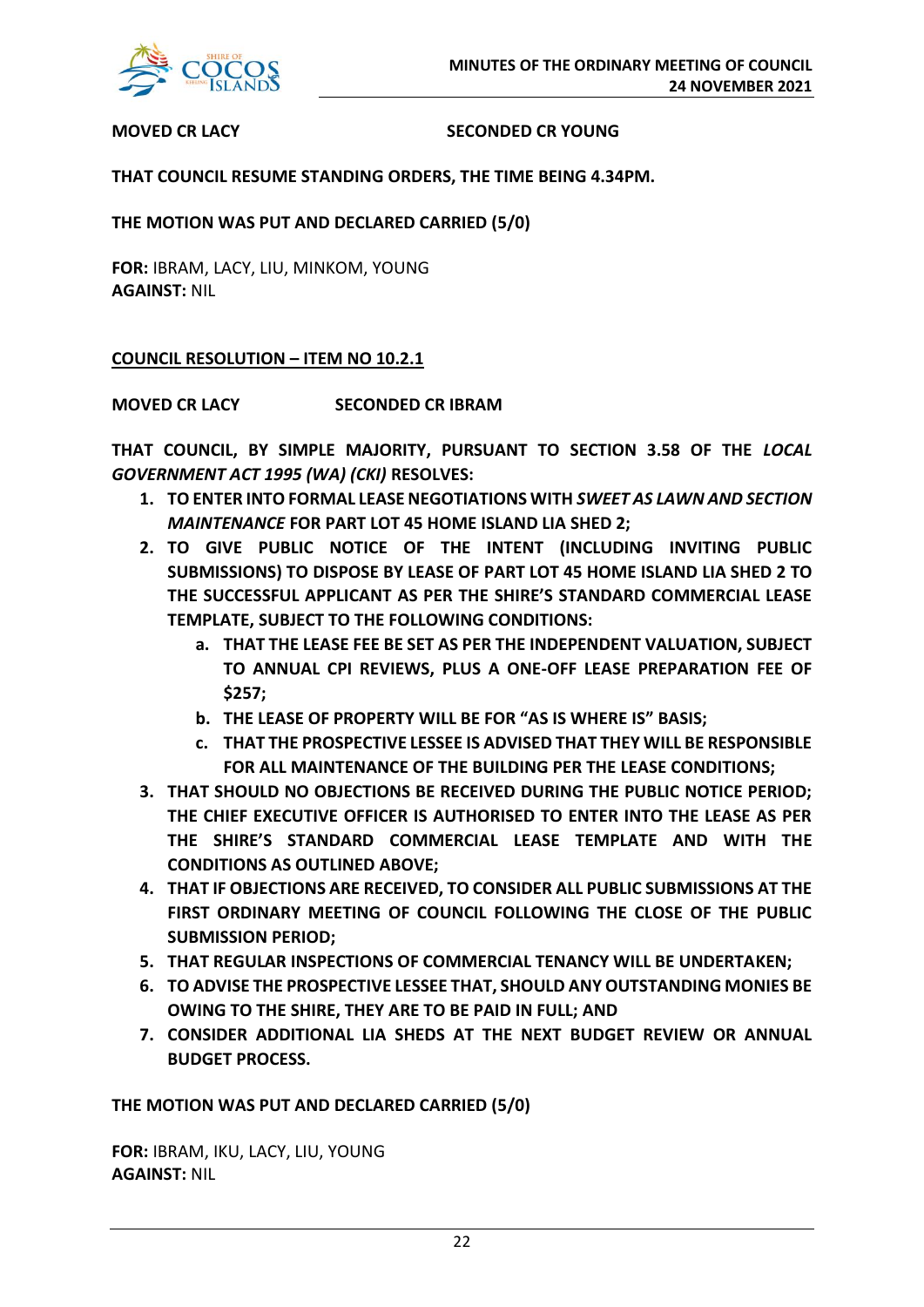

#### **MOVED CR LACY SECONDED CR YOUNG**

#### **THAT COUNCIL RESUME STANDING ORDERS, THE TIME BEING 4.34PM.**

**THE MOTION WAS PUT AND DECLARED CARRIED (5/0)**

**FOR:** IBRAM, LACY, LIU, MINKOM, YOUNG **AGAINST:** NIL

#### **COUNCIL RESOLUTION – ITEM NO 10.2.1**

**MOVED CR LACY SECONDED CR IBRAM**

**THAT COUNCIL, BY SIMPLE MAJORITY, PURSUANT TO SECTION 3.58 OF THE** *LOCAL GOVERNMENT ACT 1995 (WA) (CKI)* **RESOLVES:**

- **1. TO ENTER INTO FORMAL LEASE NEGOTIATIONS WITH** *SWEET AS LAWN AND SECTION MAINTENANCE* **FOR PART LOT 45 HOME ISLAND LIA SHED 2;**
- **2. TO GIVE PUBLIC NOTICE OF THE INTENT (INCLUDING INVITING PUBLIC SUBMISSIONS) TO DISPOSE BY LEASE OF PART LOT 45 HOME ISLAND LIA SHED 2 TO THE SUCCESSFUL APPLICANT AS PER THE SHIRE'S STANDARD COMMERCIAL LEASE TEMPLATE, SUBJECT TO THE FOLLOWING CONDITIONS:**
	- **a. THAT THE LEASE FEE BE SET AS PER THE INDEPENDENT VALUATION, SUBJECT TO ANNUAL CPI REVIEWS, PLUS A ONE-OFF LEASE PREPARATION FEE OF \$257;**
	- **b. THE LEASE OF PROPERTY WILL BE FOR "AS IS WHERE IS" BASIS;**
	- **c. THAT THE PROSPECTIVE LESSEE IS ADVISED THAT THEY WILL BE RESPONSIBLE FOR ALL MAINTENANCE OF THE BUILDING PER THE LEASE CONDITIONS;**
- **3. THAT SHOULD NO OBJECTIONS BE RECEIVED DURING THE PUBLIC NOTICE PERIOD; THE CHIEF EXECUTIVE OFFICER IS AUTHORISED TO ENTER INTO THE LEASE AS PER THE SHIRE'S STANDARD COMMERCIAL LEASE TEMPLATE AND WITH THE CONDITIONS AS OUTLINED ABOVE;**
- **4. THAT IF OBJECTIONS ARE RECEIVED, TO CONSIDER ALL PUBLIC SUBMISSIONS AT THE FIRST ORDINARY MEETING OF COUNCIL FOLLOWING THE CLOSE OF THE PUBLIC SUBMISSION PERIOD;**
- **5. THAT REGULAR INSPECTIONS OF COMMERCIAL TENANCY WILL BE UNDERTAKEN;**
- **6. TO ADVISE THE PROSPECTIVE LESSEE THAT, SHOULD ANY OUTSTANDING MONIES BE OWING TO THE SHIRE, THEY ARE TO BE PAID IN FULL; AND**
- **7. CONSIDER ADDITIONAL LIA SHEDS AT THE NEXT BUDGET REVIEW OR ANNUAL BUDGET PROCESS.**

**THE MOTION WAS PUT AND DECLARED CARRIED (5/0)**

**FOR:** IBRAM, IKU, LACY, LIU, YOUNG **AGAINST:** NIL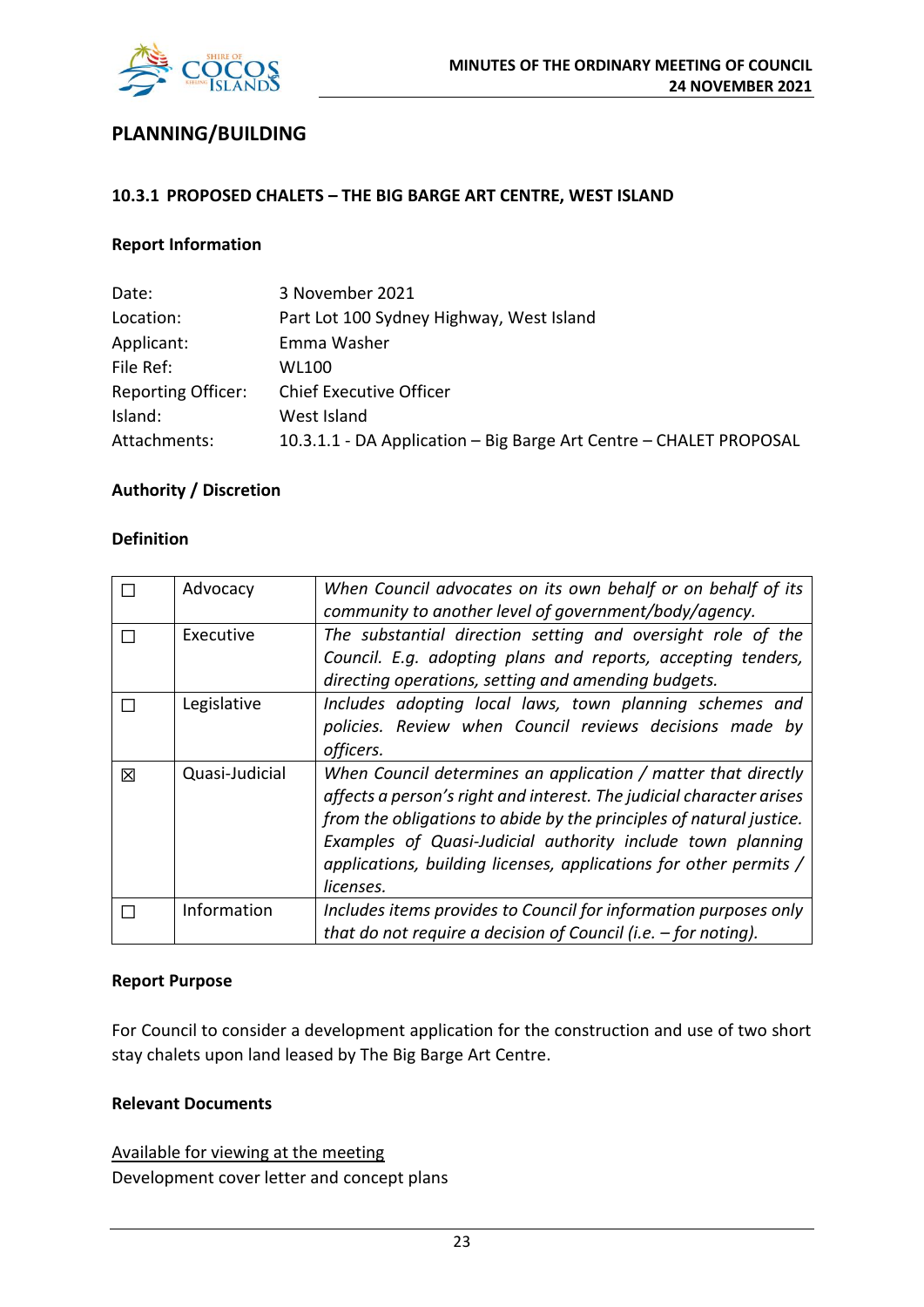

# **PLANNING/BUILDING**

#### **10.3.1 PROPOSED CHALETS – THE BIG BARGE ART CENTRE, WEST ISLAND**

#### **Report Information**

| Date:                     | 3 November 2021                                                    |
|---------------------------|--------------------------------------------------------------------|
| Location:                 | Part Lot 100 Sydney Highway, West Island                           |
| Applicant:                | Emma Washer                                                        |
| File Ref:                 | <b>WL100</b>                                                       |
| <b>Reporting Officer:</b> | <b>Chief Executive Officer</b>                                     |
| Island:                   | West Island                                                        |
| Attachments:              | 10.3.1.1 - DA Application – Big Barge Art Centre – CHALET PROPOSAL |

#### **Authority / Discretion**

#### **Definition**

|   | Advocacy       | When Council advocates on its own behalf or on behalf of its         |
|---|----------------|----------------------------------------------------------------------|
|   |                | community to another level of government/body/agency.                |
|   | Executive      | The substantial direction setting and oversight role of the          |
|   |                | Council. E.g. adopting plans and reports, accepting tenders,         |
|   |                | directing operations, setting and amending budgets.                  |
|   | Legislative    | Includes adopting local laws, town planning schemes and              |
|   |                | policies. Review when Council reviews decisions made by              |
|   |                | officers.                                                            |
| 冈 | Quasi-Judicial | When Council determines an application / matter that directly        |
|   |                | affects a person's right and interest. The judicial character arises |
|   |                | from the obligations to abide by the principles of natural justice.  |
|   |                | Examples of Quasi-Judicial authority include town planning           |
|   |                | applications, building licenses, applications for other permits /    |
|   |                | licenses.                                                            |
|   | Information    | Includes items provides to Council for information purposes only     |
|   |                | that do not require a decision of Council (i.e. $-$ for noting).     |

#### **Report Purpose**

For Council to consider a development application for the construction and use of two short stay chalets upon land leased by The Big Barge Art Centre.

#### **Relevant Documents**

Available for viewing at the meeting Development cover letter and concept plans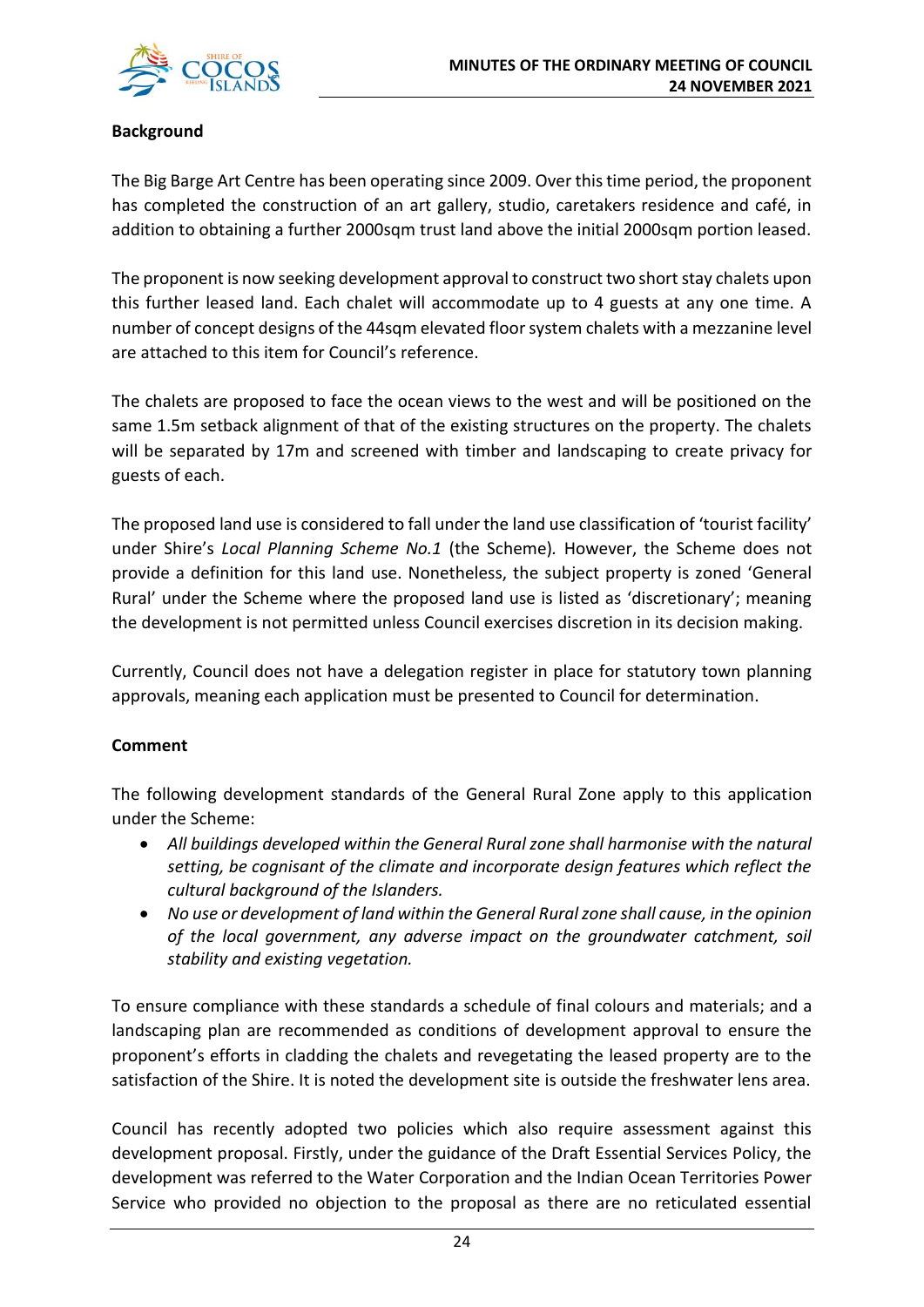### **Background**

The Big Barge Art Centre has been operating since 2009. Over this time period, the proponent has completed the construction of an art gallery, studio, caretakers residence and café, in addition to obtaining a further 2000sqm trust land above the initial 2000sqm portion leased.

The proponent is now seeking development approval to construct two short stay chalets upon this further leased land. Each chalet will accommodate up to 4 guests at any one time. A number of concept designs of the 44sqm elevated floor system chalets with a mezzanine level are attached to this item for Council's reference.

The chalets are proposed to face the ocean views to the west and will be positioned on the same 1.5m setback alignment of that of the existing structures on the property. The chalets will be separated by 17m and screened with timber and landscaping to create privacy for guests of each.

The proposed land use is considered to fall under the land use classification of 'tourist facility' under Shire's *Local Planning Scheme No.1* (the Scheme)*.* However, the Scheme does not provide a definition for this land use. Nonetheless, the subject property is zoned 'General Rural' under the Scheme where the proposed land use is listed as 'discretionary'; meaning the development is not permitted unless Council exercises discretion in its decision making.

Currently, Council does not have a delegation register in place for statutory town planning approvals, meaning each application must be presented to Council for determination.

### **Comment**

The following development standards of the General Rural Zone apply to this application under the Scheme:

- *All buildings developed within the General Rural zone shall harmonise with the natural setting, be cognisant of the climate and incorporate design features which reflect the cultural background of the Islanders.*
- *No use or development of land within the General Rural zone shall cause, in the opinion of the local government, any adverse impact on the groundwater catchment, soil stability and existing vegetation.*

To ensure compliance with these standards a schedule of final colours and materials; and a landscaping plan are recommended as conditions of development approval to ensure the proponent's efforts in cladding the chalets and revegetating the leased property are to the satisfaction of the Shire. It is noted the development site is outside the freshwater lens area.

Council has recently adopted two policies which also require assessment against this development proposal. Firstly, under the guidance of the Draft Essential Services Policy, the development was referred to the Water Corporation and the Indian Ocean Territories Power Service who provided no objection to the proposal as there are no reticulated essential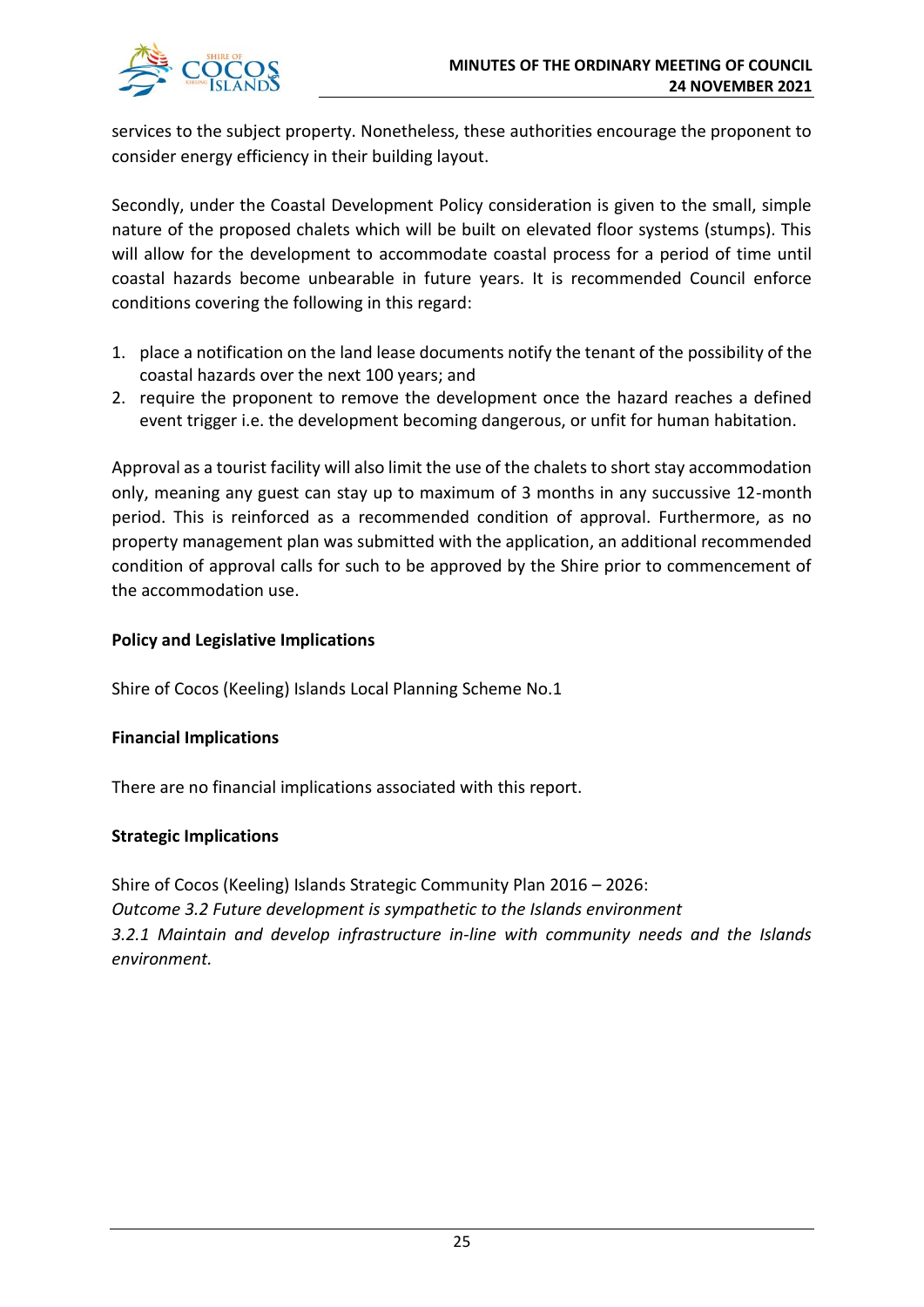

services to the subject property. Nonetheless, these authorities encourage the proponent to consider energy efficiency in their building layout.

Secondly, under the Coastal Development Policy consideration is given to the small, simple nature of the proposed chalets which will be built on elevated floor systems (stumps). This will allow for the development to accommodate coastal process for a period of time until coastal hazards become unbearable in future years. It is recommended Council enforce conditions covering the following in this regard:

- 1. place a notification on the land lease documents notify the tenant of the possibility of the coastal hazards over the next 100 years; and
- 2. require the proponent to remove the development once the hazard reaches a defined event trigger i.e. the development becoming dangerous, or unfit for human habitation.

Approval as a tourist facility will also limit the use of the chalets to short stay accommodation only, meaning any guest can stay up to maximum of 3 months in any succussive 12-month period. This is reinforced as a recommended condition of approval. Furthermore, as no property management plan was submitted with the application, an additional recommended condition of approval calls for such to be approved by the Shire prior to commencement of the accommodation use.

### **Policy and Legislative Implications**

Shire of Cocos (Keeling) Islands Local Planning Scheme No.1

#### **Financial Implications**

There are no financial implications associated with this report.

#### **Strategic Implications**

Shire of Cocos (Keeling) Islands Strategic Community Plan 2016 – 2026: *Outcome 3.2 Future development is sympathetic to the Islands environment 3.2.1 Maintain and develop infrastructure in-line with community needs and the Islands environment.*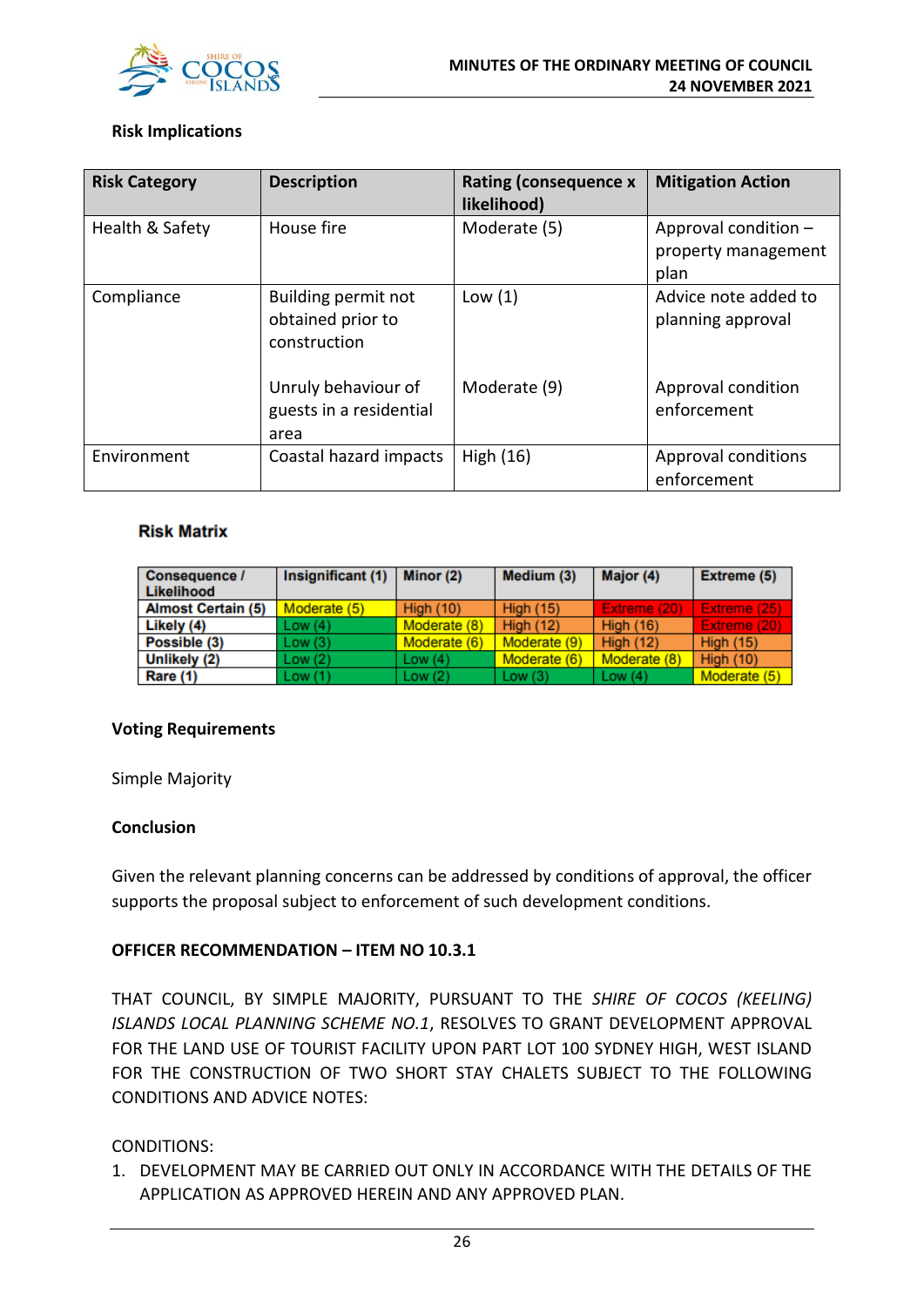

#### **Risk Implications**

| <b>Risk Category</b> | <b>Description</b>                                       | <b>Rating (consequence x</b><br>likelihood) | <b>Mitigation Action</b>                            |
|----------------------|----------------------------------------------------------|---------------------------------------------|-----------------------------------------------------|
| Health & Safety      | House fire                                               | Moderate (5)                                | Approval condition -<br>property management<br>plan |
| Compliance           | Building permit not<br>obtained prior to<br>construction | Low(1)                                      | Advice note added to<br>planning approval           |
|                      | Unruly behaviour of<br>guests in a residential<br>area   | Moderate (9)                                | Approval condition<br>enforcement                   |
| Environment          | Coastal hazard impacts                                   | High $(16)$                                 | Approval conditions<br>enforcement                  |

#### **Risk Matrix**

| <b>Consequence /</b><br>Likelihood | Insignificant (1) | Minor (2)        | Medium (3)       | Major (4)        | Extreme (5)      |
|------------------------------------|-------------------|------------------|------------------|------------------|------------------|
| <b>Almost Certain (5)</b>          | Moderate (5)      | <b>High (10)</b> | <b>High (15)</b> | Extreme (20)     | Extreme (25)     |
| Likely (4)                         | Low(4)            | Moderate (8)     | <b>High (12)</b> | <b>High (16)</b> | Extreme (20)     |
| Possible (3)                       | Low(3)            | Moderate (6)     | Moderate (9)     | <b>High (12)</b> | <b>High (15)</b> |
| Unlikely (2)                       | Low(2)            | Low $(4)$        | Moderate (6)     | Moderate (8)     | <b>High (10)</b> |
| Rare (1)                           | Low(1)            | Low $(2)$        | Low $(3)$        | Low $(4)$        | Moderate (5)     |

#### **Voting Requirements**

Simple Majority

#### **Conclusion**

Given the relevant planning concerns can be addressed by conditions of approval, the officer supports the proposal subject to enforcement of such development conditions.

#### **OFFICER RECOMMENDATION – ITEM NO 10.3.1**

THAT COUNCIL, BY SIMPLE MAJORITY, PURSUANT TO THE *SHIRE OF COCOS (KEELING) ISLANDS LOCAL PLANNING SCHEME NO.1*, RESOLVES TO GRANT DEVELOPMENT APPROVAL FOR THE LAND USE OF TOURIST FACILITY UPON PART LOT 100 SYDNEY HIGH, WEST ISLAND FOR THE CONSTRUCTION OF TWO SHORT STAY CHALETS SUBJECT TO THE FOLLOWING CONDITIONS AND ADVICE NOTES:

#### CONDITIONS:

1. DEVELOPMENT MAY BE CARRIED OUT ONLY IN ACCORDANCE WITH THE DETAILS OF THE APPLICATION AS APPROVED HEREIN AND ANY APPROVED PLAN.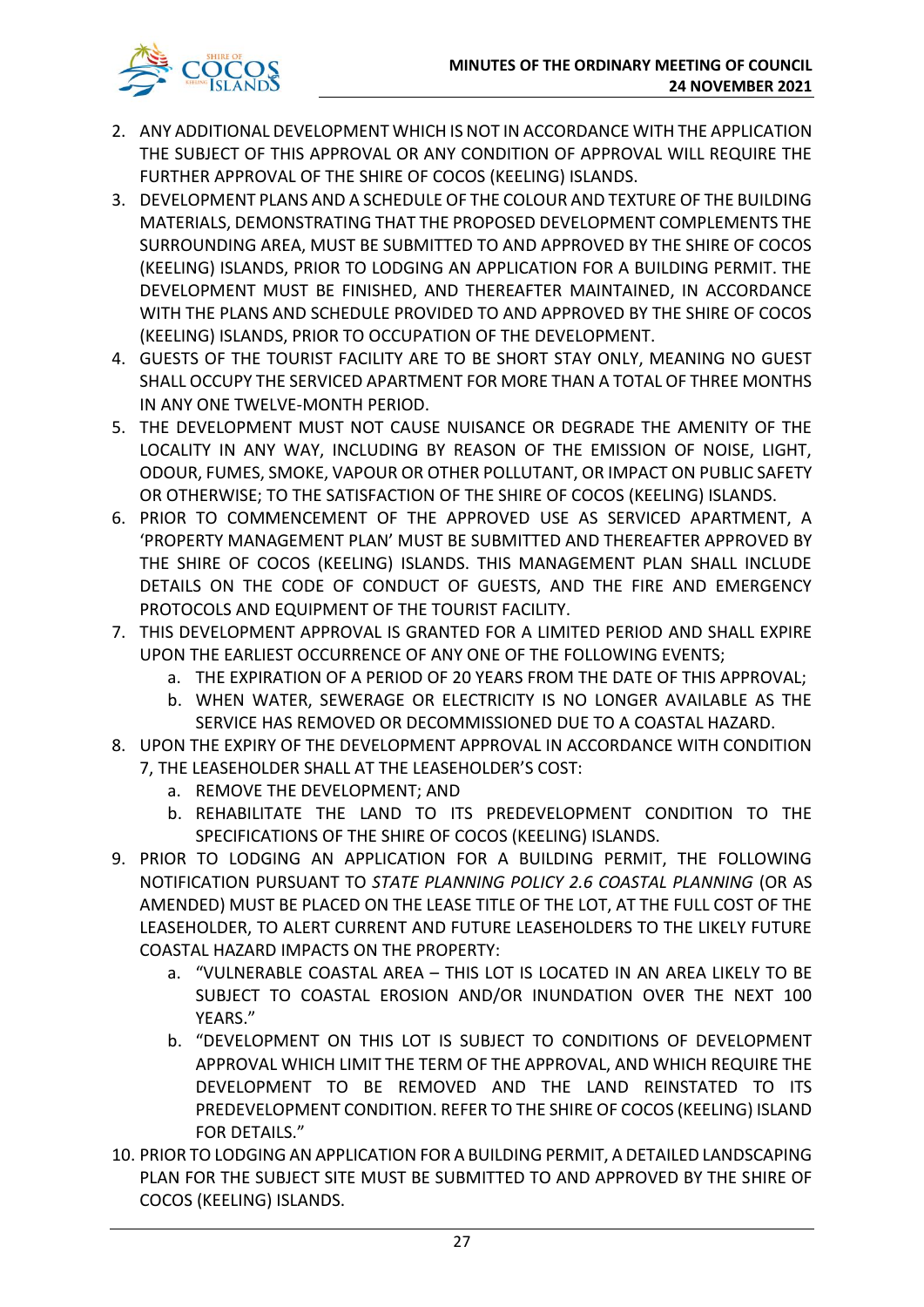

- 2. ANY ADDITIONAL DEVELOPMENT WHICH IS NOT IN ACCORDANCE WITH THE APPLICATION THE SUBJECT OF THIS APPROVAL OR ANY CONDITION OF APPROVAL WILL REQUIRE THE FURTHER APPROVAL OF THE SHIRE OF COCOS (KEELING) ISLANDS.
- 3. DEVELOPMENT PLANS AND A SCHEDULE OF THE COLOUR AND TEXTURE OF THE BUILDING MATERIALS, DEMONSTRATING THAT THE PROPOSED DEVELOPMENT COMPLEMENTS THE SURROUNDING AREA, MUST BE SUBMITTED TO AND APPROVED BY THE SHIRE OF COCOS (KEELING) ISLANDS, PRIOR TO LODGING AN APPLICATION FOR A BUILDING PERMIT. THE DEVELOPMENT MUST BE FINISHED, AND THEREAFTER MAINTAINED, IN ACCORDANCE WITH THE PLANS AND SCHEDULE PROVIDED TO AND APPROVED BY THE SHIRE OF COCOS (KEELING) ISLANDS, PRIOR TO OCCUPATION OF THE DEVELOPMENT.
- 4. GUESTS OF THE TOURIST FACILITY ARE TO BE SHORT STAY ONLY, MEANING NO GUEST SHALL OCCUPY THE SERVICED APARTMENT FOR MORE THAN A TOTAL OF THREE MONTHS IN ANY ONE TWELVE-MONTH PERIOD.
- 5. THE DEVELOPMENT MUST NOT CAUSE NUISANCE OR DEGRADE THE AMENITY OF THE LOCALITY IN ANY WAY, INCLUDING BY REASON OF THE EMISSION OF NOISE, LIGHT, ODOUR, FUMES, SMOKE, VAPOUR OR OTHER POLLUTANT, OR IMPACT ON PUBLIC SAFETY OR OTHERWISE; TO THE SATISFACTION OF THE SHIRE OF COCOS (KEELING) ISLANDS.
- 6. PRIOR TO COMMENCEMENT OF THE APPROVED USE AS SERVICED APARTMENT, A 'PROPERTY MANAGEMENT PLAN' MUST BE SUBMITTED AND THEREAFTER APPROVED BY THE SHIRE OF COCOS (KEELING) ISLANDS. THIS MANAGEMENT PLAN SHALL INCLUDE DETAILS ON THE CODE OF CONDUCT OF GUESTS, AND THE FIRE AND EMERGENCY PROTOCOLS AND EQUIPMENT OF THE TOURIST FACILITY.
- 7. THIS DEVELOPMENT APPROVAL IS GRANTED FOR A LIMITED PERIOD AND SHALL EXPIRE UPON THE EARLIEST OCCURRENCE OF ANY ONE OF THE FOLLOWING EVENTS;
	- a. THE EXPIRATION OF A PERIOD OF 20 YEARS FROM THE DATE OF THIS APPROVAL;
	- b. WHEN WATER, SEWERAGE OR ELECTRICITY IS NO LONGER AVAILABLE AS THE SERVICE HAS REMOVED OR DECOMMISSIONED DUE TO A COASTAL HAZARD.
- 8. UPON THE EXPIRY OF THE DEVELOPMENT APPROVAL IN ACCORDANCE WITH CONDITION 7, THE LEASEHOLDER SHALL AT THE LEASEHOLDER'S COST:
	- a. REMOVE THE DEVELOPMENT; AND
	- b. REHABILITATE THE LAND TO ITS PREDEVELOPMENT CONDITION TO THE SPECIFICATIONS OF THE SHIRE OF COCOS (KEELING) ISLANDS.
- 9. PRIOR TO LODGING AN APPLICATION FOR A BUILDING PERMIT, THE FOLLOWING NOTIFICATION PURSUANT TO *STATE PLANNING POLICY 2.6 COASTAL PLANNING* (OR AS AMENDED) MUST BE PLACED ON THE LEASE TITLE OF THE LOT, AT THE FULL COST OF THE LEASEHOLDER, TO ALERT CURRENT AND FUTURE LEASEHOLDERS TO THE LIKELY FUTURE COASTAL HAZARD IMPACTS ON THE PROPERTY:
	- a. "VULNERABLE COASTAL AREA THIS LOT IS LOCATED IN AN AREA LIKELY TO BE SUBJECT TO COASTAL EROSION AND/OR INUNDATION OVER THE NEXT 100 YEARS."
	- b. "DEVELOPMENT ON THIS LOT IS SUBJECT TO CONDITIONS OF DEVELOPMENT APPROVAL WHICH LIMIT THE TERM OF THE APPROVAL, AND WHICH REQUIRE THE DEVELOPMENT TO BE REMOVED AND THE LAND REINSTATED TO ITS PREDEVELOPMENT CONDITION. REFER TO THE SHIRE OF COCOS (KEELING) ISLAND FOR DETAILS."
- 10. PRIOR TO LODGING AN APPLICATION FOR A BUILDING PERMIT, A DETAILED LANDSCAPING PLAN FOR THE SUBJECT SITE MUST BE SUBMITTED TO AND APPROVED BY THE SHIRE OF COCOS (KEELING) ISLANDS.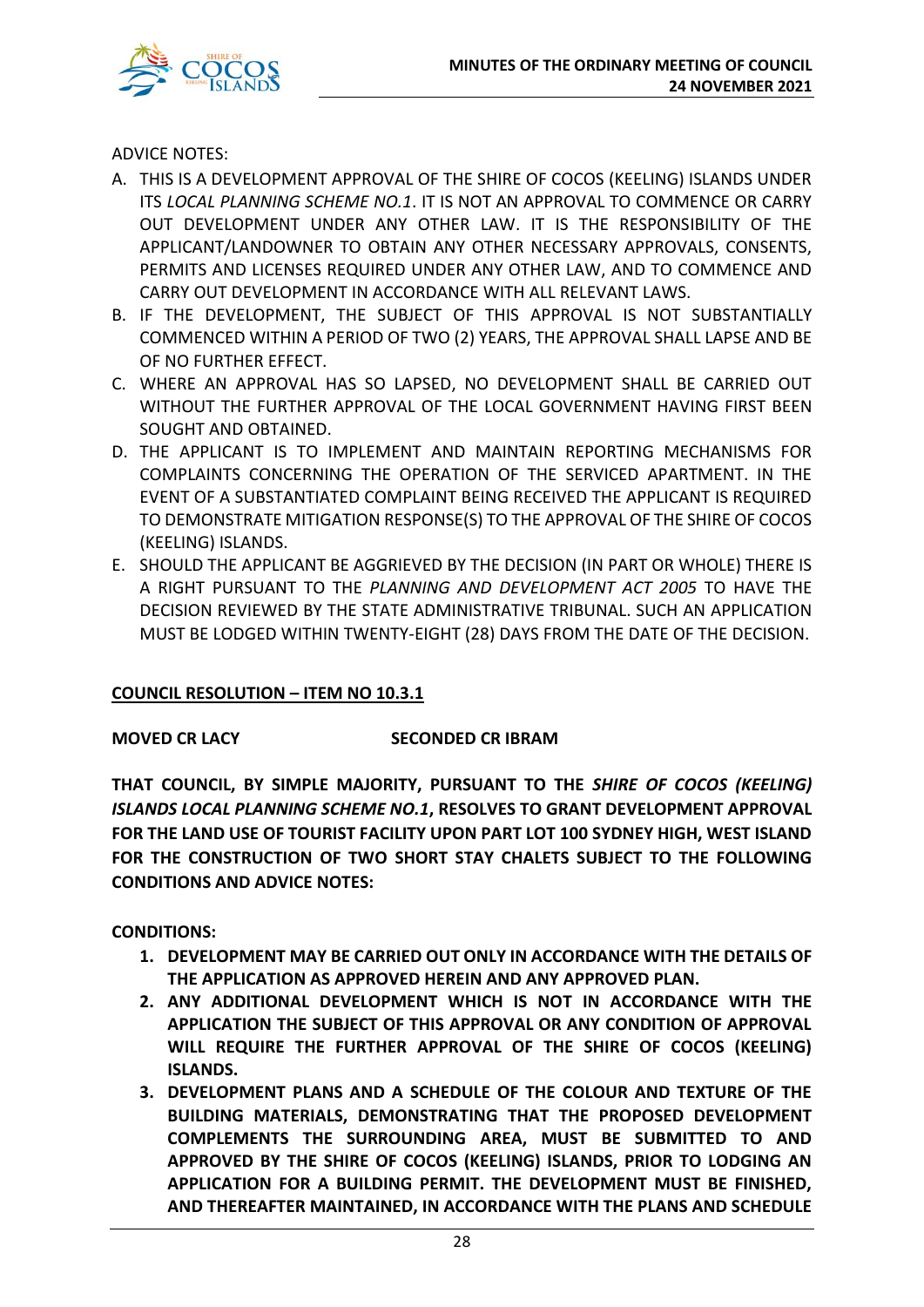

ADVICE NOTES:

- A. THIS IS A DEVELOPMENT APPROVAL OF THE SHIRE OF COCOS (KEELING) ISLANDS UNDER ITS *LOCAL PLANNING SCHEME NO.1*. IT IS NOT AN APPROVAL TO COMMENCE OR CARRY OUT DEVELOPMENT UNDER ANY OTHER LAW. IT IS THE RESPONSIBILITY OF THE APPLICANT/LANDOWNER TO OBTAIN ANY OTHER NECESSARY APPROVALS, CONSENTS, PERMITS AND LICENSES REQUIRED UNDER ANY OTHER LAW, AND TO COMMENCE AND CARRY OUT DEVELOPMENT IN ACCORDANCE WITH ALL RELEVANT LAWS.
- B. IF THE DEVELOPMENT, THE SUBJECT OF THIS APPROVAL IS NOT SUBSTANTIALLY COMMENCED WITHIN A PERIOD OF TWO (2) YEARS, THE APPROVAL SHALL LAPSE AND BE OF NO FURTHER EFFECT.
- C. WHERE AN APPROVAL HAS SO LAPSED, NO DEVELOPMENT SHALL BE CARRIED OUT WITHOUT THE FURTHER APPROVAL OF THE LOCAL GOVERNMENT HAVING FIRST BEEN SOUGHT AND OBTAINED.
- D. THE APPLICANT IS TO IMPLEMENT AND MAINTAIN REPORTING MECHANISMS FOR COMPLAINTS CONCERNING THE OPERATION OF THE SERVICED APARTMENT. IN THE EVENT OF A SUBSTANTIATED COMPLAINT BEING RECEIVED THE APPLICANT IS REQUIRED TO DEMONSTRATE MITIGATION RESPONSE(S) TO THE APPROVAL OF THE SHIRE OF COCOS (KEELING) ISLANDS.
- E. SHOULD THE APPLICANT BE AGGRIEVED BY THE DECISION (IN PART OR WHOLE) THERE IS A RIGHT PURSUANT TO THE *PLANNING AND DEVELOPMENT ACT 2005* TO HAVE THE DECISION REVIEWED BY THE STATE ADMINISTRATIVE TRIBUNAL. SUCH AN APPLICATION MUST BE LODGED WITHIN TWENTY-EIGHT (28) DAYS FROM THE DATE OF THE DECISION.

#### **COUNCIL RESOLUTION – ITEM NO 10.3.1**

#### **MOVED CR LACY SECONDED CR IBRAM**

**THAT COUNCIL, BY SIMPLE MAJORITY, PURSUANT TO THE** *SHIRE OF COCOS (KEELING) ISLANDS LOCAL PLANNING SCHEME NO.1***, RESOLVES TO GRANT DEVELOPMENT APPROVAL FOR THE LAND USE OF TOURIST FACILITY UPON PART LOT 100 SYDNEY HIGH, WEST ISLAND FOR THE CONSTRUCTION OF TWO SHORT STAY CHALETS SUBJECT TO THE FOLLOWING CONDITIONS AND ADVICE NOTES:** 

**CONDITIONS:** 

- **1. DEVELOPMENT MAY BE CARRIED OUT ONLY IN ACCORDANCE WITH THE DETAILS OF THE APPLICATION AS APPROVED HEREIN AND ANY APPROVED PLAN.**
- **2. ANY ADDITIONAL DEVELOPMENT WHICH IS NOT IN ACCORDANCE WITH THE APPLICATION THE SUBJECT OF THIS APPROVAL OR ANY CONDITION OF APPROVAL WILL REQUIRE THE FURTHER APPROVAL OF THE SHIRE OF COCOS (KEELING) ISLANDS.**
- **3. DEVELOPMENT PLANS AND A SCHEDULE OF THE COLOUR AND TEXTURE OF THE BUILDING MATERIALS, DEMONSTRATING THAT THE PROPOSED DEVELOPMENT COMPLEMENTS THE SURROUNDING AREA, MUST BE SUBMITTED TO AND APPROVED BY THE SHIRE OF COCOS (KEELING) ISLANDS, PRIOR TO LODGING AN APPLICATION FOR A BUILDING PERMIT. THE DEVELOPMENT MUST BE FINISHED, AND THEREAFTER MAINTAINED, IN ACCORDANCE WITH THE PLANS AND SCHEDULE**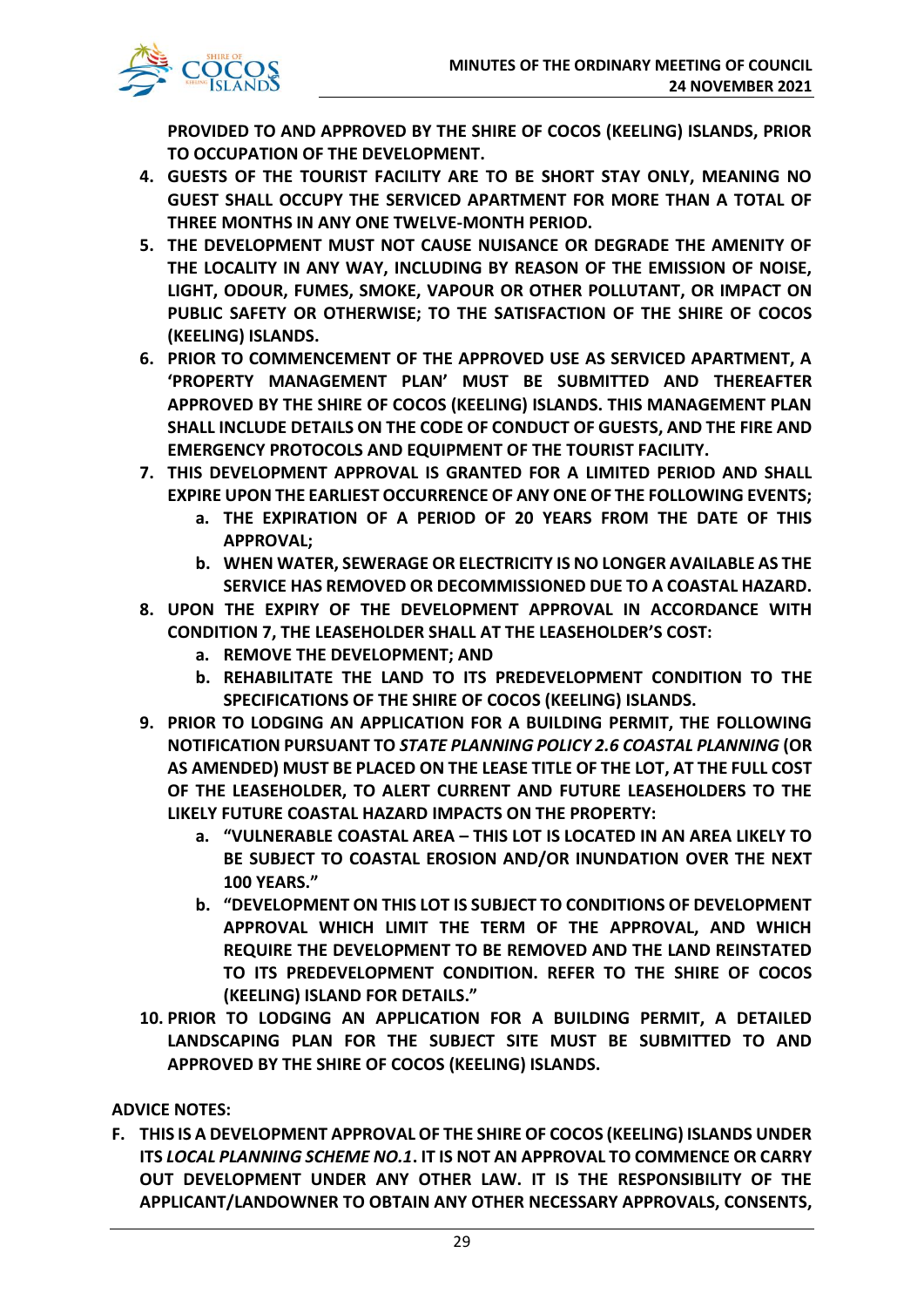

**PROVIDED TO AND APPROVED BY THE SHIRE OF COCOS (KEELING) ISLANDS, PRIOR TO OCCUPATION OF THE DEVELOPMENT.**

- **4. GUESTS OF THE TOURIST FACILITY ARE TO BE SHORT STAY ONLY, MEANING NO GUEST SHALL OCCUPY THE SERVICED APARTMENT FOR MORE THAN A TOTAL OF THREE MONTHS IN ANY ONE TWELVE-MONTH PERIOD.**
- **5. THE DEVELOPMENT MUST NOT CAUSE NUISANCE OR DEGRADE THE AMENITY OF THE LOCALITY IN ANY WAY, INCLUDING BY REASON OF THE EMISSION OF NOISE, LIGHT, ODOUR, FUMES, SMOKE, VAPOUR OR OTHER POLLUTANT, OR IMPACT ON PUBLIC SAFETY OR OTHERWISE; TO THE SATISFACTION OF THE SHIRE OF COCOS (KEELING) ISLANDS.**
- **6. PRIOR TO COMMENCEMENT OF THE APPROVED USE AS SERVICED APARTMENT, A 'PROPERTY MANAGEMENT PLAN' MUST BE SUBMITTED AND THEREAFTER APPROVED BY THE SHIRE OF COCOS (KEELING) ISLANDS. THIS MANAGEMENT PLAN SHALL INCLUDE DETAILS ON THE CODE OF CONDUCT OF GUESTS, AND THE FIRE AND EMERGENCY PROTOCOLS AND EQUIPMENT OF THE TOURIST FACILITY.**
- **7. THIS DEVELOPMENT APPROVAL IS GRANTED FOR A LIMITED PERIOD AND SHALL EXPIRE UPON THE EARLIEST OCCURRENCE OF ANY ONE OF THE FOLLOWING EVENTS;**
	- **a. THE EXPIRATION OF A PERIOD OF 20 YEARS FROM THE DATE OF THIS APPROVAL;**
	- **b. WHEN WATER, SEWERAGE OR ELECTRICITY IS NO LONGER AVAILABLE AS THE SERVICE HAS REMOVED OR DECOMMISSIONED DUE TO A COASTAL HAZARD.**
- **8. UPON THE EXPIRY OF THE DEVELOPMENT APPROVAL IN ACCORDANCE WITH CONDITION 7, THE LEASEHOLDER SHALL AT THE LEASEHOLDER'S COST:** 
	- **a. REMOVE THE DEVELOPMENT; AND**
	- **b. REHABILITATE THE LAND TO ITS PREDEVELOPMENT CONDITION TO THE SPECIFICATIONS OF THE SHIRE OF COCOS (KEELING) ISLANDS.**
- **9. PRIOR TO LODGING AN APPLICATION FOR A BUILDING PERMIT, THE FOLLOWING NOTIFICATION PURSUANT TO** *STATE PLANNING POLICY 2.6 COASTAL PLANNING* **(OR AS AMENDED) MUST BE PLACED ON THE LEASE TITLE OF THE LOT, AT THE FULL COST OF THE LEASEHOLDER, TO ALERT CURRENT AND FUTURE LEASEHOLDERS TO THE LIKELY FUTURE COASTAL HAZARD IMPACTS ON THE PROPERTY:**
	- **a. "VULNERABLE COASTAL AREA – THIS LOT IS LOCATED IN AN AREA LIKELY TO BE SUBJECT TO COASTAL EROSION AND/OR INUNDATION OVER THE NEXT 100 YEARS."**
	- **b. "DEVELOPMENT ON THIS LOT IS SUBJECT TO CONDITIONS OF DEVELOPMENT APPROVAL WHICH LIMIT THE TERM OF THE APPROVAL, AND WHICH REQUIRE THE DEVELOPMENT TO BE REMOVED AND THE LAND REINSTATED TO ITS PREDEVELOPMENT CONDITION. REFER TO THE SHIRE OF COCOS (KEELING) ISLAND FOR DETAILS."**
- **10. PRIOR TO LODGING AN APPLICATION FOR A BUILDING PERMIT, A DETAILED LANDSCAPING PLAN FOR THE SUBJECT SITE MUST BE SUBMITTED TO AND APPROVED BY THE SHIRE OF COCOS (KEELING) ISLANDS.**

# **ADVICE NOTES:**

**F. THIS IS A DEVELOPMENT APPROVAL OF THE SHIRE OF COCOS (KEELING) ISLANDS UNDER ITS** *LOCAL PLANNING SCHEME NO.1***. IT IS NOT AN APPROVAL TO COMMENCE OR CARRY OUT DEVELOPMENT UNDER ANY OTHER LAW. IT IS THE RESPONSIBILITY OF THE APPLICANT/LANDOWNER TO OBTAIN ANY OTHER NECESSARY APPROVALS, CONSENTS,**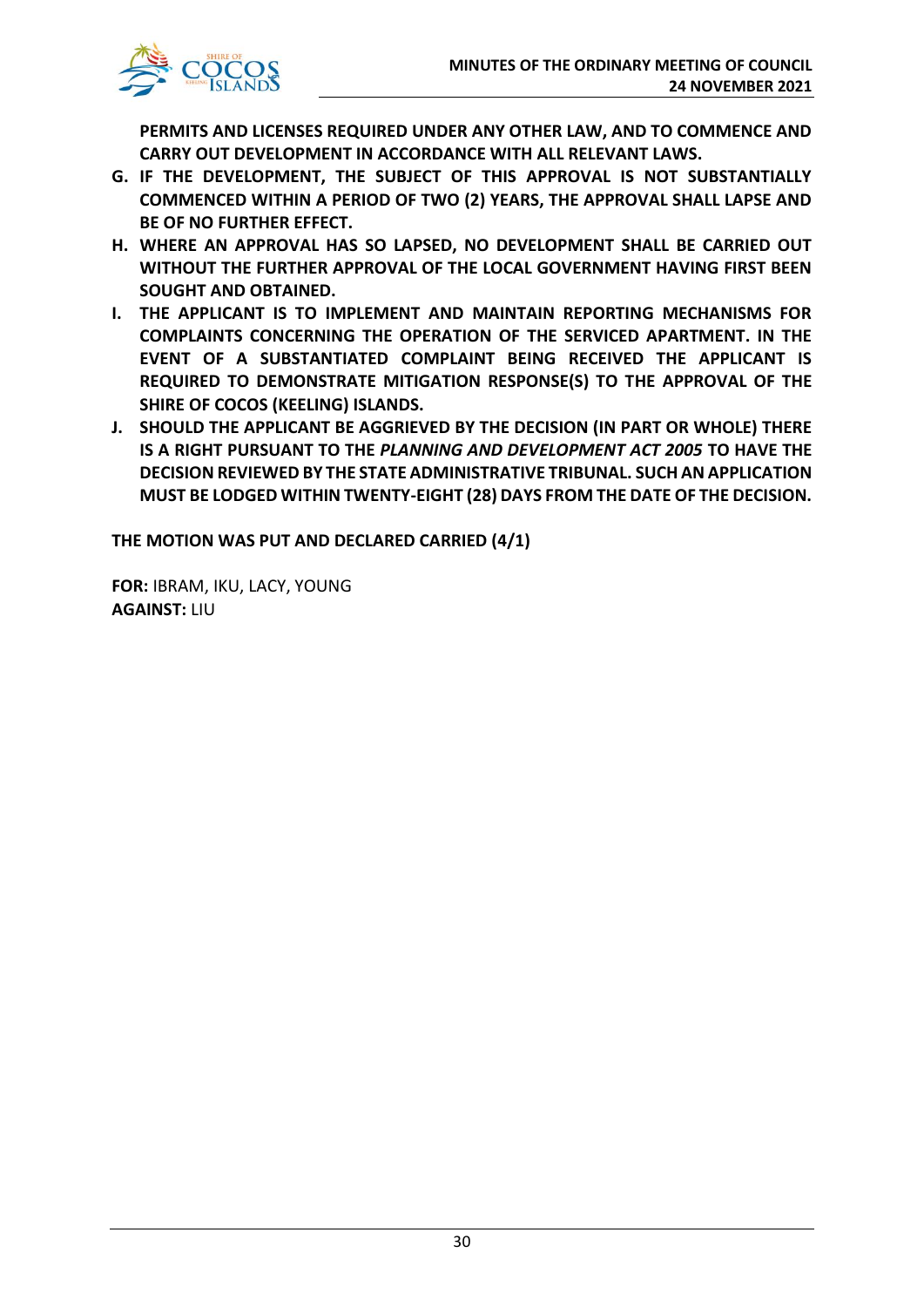

**PERMITS AND LICENSES REQUIRED UNDER ANY OTHER LAW, AND TO COMMENCE AND CARRY OUT DEVELOPMENT IN ACCORDANCE WITH ALL RELEVANT LAWS.**

- **G. IF THE DEVELOPMENT, THE SUBJECT OF THIS APPROVAL IS NOT SUBSTANTIALLY COMMENCED WITHIN A PERIOD OF TWO (2) YEARS, THE APPROVAL SHALL LAPSE AND BE OF NO FURTHER EFFECT.**
- **H. WHERE AN APPROVAL HAS SO LAPSED, NO DEVELOPMENT SHALL BE CARRIED OUT WITHOUT THE FURTHER APPROVAL OF THE LOCAL GOVERNMENT HAVING FIRST BEEN SOUGHT AND OBTAINED.**
- **I. THE APPLICANT IS TO IMPLEMENT AND MAINTAIN REPORTING MECHANISMS FOR COMPLAINTS CONCERNING THE OPERATION OF THE SERVICED APARTMENT. IN THE EVENT OF A SUBSTANTIATED COMPLAINT BEING RECEIVED THE APPLICANT IS REQUIRED TO DEMONSTRATE MITIGATION RESPONSE(S) TO THE APPROVAL OF THE SHIRE OF COCOS (KEELING) ISLANDS.**
- **J. SHOULD THE APPLICANT BE AGGRIEVED BY THE DECISION (IN PART OR WHOLE) THERE IS A RIGHT PURSUANT TO THE** *PLANNING AND DEVELOPMENT ACT 2005* **TO HAVE THE DECISION REVIEWED BY THE STATE ADMINISTRATIVE TRIBUNAL. SUCH AN APPLICATION MUST BE LODGED WITHIN TWENTY-EIGHT (28) DAYS FROM THE DATE OF THE DECISION.**

**THE MOTION WAS PUT AND DECLARED CARRIED (4/1)**

**FOR:** IBRAM, IKU, LACY, YOUNG **AGAINST:** LIU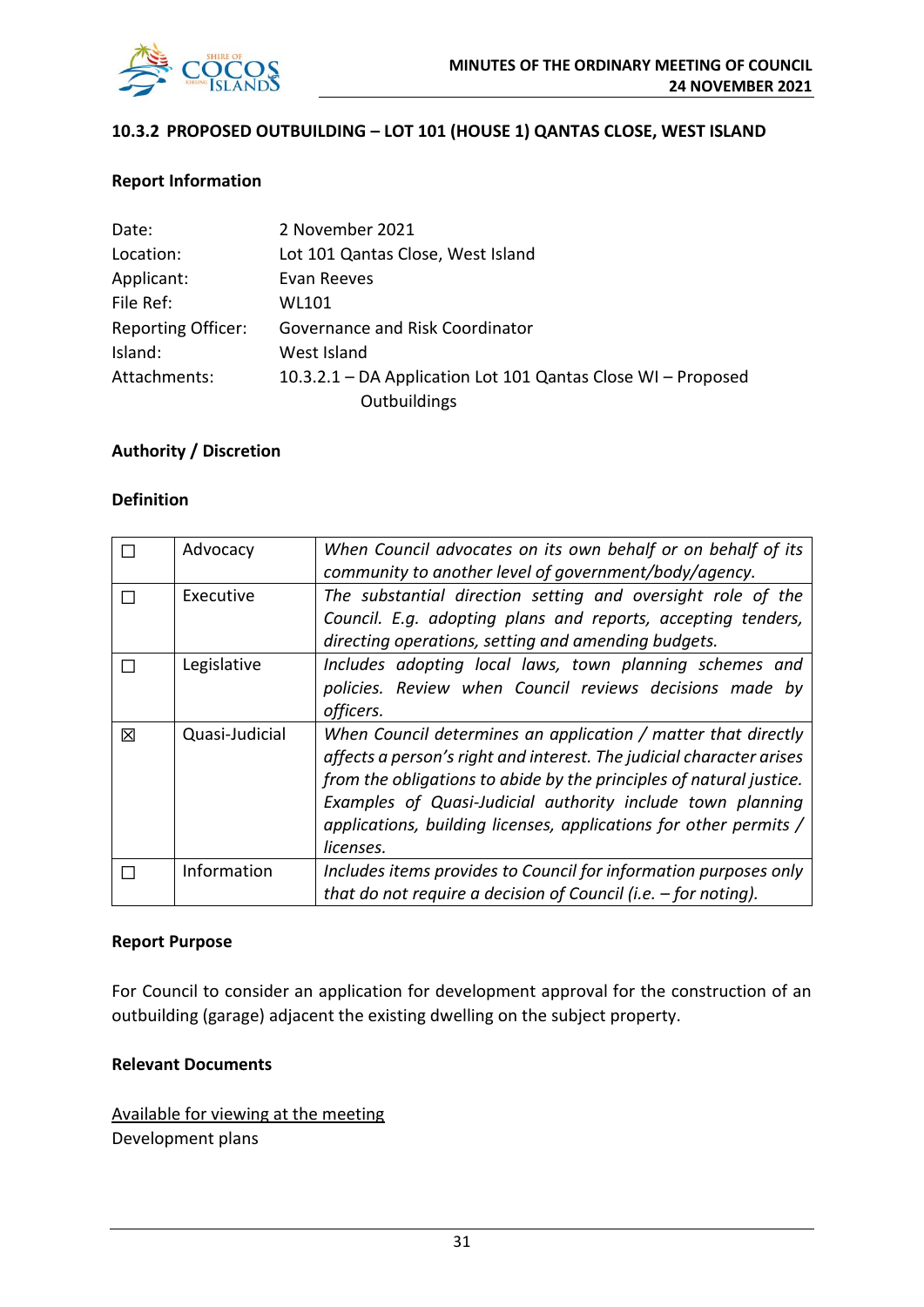

#### **10.3.2 PROPOSED OUTBUILDING – LOT 101 (HOUSE 1) QANTAS CLOSE, WEST ISLAND**

#### **Report Information**

| Date:                     | 2 November 2021                                              |
|---------------------------|--------------------------------------------------------------|
| Location:                 | Lot 101 Qantas Close, West Island                            |
| Applicant:                | Evan Reeves                                                  |
| File Ref:                 | WL101                                                        |
| <b>Reporting Officer:</b> | Governance and Risk Coordinator                              |
| Island:                   | West Island                                                  |
| Attachments:              | 10.3.2.1 – DA Application Lot 101 Qantas Close WI – Proposed |
|                           | Outbuildings                                                 |

#### **Authority / Discretion**

#### **Definition**

|   | Advocacy       | When Council advocates on its own behalf or on behalf of its<br>community to another level of government/body/agency.                                                                                                                                                                                                                                        |
|---|----------------|--------------------------------------------------------------------------------------------------------------------------------------------------------------------------------------------------------------------------------------------------------------------------------------------------------------------------------------------------------------|
|   | Executive      | The substantial direction setting and oversight role of the<br>Council. E.g. adopting plans and reports, accepting tenders,<br>directing operations, setting and amending budgets.                                                                                                                                                                           |
|   | Legislative    | Includes adopting local laws, town planning schemes and<br>policies. Review when Council reviews decisions made by<br>officers.                                                                                                                                                                                                                              |
| 冈 | Quasi-Judicial | When Council determines an application / matter that directly<br>affects a person's right and interest. The judicial character arises<br>from the obligations to abide by the principles of natural justice.<br>Examples of Quasi-Judicial authority include town planning<br>applications, building licenses, applications for other permits /<br>licenses. |
|   | Information    | Includes items provides to Council for information purposes only<br>that do not require a decision of Council (i.e. $-$ for noting).                                                                                                                                                                                                                         |

#### **Report Purpose**

For Council to consider an application for development approval for the construction of an outbuilding (garage) adjacent the existing dwelling on the subject property.

#### **Relevant Documents**

Available for viewing at the meeting Development plans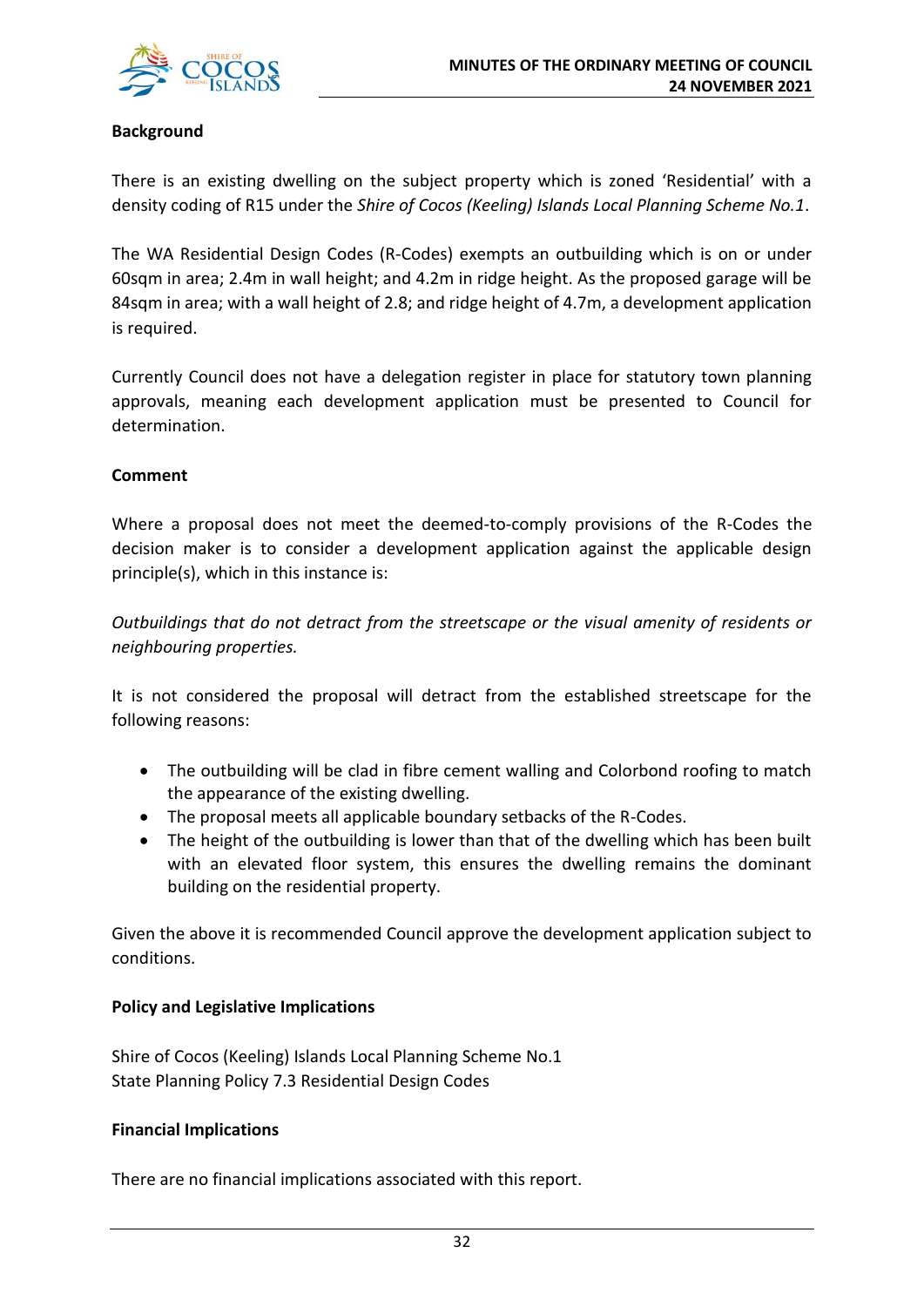

#### **Background**

There is an existing dwelling on the subject property which is zoned 'Residential' with a density coding of R15 under the *Shire of Cocos (Keeling) Islands Local Planning Scheme No.1*.

The WA Residential Design Codes (R-Codes) exempts an outbuilding which is on or under 60sqm in area; 2.4m in wall height; and 4.2m in ridge height. As the proposed garage will be 84sqm in area; with a wall height of 2.8; and ridge height of 4.7m, a development application is required.

Currently Council does not have a delegation register in place for statutory town planning approvals, meaning each development application must be presented to Council for determination.

#### **Comment**

Where a proposal does not meet the deemed-to-comply provisions of the R-Codes the decision maker is to consider a development application against the applicable design principle(s), which in this instance is:

*Outbuildings that do not detract from the streetscape or the visual amenity of residents or neighbouring properties.* 

It is not considered the proposal will detract from the established streetscape for the following reasons:

- The outbuilding will be clad in fibre cement walling and Colorbond roofing to match the appearance of the existing dwelling.
- The proposal meets all applicable boundary setbacks of the R-Codes.
- The height of the outbuilding is lower than that of the dwelling which has been built with an elevated floor system, this ensures the dwelling remains the dominant building on the residential property.

Given the above it is recommended Council approve the development application subject to conditions.

### **Policy and Legislative Implications**

Shire of Cocos (Keeling) Islands Local Planning Scheme No.1 State Planning Policy 7.3 Residential Design Codes

#### **Financial Implications**

There are no financial implications associated with this report.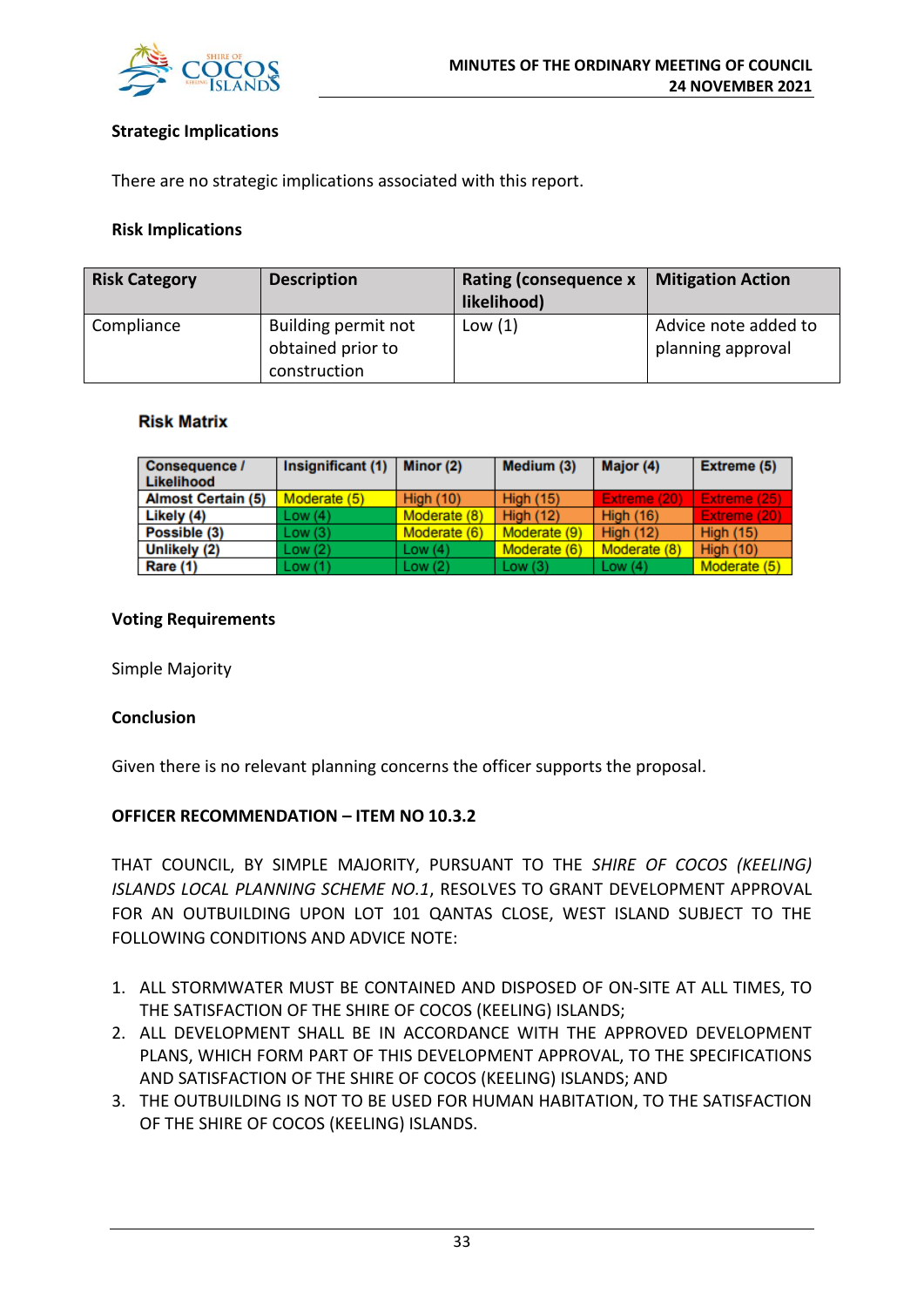

#### **Strategic Implications**

There are no strategic implications associated with this report.

#### **Risk Implications**

| <b>Risk Category</b> | <b>Description</b>                       | <b>Rating (consequence x</b><br>likelihood) | <b>Mitigation Action</b>                  |
|----------------------|------------------------------------------|---------------------------------------------|-------------------------------------------|
| Compliance           | Building permit not<br>obtained prior to | Low $(1)$                                   | Advice note added to<br>planning approval |
|                      | construction                             |                                             |                                           |

#### **Risk Matrix**

| <b>Consequence /</b><br>Likelihood | Insignificant (1) | Minor (2)        | Medium (3)       | Major (4)        | Extreme (5)      |
|------------------------------------|-------------------|------------------|------------------|------------------|------------------|
| <b>Almost Certain (5)</b>          | Moderate (5)      | <b>High (10)</b> | <b>High (15)</b> | Extreme (20)     | Extreme (25).    |
| Likely (4)                         | Low(4)            | Moderate (8)     | <b>High (12)</b> | <b>High (16)</b> | Extreme (20)     |
| Possible (3)                       | Low(3)            | Moderate (6)     | Moderate (9)     | <b>High (12)</b> | <b>High (15)</b> |
| Unlikely (2)                       | Low(2)            | Low $(4)$        | Moderate (6)     | Moderate (8)     | <b>High (10)</b> |
| <b>Rare (1)</b>                    | Low(1)            | Low(2)           | Low $(3)$        | Low $(4)$        | Moderate (5)     |

#### **Voting Requirements**

Simple Majority

#### **Conclusion**

Given there is no relevant planning concerns the officer supports the proposal.

#### **OFFICER RECOMMENDATION – ITEM NO 10.3.2**

THAT COUNCIL, BY SIMPLE MAJORITY, PURSUANT TO THE *SHIRE OF COCOS (KEELING) ISLANDS LOCAL PLANNING SCHEME NO.1*, RESOLVES TO GRANT DEVELOPMENT APPROVAL FOR AN OUTBUILDING UPON LOT 101 QANTAS CLOSE, WEST ISLAND SUBJECT TO THE FOLLOWING CONDITIONS AND ADVICE NOTE:

- 1. ALL STORMWATER MUST BE CONTAINED AND DISPOSED OF ON-SITE AT ALL TIMES, TO THE SATISFACTION OF THE SHIRE OF COCOS (KEELING) ISLANDS;
- 2. ALL DEVELOPMENT SHALL BE IN ACCORDANCE WITH THE APPROVED DEVELOPMENT PLANS, WHICH FORM PART OF THIS DEVELOPMENT APPROVAL, TO THE SPECIFICATIONS AND SATISFACTION OF THE SHIRE OF COCOS (KEELING) ISLANDS; AND
- 3. THE OUTBUILDING IS NOT TO BE USED FOR HUMAN HABITATION, TO THE SATISFACTION OF THE SHIRE OF COCOS (KEELING) ISLANDS.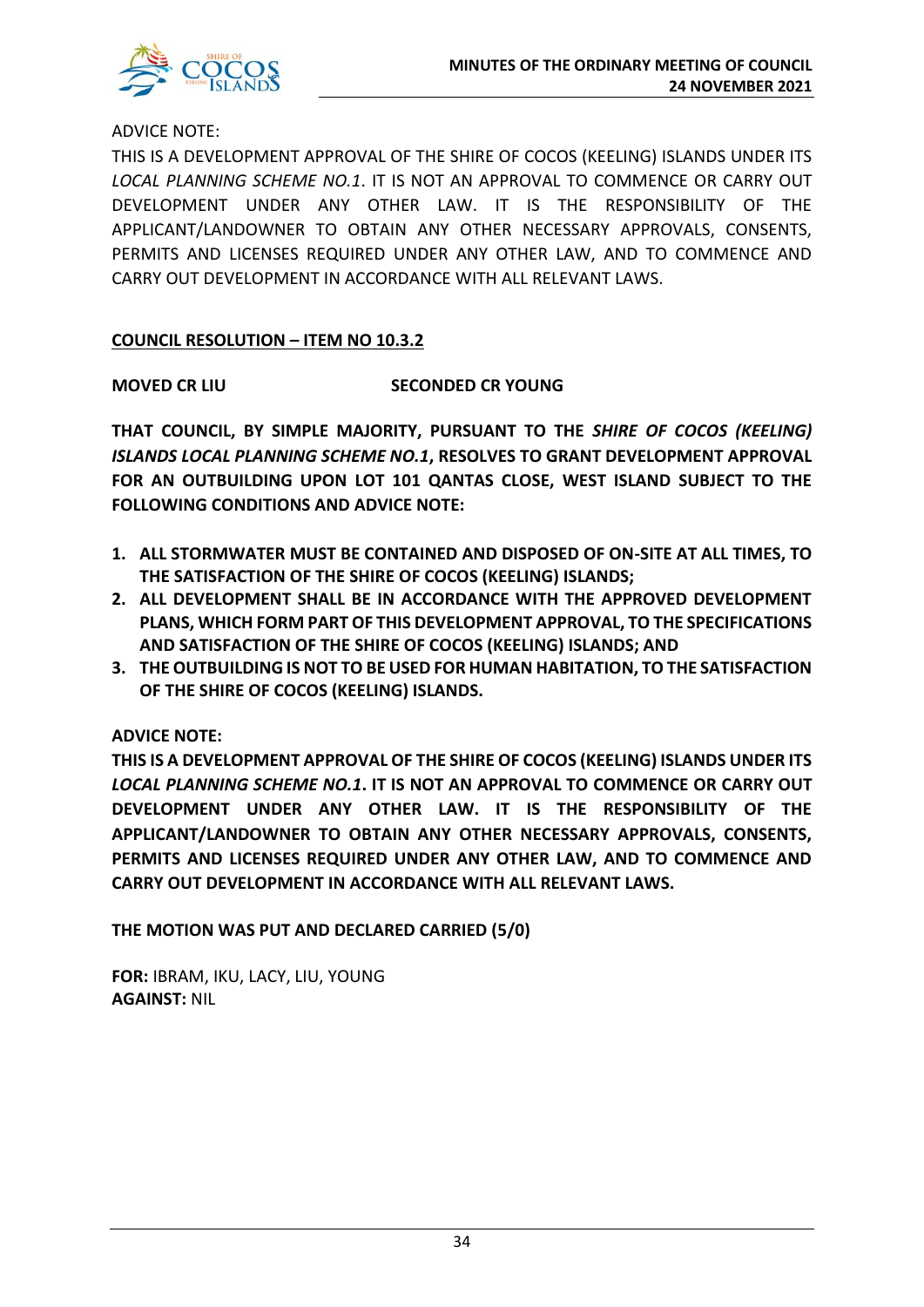

ADVICE NOTE:

THIS IS A DEVELOPMENT APPROVAL OF THE SHIRE OF COCOS (KEELING) ISLANDS UNDER ITS *LOCAL PLANNING SCHEME NO.1*. IT IS NOT AN APPROVAL TO COMMENCE OR CARRY OUT DEVELOPMENT UNDER ANY OTHER LAW. IT IS THE RESPONSIBILITY OF THE APPLICANT/LANDOWNER TO OBTAIN ANY OTHER NECESSARY APPROVALS, CONSENTS, PERMITS AND LICENSES REQUIRED UNDER ANY OTHER LAW, AND TO COMMENCE AND CARRY OUT DEVELOPMENT IN ACCORDANCE WITH ALL RELEVANT LAWS.

### **COUNCIL RESOLUTION – ITEM NO 10.3.2**

**MOVED CR LIU SECONDED CR YOUNG**

**THAT COUNCIL, BY SIMPLE MAJORITY, PURSUANT TO THE** *SHIRE OF COCOS (KEELING) ISLANDS LOCAL PLANNING SCHEME NO.1***, RESOLVES TO GRANT DEVELOPMENT APPROVAL FOR AN OUTBUILDING UPON LOT 101 QANTAS CLOSE, WEST ISLAND SUBJECT TO THE FOLLOWING CONDITIONS AND ADVICE NOTE:** 

- **1. ALL STORMWATER MUST BE CONTAINED AND DISPOSED OF ON-SITE AT ALL TIMES, TO THE SATISFACTION OF THE SHIRE OF COCOS (KEELING) ISLANDS;**
- **2. ALL DEVELOPMENT SHALL BE IN ACCORDANCE WITH THE APPROVED DEVELOPMENT PLANS, WHICH FORM PART OF THIS DEVELOPMENT APPROVAL, TO THE SPECIFICATIONS AND SATISFACTION OF THE SHIRE OF COCOS (KEELING) ISLANDS; AND**
- **3. THE OUTBUILDING IS NOT TO BE USED FOR HUMAN HABITATION, TO THE SATISFACTION OF THE SHIRE OF COCOS (KEELING) ISLANDS.**

#### **ADVICE NOTE:**

**THIS IS A DEVELOPMENT APPROVAL OF THE SHIRE OF COCOS (KEELING) ISLANDS UNDER ITS**  *LOCAL PLANNING SCHEME NO.1***. IT IS NOT AN APPROVAL TO COMMENCE OR CARRY OUT DEVELOPMENT UNDER ANY OTHER LAW. IT IS THE RESPONSIBILITY OF THE APPLICANT/LANDOWNER TO OBTAIN ANY OTHER NECESSARY APPROVALS, CONSENTS, PERMITS AND LICENSES REQUIRED UNDER ANY OTHER LAW, AND TO COMMENCE AND CARRY OUT DEVELOPMENT IN ACCORDANCE WITH ALL RELEVANT LAWS.**

**THE MOTION WAS PUT AND DECLARED CARRIED (5/0)**

**FOR:** IBRAM, IKU, LACY, LIU, YOUNG **AGAINST:** NIL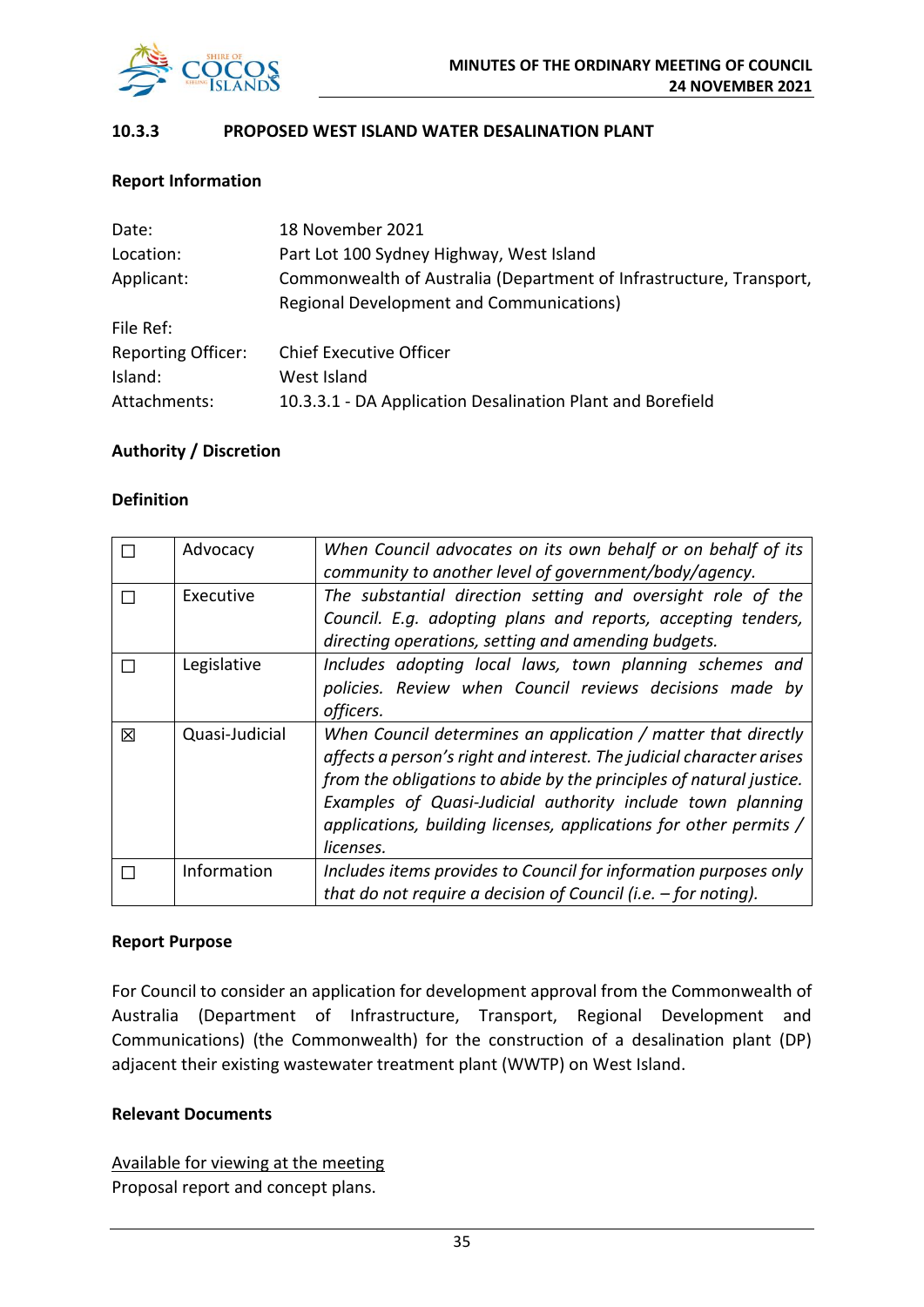

#### **10.3.3 PROPOSED WEST ISLAND WATER DESALINATION PLANT**

#### **Report Information**

| Date:                     | 18 November 2021                                                    |  |  |
|---------------------------|---------------------------------------------------------------------|--|--|
| Location:                 | Part Lot 100 Sydney Highway, West Island                            |  |  |
| Applicant:                | Commonwealth of Australia (Department of Infrastructure, Transport, |  |  |
|                           | <b>Regional Development and Communications)</b>                     |  |  |
| File Ref:                 |                                                                     |  |  |
| <b>Reporting Officer:</b> | <b>Chief Executive Officer</b>                                      |  |  |
| Island:                   | West Island                                                         |  |  |
| Attachments:              | 10.3.3.1 - DA Application Desalination Plant and Borefield          |  |  |

#### **Authority / Discretion**

#### **Definition**

|   | Advocacy       | When Council advocates on its own behalf or on behalf of its<br>community to another level of government/body/agency.                                                                                                                                                                                                                                        |
|---|----------------|--------------------------------------------------------------------------------------------------------------------------------------------------------------------------------------------------------------------------------------------------------------------------------------------------------------------------------------------------------------|
|   | Executive      | The substantial direction setting and oversight role of the<br>Council. E.g. adopting plans and reports, accepting tenders,<br>directing operations, setting and amending budgets.                                                                                                                                                                           |
|   | Legislative    | Includes adopting local laws, town planning schemes and<br>policies. Review when Council reviews decisions made by<br>officers.                                                                                                                                                                                                                              |
| 冈 | Quasi-Judicial | When Council determines an application / matter that directly<br>affects a person's right and interest. The judicial character arises<br>from the obligations to abide by the principles of natural justice.<br>Examples of Quasi-Judicial authority include town planning<br>applications, building licenses, applications for other permits /<br>licenses. |
|   | Information    | Includes items provides to Council for information purposes only<br>that do not require a decision of Council (i.e. $-$ for noting).                                                                                                                                                                                                                         |

#### **Report Purpose**

For Council to consider an application for development approval from the Commonwealth of Australia (Department of Infrastructure, Transport, Regional Development and Communications) (the Commonwealth) for the construction of a desalination plant (DP) adjacent their existing wastewater treatment plant (WWTP) on West Island.

#### **Relevant Documents**

Available for viewing at the meeting Proposal report and concept plans.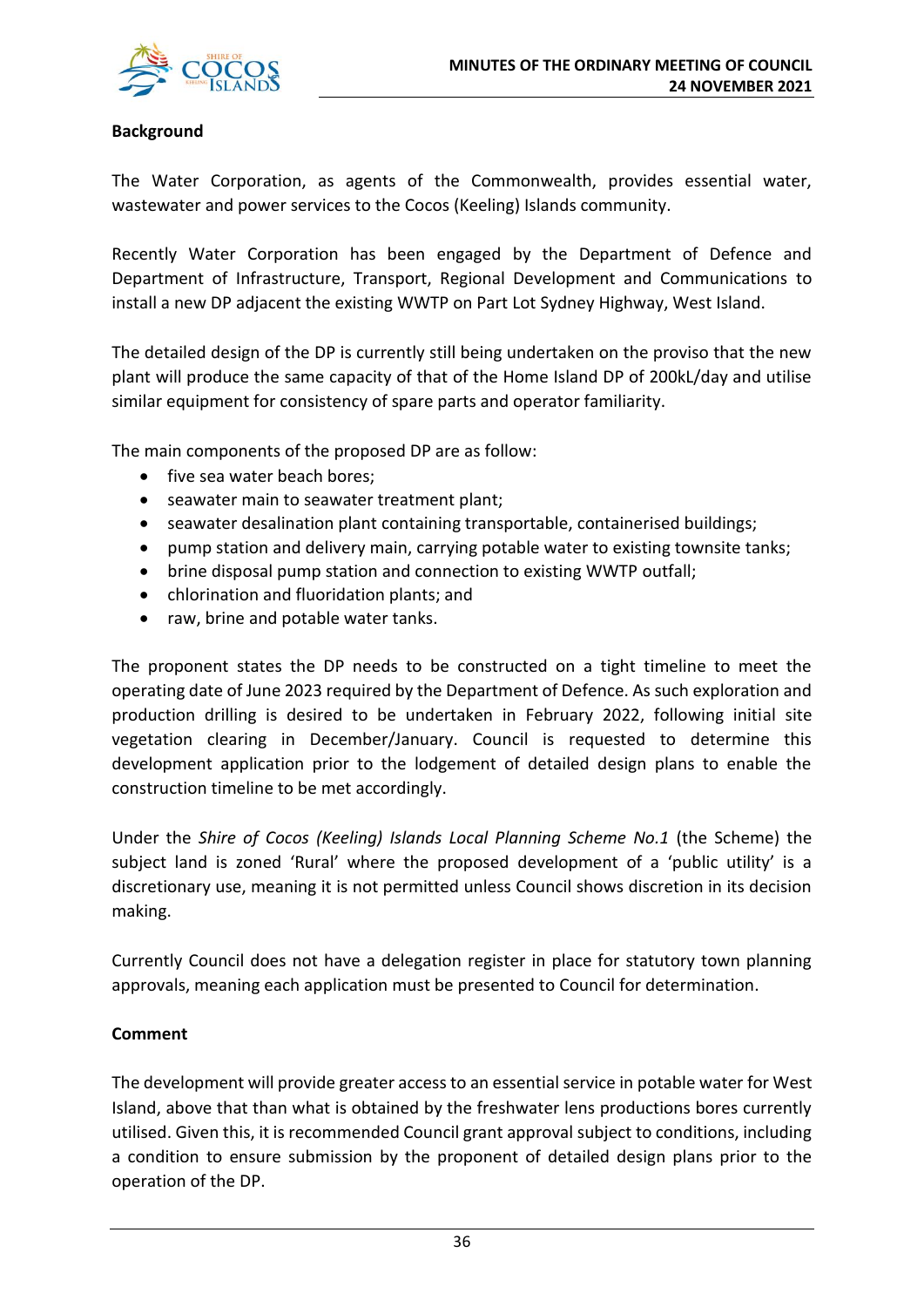

#### **Background**

The Water Corporation, as agents of the Commonwealth, provides essential water, wastewater and power services to the Cocos (Keeling) Islands community.

Recently Water Corporation has been engaged by the Department of Defence and Department of Infrastructure, Transport, Regional Development and Communications to install a new DP adjacent the existing WWTP on Part Lot Sydney Highway, West Island.

The detailed design of the DP is currently still being undertaken on the proviso that the new plant will produce the same capacity of that of the Home Island DP of 200kL/day and utilise similar equipment for consistency of spare parts and operator familiarity.

The main components of the proposed DP are as follow:

- five sea water beach bores;
- seawater main to seawater treatment plant;
- seawater desalination plant containing transportable, containerised buildings;
- pump station and delivery main, carrying potable water to existing townsite tanks;
- brine disposal pump station and connection to existing WWTP outfall;
- chlorination and fluoridation plants; and
- raw, brine and potable water tanks.

The proponent states the DP needs to be constructed on a tight timeline to meet the operating date of June 2023 required by the Department of Defence. As such exploration and production drilling is desired to be undertaken in February 2022, following initial site vegetation clearing in December/January. Council is requested to determine this development application prior to the lodgement of detailed design plans to enable the construction timeline to be met accordingly.

Under the *Shire of Cocos (Keeling) Islands Local Planning Scheme No.1* (the Scheme) the subject land is zoned 'Rural' where the proposed development of a 'public utility' is a discretionary use, meaning it is not permitted unless Council shows discretion in its decision making.

Currently Council does not have a delegation register in place for statutory town planning approvals, meaning each application must be presented to Council for determination.

#### **Comment**

The development will provide greater access to an essential service in potable water for West Island, above that than what is obtained by the freshwater lens productions bores currently utilised. Given this, it is recommended Council grant approval subject to conditions, including a condition to ensure submission by the proponent of detailed design plans prior to the operation of the DP.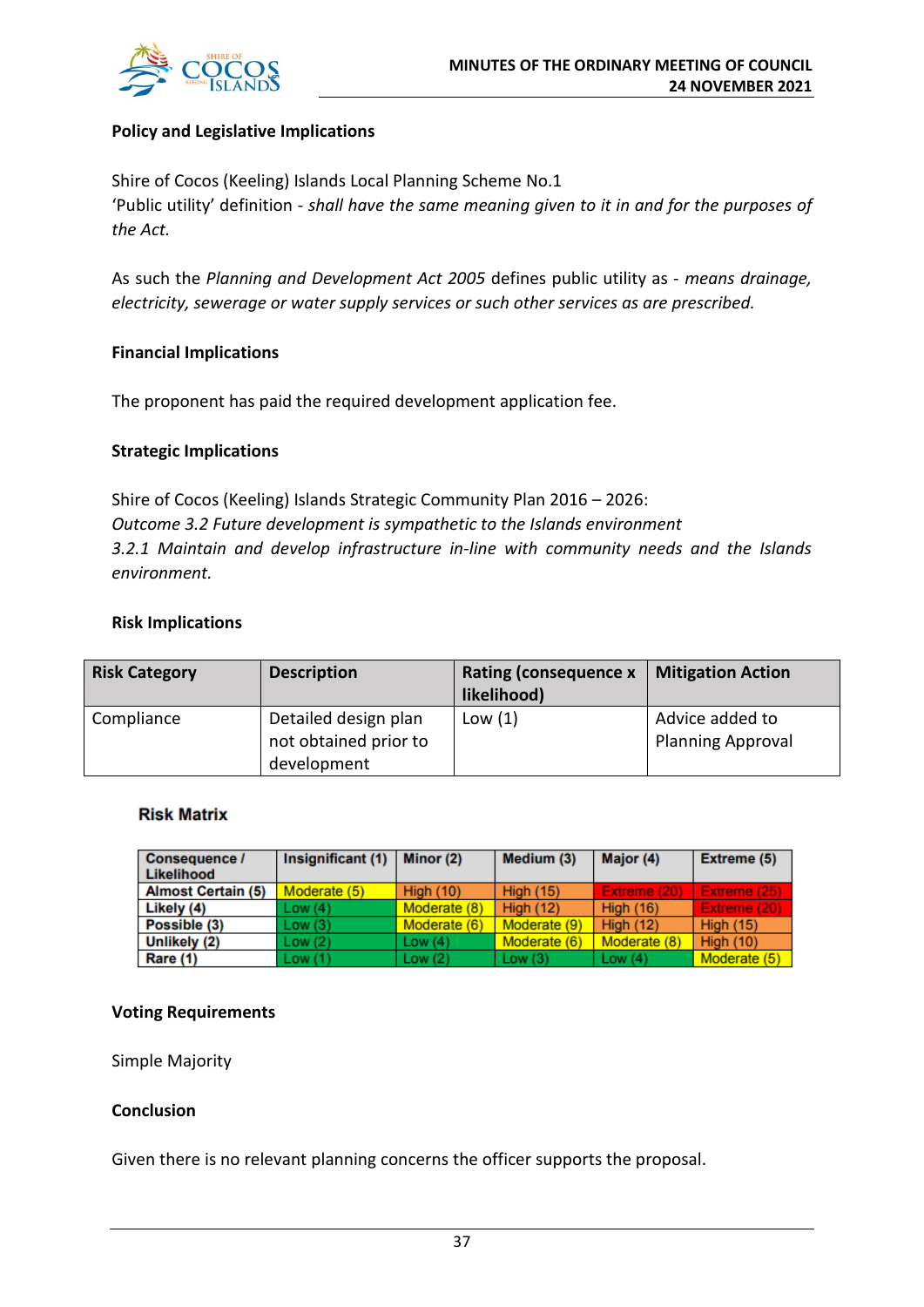

#### **Policy and Legislative Implications**

Shire of Cocos (Keeling) Islands Local Planning Scheme No.1 'Public utility' definition - *shall have the same meaning given to it in and for the purposes of the Act.*

As such the *Planning and Development Act 2005* defines public utility as - *means drainage, electricity, sewerage or water supply services or such other services as are prescribed.*

#### **Financial Implications**

The proponent has paid the required development application fee.

#### **Strategic Implications**

Shire of Cocos (Keeling) Islands Strategic Community Plan 2016 – 2026: *Outcome 3.2 Future development is sympathetic to the Islands environment 3.2.1 Maintain and develop infrastructure in-line with community needs and the Islands environment.*

#### **Risk Implications**

| <b>Risk Category</b> | <b>Description</b>                                           | <b>Rating (consequence x</b><br>likelihood) | <b>Mitigation Action</b>                    |
|----------------------|--------------------------------------------------------------|---------------------------------------------|---------------------------------------------|
| Compliance           | Detailed design plan<br>not obtained prior to<br>development | Low(1)                                      | Advice added to<br><b>Planning Approval</b> |

#### **Risk Matrix**

| <b>Consequence /</b><br>Likelihood | Insignificant (1) | Minor (2)        | Medium (3)       | Major (4)        | Extreme (5)      |
|------------------------------------|-------------------|------------------|------------------|------------------|------------------|
| <b>Almost Certain (5)</b>          | Moderate (5)      | <b>High (10)</b> | <b>High (15)</b> | Extreme (20)     | Extreme (25)     |
| Likely (4)                         | Low(4)            | Moderate (8)     | <b>High (12)</b> | <b>High (16)</b> | Extreme (20)     |
| Possible (3)                       | Low(3)            | Moderate (6)     | Moderate (9)     | <b>High (12)</b> | <b>High (15)</b> |
| Unlikely (2)                       | Low(2)            | Low $(4)$        | Moderate (6)     | Moderate (8)     | <b>High (10)</b> |
| Rare (1)                           | Low(1)            | Low(2)           | Low $(3)$        | Low $(4)$        | Moderate (5)     |

#### **Voting Requirements**

Simple Majority

#### **Conclusion**

Given there is no relevant planning concerns the officer supports the proposal.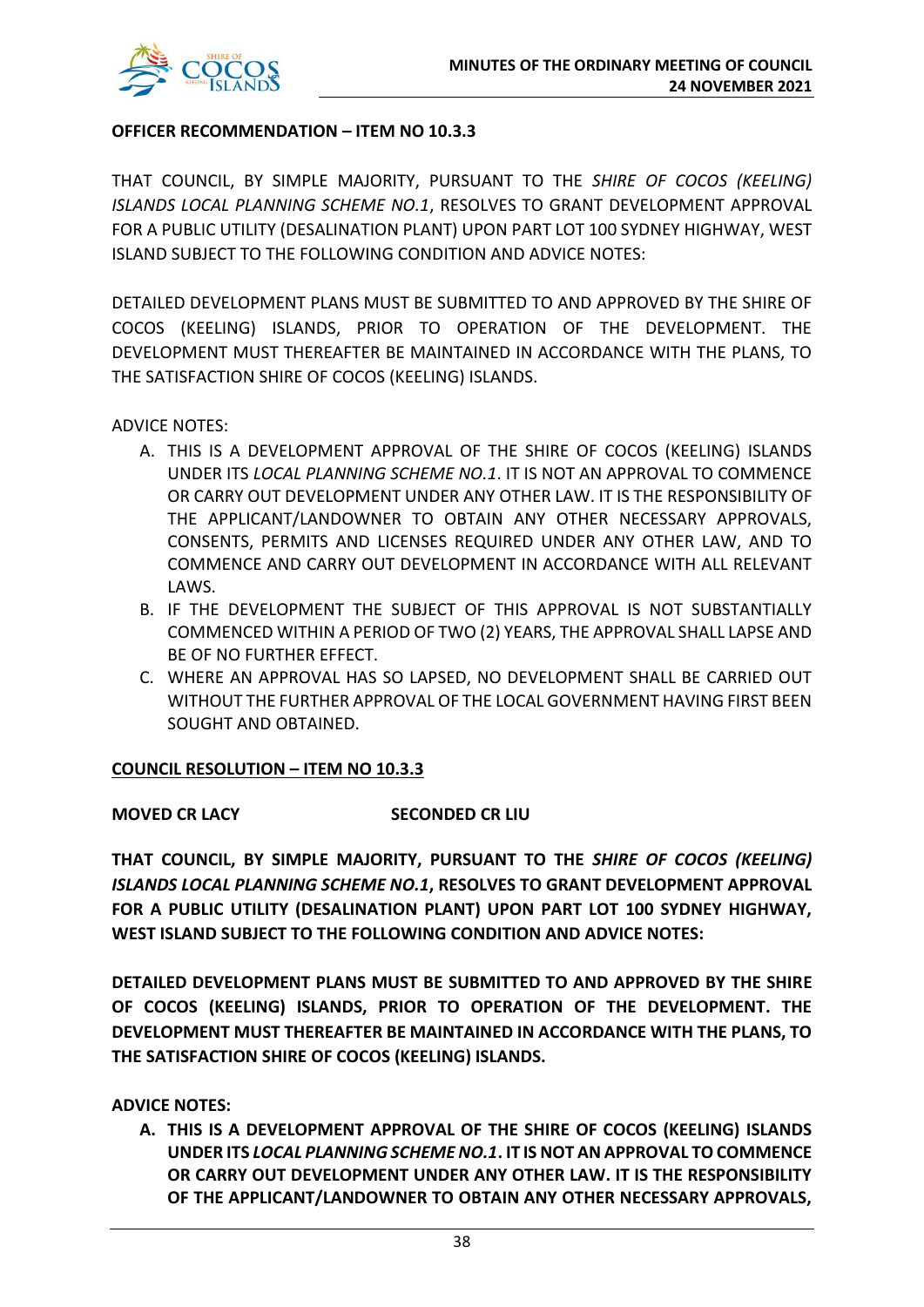

#### **OFFICER RECOMMENDATION – ITEM NO 10.3.3**

THAT COUNCIL, BY SIMPLE MAJORITY, PURSUANT TO THE *SHIRE OF COCOS (KEELING) ISLANDS LOCAL PLANNING SCHEME NO.1*, RESOLVES TO GRANT DEVELOPMENT APPROVAL FOR A PUBLIC UTILITY (DESALINATION PLANT) UPON PART LOT 100 SYDNEY HIGHWAY, WEST ISLAND SUBJECT TO THE FOLLOWING CONDITION AND ADVICE NOTES:

DETAILED DEVELOPMENT PLANS MUST BE SUBMITTED TO AND APPROVED BY THE SHIRE OF COCOS (KEELING) ISLANDS, PRIOR TO OPERATION OF THE DEVELOPMENT. THE DEVELOPMENT MUST THEREAFTER BE MAINTAINED IN ACCORDANCE WITH THE PLANS, TO THE SATISFACTION SHIRE OF COCOS (KEELING) ISLANDS.

ADVICE NOTES:

- A. THIS IS A DEVELOPMENT APPROVAL OF THE SHIRE OF COCOS (KEELING) ISLANDS UNDER ITS *LOCAL PLANNING SCHEME NO.1*. IT IS NOT AN APPROVAL TO COMMENCE OR CARRY OUT DEVELOPMENT UNDER ANY OTHER LAW. IT IS THE RESPONSIBILITY OF THE APPLICANT/LANDOWNER TO OBTAIN ANY OTHER NECESSARY APPROVALS, CONSENTS, PERMITS AND LICENSES REQUIRED UNDER ANY OTHER LAW, AND TO COMMENCE AND CARRY OUT DEVELOPMENT IN ACCORDANCE WITH ALL RELEVANT LAWS.
- B. IF THE DEVELOPMENT THE SUBJECT OF THIS APPROVAL IS NOT SUBSTANTIALLY COMMENCED WITHIN A PERIOD OF TWO (2) YEARS, THE APPROVAL SHALL LAPSE AND BE OF NO FURTHER EFFECT.
- C. WHERE AN APPROVAL HAS SO LAPSED, NO DEVELOPMENT SHALL BE CARRIED OUT WITHOUT THE FURTHER APPROVAL OF THE LOCAL GOVERNMENT HAVING FIRST BEEN SOUGHT AND OBTAINED.

#### **COUNCIL RESOLUTION – ITEM NO 10.3.3**

### **MOVED CR LACY SECONDED CR LIU**

**THAT COUNCIL, BY SIMPLE MAJORITY, PURSUANT TO THE** *SHIRE OF COCOS (KEELING) ISLANDS LOCAL PLANNING SCHEME NO.1***, RESOLVES TO GRANT DEVELOPMENT APPROVAL FOR A PUBLIC UTILITY (DESALINATION PLANT) UPON PART LOT 100 SYDNEY HIGHWAY, WEST ISLAND SUBJECT TO THE FOLLOWING CONDITION AND ADVICE NOTES:** 

**DETAILED DEVELOPMENT PLANS MUST BE SUBMITTED TO AND APPROVED BY THE SHIRE OF COCOS (KEELING) ISLANDS, PRIOR TO OPERATION OF THE DEVELOPMENT. THE DEVELOPMENT MUST THEREAFTER BE MAINTAINED IN ACCORDANCE WITH THE PLANS, TO THE SATISFACTION SHIRE OF COCOS (KEELING) ISLANDS.** 

**ADVICE NOTES:** 

**A. THIS IS A DEVELOPMENT APPROVAL OF THE SHIRE OF COCOS (KEELING) ISLANDS UNDER ITS** *LOCAL PLANNING SCHEME NO.1***. IT IS NOT AN APPROVAL TO COMMENCE OR CARRY OUT DEVELOPMENT UNDER ANY OTHER LAW. IT IS THE RESPONSIBILITY OF THE APPLICANT/LANDOWNER TO OBTAIN ANY OTHER NECESSARY APPROVALS,**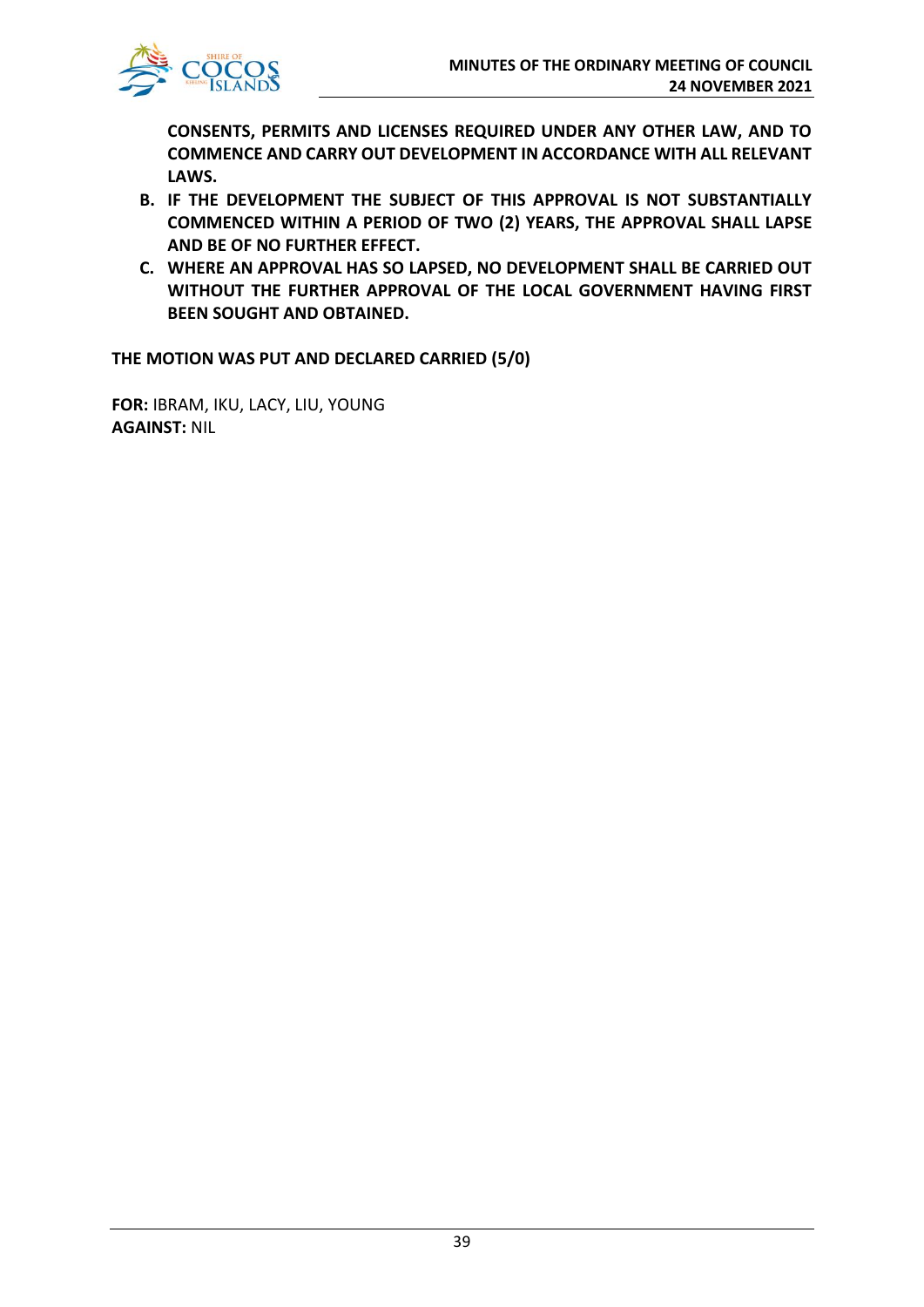**CONSENTS, PERMITS AND LICENSES REQUIRED UNDER ANY OTHER LAW, AND TO COMMENCE AND CARRY OUT DEVELOPMENT IN ACCORDANCE WITH ALL RELEVANT LAWS.**

- **B. IF THE DEVELOPMENT THE SUBJECT OF THIS APPROVAL IS NOT SUBSTANTIALLY COMMENCED WITHIN A PERIOD OF TWO (2) YEARS, THE APPROVAL SHALL LAPSE AND BE OF NO FURTHER EFFECT.**
- **C. WHERE AN APPROVAL HAS SO LAPSED, NO DEVELOPMENT SHALL BE CARRIED OUT WITHOUT THE FURTHER APPROVAL OF THE LOCAL GOVERNMENT HAVING FIRST BEEN SOUGHT AND OBTAINED.**

**THE MOTION WAS PUT AND DECLARED CARRIED (5/0)**

**FOR:** IBRAM, IKU, LACY, LIU, YOUNG **AGAINST:** NIL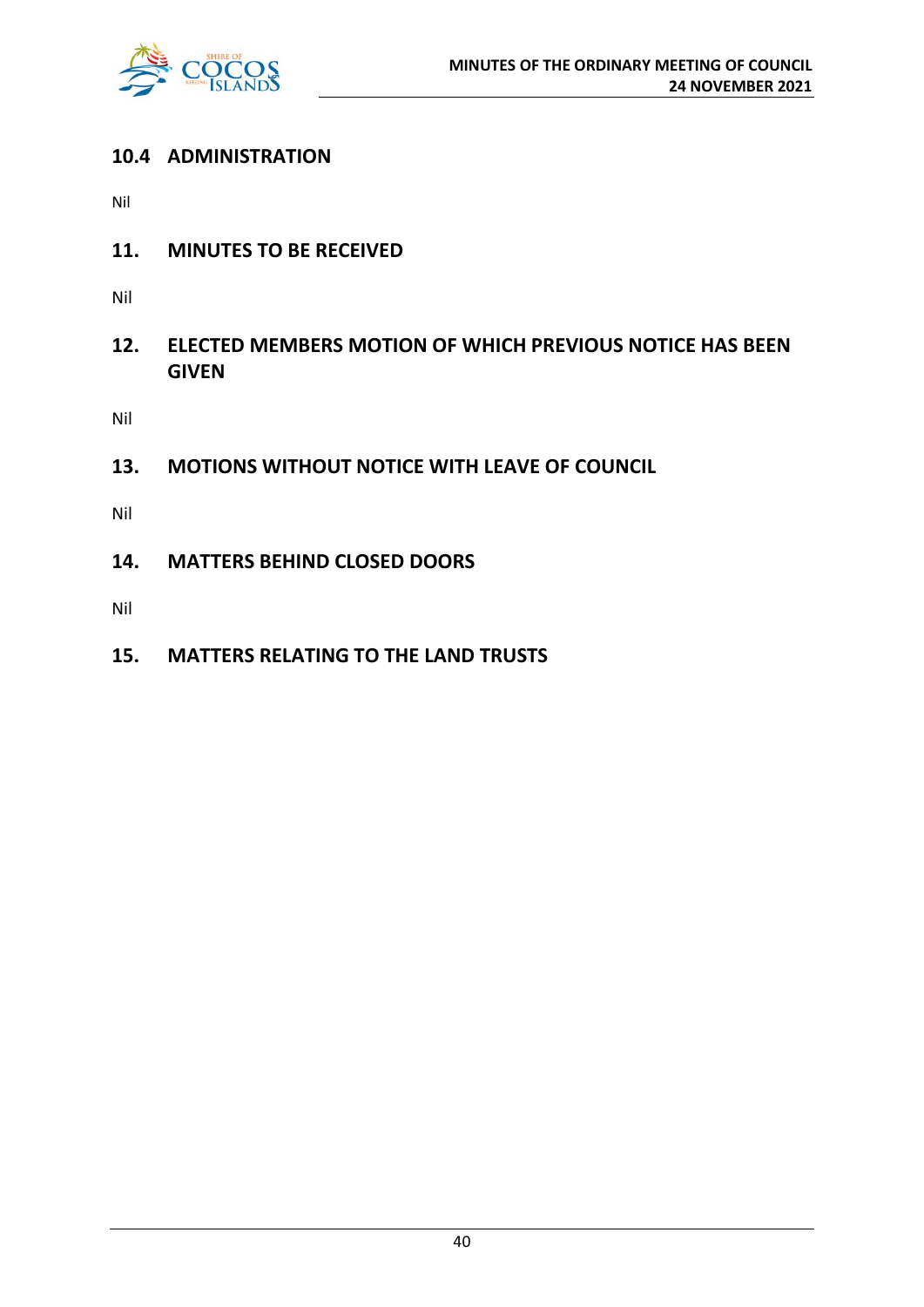

# **10.4 ADMINISTRATION**

Nil

**11. MINUTES TO BE RECEIVED**

Nil

**12. ELECTED MEMBERS MOTION OF WHICH PREVIOUS NOTICE HAS BEEN GIVEN**

Nil

**13. MOTIONS WITHOUT NOTICE WITH LEAVE OF COUNCIL**

Nil

**14. MATTERS BEHIND CLOSED DOORS**

Nil

**15. MATTERS RELATING TO THE LAND TRUSTS**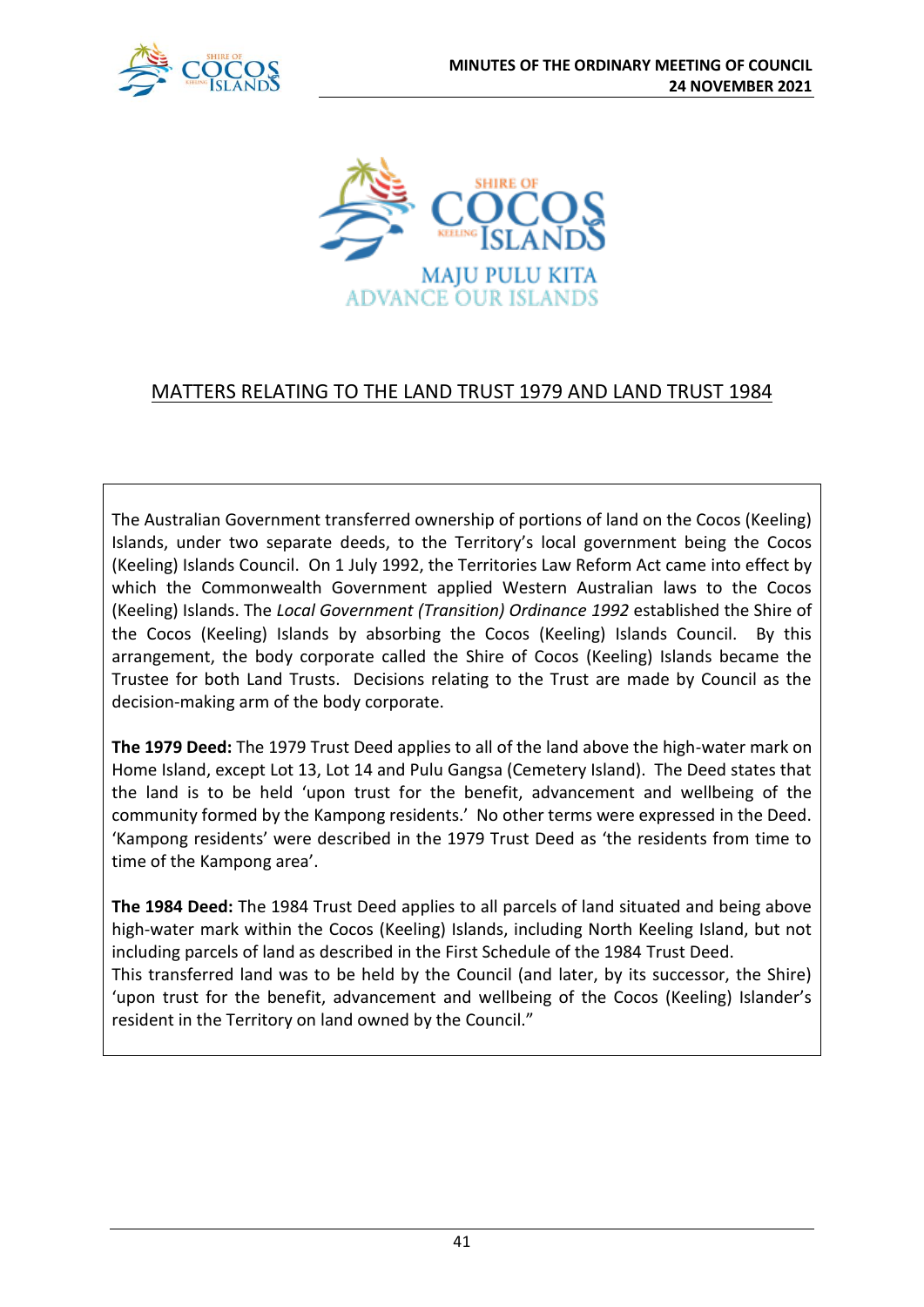



# MATTERS RELATING TO THE LAND TRUST 1979 AND LAND TRUST 1984

The Australian Government transferred ownership of portions of land on the Cocos (Keeling) Islands, under two separate deeds, to the Territory's local government being the Cocos (Keeling) Islands Council. On 1 July 1992, the Territories Law Reform Act came into effect by which the Commonwealth Government applied Western Australian laws to the Cocos (Keeling) Islands. The *Local Government (Transition) Ordinance 1992* established the Shire of the Cocos (Keeling) Islands by absorbing the Cocos (Keeling) Islands Council. By this arrangement, the body corporate called the Shire of Cocos (Keeling) Islands became the Trustee for both Land Trusts. Decisions relating to the Trust are made by Council as the decision-making arm of the body corporate.

**The 1979 Deed:** The 1979 Trust Deed applies to all of the land above the high-water mark on Home Island, except Lot 13, Lot 14 and Pulu Gangsa (Cemetery Island). The Deed states that the land is to be held 'upon trust for the benefit, advancement and wellbeing of the community formed by the Kampong residents.' No other terms were expressed in the Deed. 'Kampong residents' were described in the 1979 Trust Deed as 'the residents from time to time of the Kampong area'.

**The 1984 Deed:** The 1984 Trust Deed applies to all parcels of land situated and being above high-water mark within the Cocos (Keeling) Islands, including North Keeling Island, but not including parcels of land as described in the First Schedule of the 1984 Trust Deed. This transferred land was to be held by the Council (and later, by its successor, the Shire) 'upon trust for the benefit, advancement and wellbeing of the Cocos (Keeling) Islander's resident in the Territory on land owned by the Council."